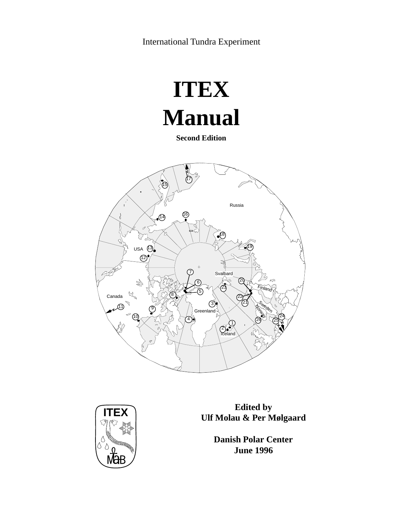International Tundra Experiment

# **ITEX Manual**

**Second Edition**





**ITEX**<br> **Edited by Edited by Edited by Edited by Edited by Edited by Edited by Edited by Edited by Edited by Edited by Edited by Edited by Edited by Edited by Edited by Edited by Edited by** 

**Danish Polar Center June 1996**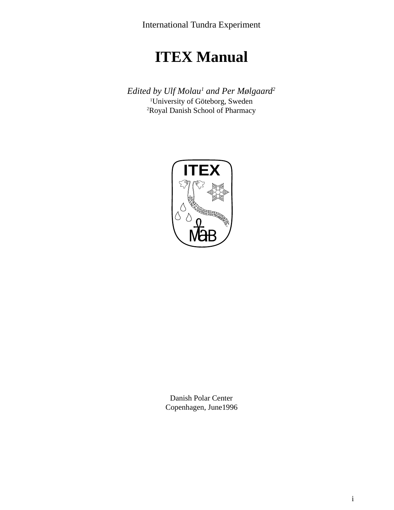International Tundra Experiment

## **ITEX Manual**

*Edited by Ulf Molau1 and Per Mølgaard2* 1 University of Göteborg, Sweden 2 Royal Danish School of Pharmacy



Danish Polar Center Copenhagen, June1996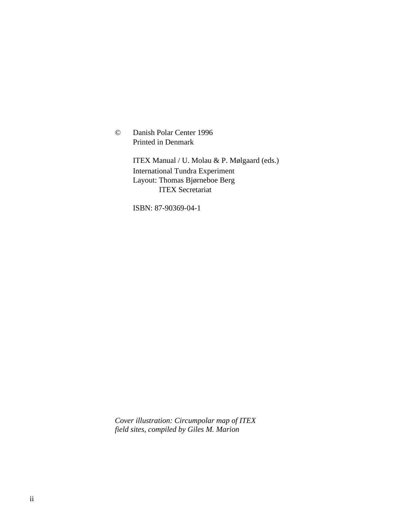© Danish Polar Center 1996 Printed in Denmark

> ITEX Manual / U. Molau & P. Mølgaard (eds.) International Tundra Experiment Layout: Thomas Bjørneboe Berg ITEX Secretariat

ISBN: 87-90369-04-1

*Cover illustration: Circumpolar map of ITEX field sites, compiled by Giles M. Marion*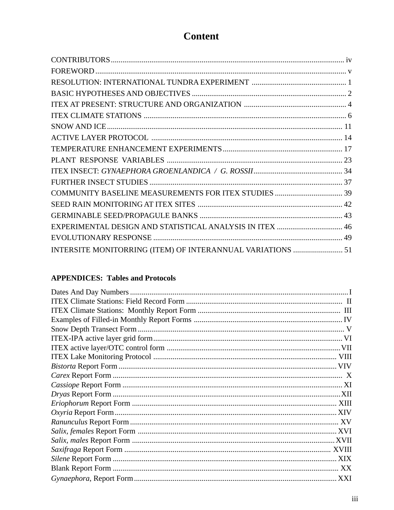## **Content**

| EXPERIMENTAL DESIGN AND STATISTICAL ANALYSIS IN ITEX  46   |  |
|------------------------------------------------------------|--|
|                                                            |  |
| INTERSITE MONITORRING (ITEM) OF INTERANNUAL VARIATIONS  51 |  |

## **APPENDICES: Tables and Protocols**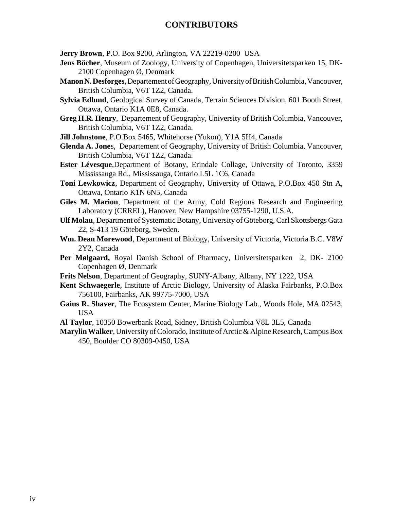## **CONTRIBUTORS**

**Jerry Brown**, P.O. Box 9200, Arlington, VA 22219-0200 USA

- **Jens Böcher**, Museum of Zoology, University of Copenhagen, Universitetsparken 15, DK-2100 Copenhagen Ø, Denmark
- **Manon N. Desforges**, Departement of Geography, University of British Columbia, Vancouver, British Columbia, V6T 1Z2, Canada.
- **Sylvia Edlund**, Geological Survey of Canada, Terrain Sciences Division, 601 Booth Street, Ottawa, Ontario K1A 0E8, Canada.
- **Greg H.R. Henry**, Departement of Geography, University of British Columbia, Vancouver, British Columbia, V6T 1Z2, Canada.
- **Jill Johnstone**, P.O.Box 5465, Whitehorse (Yukon), Y1A 5H4, Canada
- **Glenda A. Jone**s, Departement of Geography, University of British Columbia, Vancouver, British Columbia, V6T 1Z2, Canada.
- **Ester Lévesque**,Department of Botany, Erindale Collage, University of Toronto, 3359 Mississauga Rd., Mississauga, Ontario L5L 1C6, Canada
- **Toni Lewkowicz**, Department of Geography, University of Ottawa, P.O.Box 450 Stn A, Ottawa, Ontario K1N 6N5, Canada
- **Giles M. Marion**, Department of the Army, Cold Regions Research and Engineering Laboratory (CRREL), Hanover, New Hampshire 03755-1290, U.S.A.
- **Ulf Molau**, Department of Systematic Botany, University of Göteborg, Carl Skottsbergs Gata 22, S-413 19 Göteborg, Sweden.
- **Wm. Dean Morewood**, Department of Biology, University of Victoria, Victoria B.C. V8W 2Y2, Canada
- **Per Mølgaard,** Royal Danish School of Pharmacy, Universitetsparken 2, DK- 2100 Copenhagen Ø, Denmark
- **Frits Nelson**, Department of Geography, SUNY-Albany, Albany, NY 1222, USA
- **Kent Schwaegerle**, Institute of Arctic Biology, University of Alaska Fairbanks, P.O.Box 756100, Fairbanks, AK 99775-7000, USA
- **Gaius R. Shaver**, The Ecosystem Center, Marine Biology Lab., Woods Hole, MA 02543, USA
- **Al Taylor**, 10350 Bowerbank Road, Sidney, British Columbia V8L 3L5, Canada
- **Marylin Walker**, University of Colorado, Institute of Arctic & Alpine Research, Campus Box 450, Boulder CO 80309-0450, USA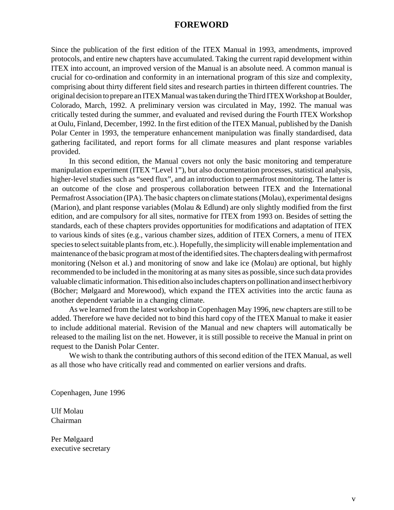## **FOREWORD**

Since the publication of the first edition of the ITEX Manual in 1993, amendments, improved protocols, and entire new chapters have accumulated. Taking the current rapid development within ITEX into account, an improved version of the Manual is an absolute need. A common manual is crucial for co-ordination and conformity in an international program of this size and complexity, comprising about thirty different field sites and research parties in thirteen different countries. The original decision to prepare an ITEX Manual was taken during the Third ITEX Workshop at Boulder, Colorado, March, 1992. A preliminary version was circulated in May, 1992. The manual was critically tested during the summer, and evaluated and revised during the Fourth ITEX Workshop at Oulu, Finland, December, 1992. In the first edition of the ITEX Manual, published by the Danish Polar Center in 1993, the temperature enhancement manipulation was finally standardised, data gathering facilitated, and report forms for all climate measures and plant response variables provided.

In this second edition, the Manual covers not only the basic monitoring and temperature manipulation experiment (ITEX "Level 1"), but also documentation processes, statistical analysis, higher-level studies such as "seed flux", and an introduction to permafrost monitoring. The latter is an outcome of the close and prosperous collaboration between ITEX and the International Permafrost Association (IPA). The basic chapters on climate stations (Molau), experimental designs (Marion), and plant response variables (Molau & Edlund) are only slightly modified from the first edition, and are compulsory for all sites, normative for ITEX from 1993 on. Besides of setting the standards, each of these chapters provides opportunities for modifications and adaptation of ITEX to various kinds of sites (e.g., various chamber sizes, addition of ITEX Corners, a menu of ITEX species to select suitable plants from, etc.). Hopefully, the simplicity will enable implementation and maintenance of the basic program at most of the identified sites. The chapters dealing with permafrost monitoring (Nelson et al.) and monitoring of snow and lake ice (Molau) are optional, but highly recommended to be included in the monitoring at as many sites as possible, since such data provides valuable climatic information. This edition also includes chapters on pollination and insect herbivory (Böcher; Mølgaard and Morewood), which expand the ITEX activities into the arctic fauna as another dependent variable in a changing climate.

As we learned from the latest workshop in Copenhagen May 1996, new chapters are still to be added. Therefore we have decided not to bind this hard copy of the ITEX Manual to make it easier to include additional material. Revision of the Manual and new chapters will automatically be released to the mailing list on the net. However, it is still possible to receive the Manual in print on request to the Danish Polar Center.

We wish to thank the contributing authors of this second edition of the ITEX Manual, as well as all those who have critically read and commented on earlier versions and drafts.

Copenhagen, June 1996

Ulf Molau Chairman

Per Mølgaard executive secretary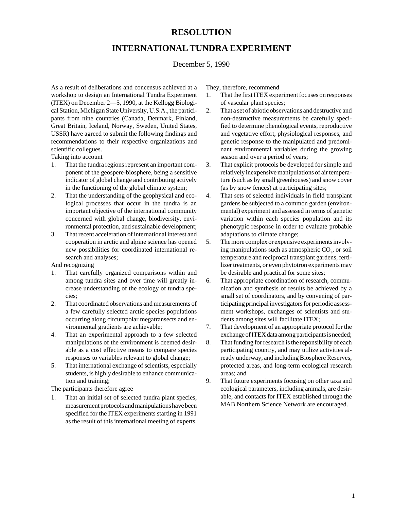## **RESOLUTION**

## **INTERNATIONAL TUNDRA EXPERIMENT**

#### December 5, 1990

As a result of deliberations and concensus achieved at a workshop to design an International Tundra Experiment (ITEX) on December 2—5, 1990, at the Kellogg Biological Station, Michigan State University, U.S.A., the participants from nine countries (Canada, Denmark, Finland, Great Britain, Iceland, Norway, Sweden, United States, USSR) have agreed to submit the following findings and recommendations to their respective organizations and scientific collegues.

Taking into account

- 1. That the tundra regions represent an important component of the geospere-biosphere, being a sensitive indicator of global change and contributing actively in the functioning of the global climate system;
- 2. That the understanding of the geophysical and ecological processes that occur in the tundra is an important objective of the international community concerned with global change, biodiversity, environmental protection, and sustainable development;
- 3. That recent acceleration of international interest and cooperation in arctic and alpine science has opened new possibilities for coordinated international research and analyses;

And recognizing

- 1. That carefully organized comparisons within and among tundra sites and over time will greatly increase understanding of the ecology of tundra species;
- 2. That coordinated observations and measurements of a few carefully selected arctic species populations occurring along circumpolar megatransects and environmental gradients are achievable;
- 4. That an experimental approach to a few selected manipulations of the environment is deemed desirable as a cost effective means to compare species responses to variables relevant to global change;
- 5. That international exchange of scientists, especially students, is highly desirable to enhance communication and training;

The participants therefore agree

1. That an initial set of selected tundra plant species, measurement protocols and manipulations have been specified for the ITEX experiments starting in 1991 as the result of this international meeting of experts.

They, therefore, recommend

- 1. That the first ITEX experiment focuses on responses of vascular plant species;
- 2. That a set of abiotic observations and destructive and non-destructive measurements be carefully specified to determine phenological events, reproductive and vegetative effort, physiological responses, and genetic response to the manipulated and predominant environmental variables during the growing season and over a period of years;
- 3. That explicit protocols be developed for simple and relatively inexpensive manipulations of air temperature (such as by small greenhouses) and snow cover (as by snow fences) at participating sites;
- 4. That sets of selected individuals in field transplant gardens be subjected to a common garden (environmental) experiment and assessed in terms of genetic variation within each species population and its phenotypic response in order to evaluate probable adaptations to climate change;
- 5. The more complex or expensive experiments involving manipulations such as atmospheric  $CO<sub>2</sub>$ , or soil temperature and reciprocal transplant gardens, fertilizer treatments, or even phytotron experiments may be desirable and practical for some sites;
- 6. That appropriate coordination of research, communication and synthesis of results be achieved by a small set of coordinators, and by convening of participating principal investigators for periodic assessment workshops, exchanges of scientists and students among sites will facilitate ITEX;
- 7. That development of an appropriate protocol for the exchange of ITEX data among participants is needed;
- 8. That funding for research is the reponsibility of each participating country, and may utilize activities already underway, and including Biosphere Reserves, protected areas, and long-term ecological research areas; and
- 9. That future experiments focusing on other taxa and ecological parameters, including animals, are desirable, and contacts for ITEX established through the MAB Northern Science Network are encouraged.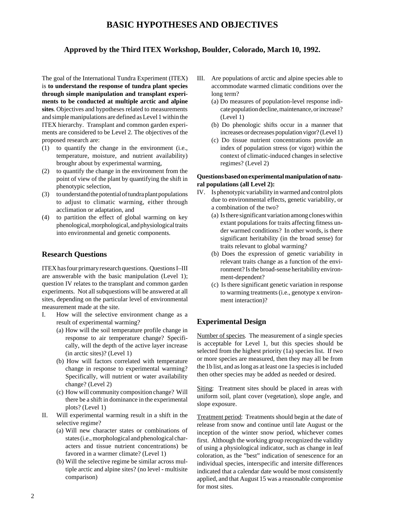## **BASIC HYPOTHESES AND OBJECTIVES**

## **Approved by the Third ITEX Workshop, Boulder, Colorado, March 10, 1992.**

The goal of the International Tundra Experiment (ITEX) is **to understand the response of tundra plant species through simple manipulation and transplant experiments to be conducted at multiple arctic and alpine sites**. Objectives and hypotheses related to measurements and simple manipulations are defined as Level 1 within the ITEX hierarchy. Transplant and common garden experiments are considered to be Level 2. The objectives of the proposed research are:

- (1) to quantify the change in the environment (i.e., temperature, moisture, and nutrient availability) broughr about by experimental warming,
- (2) to quantify the change in the environment from the point of view of the plant by quantifying the shift in phenotypic selection,
- (3) to understand the potential of tundra plant populations to adjust to climatic warming, either through acclimation or adaptation, and
- (4) to partition the effect of global warming on key phenological, morphological, and physiological traits into environmental and genetic components.

## **Research Questions**

ITEX has four primary research questions. Questions I–III are answerable with the basic manipulation (Level 1); question IV relates to the transplant and common garden experiments. Not all subquestions will be answered at all sites, depending on the particular level of environmental measurement made at the site.

- I. How will the selective environment change as a result of experimental warming?
	- (a) How will the soil temperature profile change in response to air temperature change? Specifically, will the depth of the active layer increase (in arctic sites)? (Level 1)
	- (b) How will factors correlated with temperature change in response to experimental warming? Specifically, will nutrient or water availability change? (Level 2)
	- (c) How will community composition change? Will there be a shift in dominance in the experimental plots? (Level 1)
- II. Will experimental warming result in a shift in the selective regime?
	- (a) Will new character states or combinations of states (i.e., morphological and phenological characters and tissue nutrient concentrations) be favored in a warmer climate? (Level 1)
	- (b) Will the selective regime be similar across multiple arctic and alpine sites? (no level - multisite comparison)
- III. Are populations of arctic and alpine species able to accommodate warmed climatic conditions over the long term?
	- (a) Do measures of population-level response indicate population decline, maintenance, or increase? (Level 1)
	- (b) Do phenologic shifts occur in a manner that increases or decreases population vigor? (Level 1)
	- (c) Do tissue nutrient concentrations provide an index of population stress (or vigor) within the context of climatic-induced changes in selective regimes? (Level 2)

#### **Questions based on experimental manipulation of natural populations (all Level 2):**

- IV. Is phenotypic variability in warmed and control plots due to environmental effects, genetic variability, or a combination of the two?
	- (a) Is there significant variation among clones within extant populations for traits affecting fitness under warmed conditions? In other words, is there significant heritability (in the broad sense) for traits relevant to global warming?
	- (b) Does the expression of genetic variability in relevant traits change as a function of the environment? Is the broad-sense heritability environment-dependent?
	- (c) Is there significant genetic variation in response to warming treatments (i.e., genotype x environment interaction)?

## **Experimental Design**

Number of species. The measurement of a single species is acceptable for Level 1, but this species should be selected from the highest priority (1a) species list. If two or more species are measured, then they may all be from the 1b list, and as long as at least one 1a species is included then other species may be added as needed or desired.

Siting: Treatment sites should be placed in areas with uniform soil, plant cover (vegetation), slope angle, and slope exposure.

Treatment period: Treatments should begin at the date of release from snow and continue until late August or the inception of the winter snow period, whichever comes first. Although the working group recognized the validity of using a physiological indicator, such as change in leaf coloration, as the "best" indication of senescence for an individual species, interspecific and intersite differences indicated that a calendar date would be most consistently applied, and that August 15 was a reasonable compromise for most sites.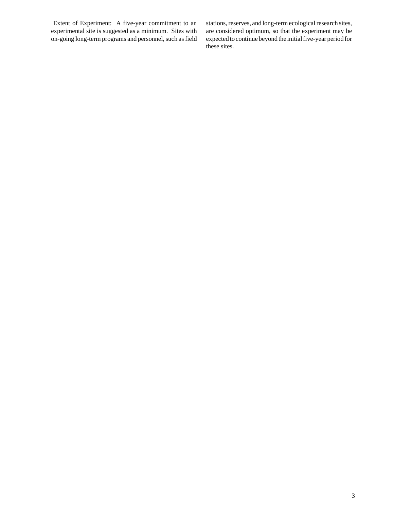Extent of Experiment: A five-year commitment to an experimental site is suggested as a minimum. Sites with on-going long-term programs and personnel, such as field

stations, reserves, and long-term ecological research sites, are considered optimum, so that the experiment may be expected to continue beyond the initial five-year period for these sites.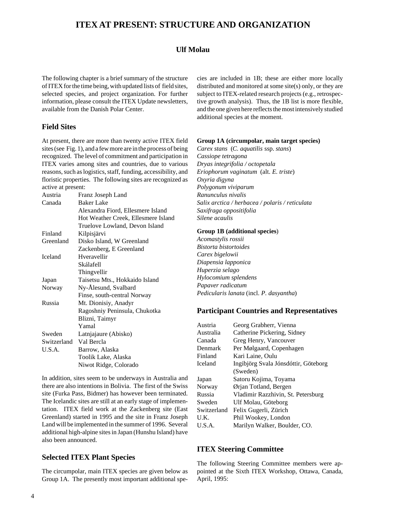## **ITEX AT PRESENT: STRUCTURE AND ORGANIZATION**

#### **Ulf Molau**

The following chapter is a brief summary of the structure of ITEX for the time being, with updated lists of field sites, selected species, and project organization. For further information, please consult the ITEX Update newsletters, available from the Danish Polar Center.

#### **Field Sites**

At present, there are more than twenty active ITEX field sites (see Fig. 1), and a few more are in the process of being recognized. The level of commitment and participation in ITEX varies among sites and countries, due to various reasons, such as logistics, staff, funding, accessibility, and floristic properties. The following sites are recognized as active at present:

| Austria                | Franz Joseph Land                   |  |  |
|------------------------|-------------------------------------|--|--|
| Canada                 | Baker Lake                          |  |  |
|                        | Alexandra Fiord, Ellesmere Island   |  |  |
|                        | Hot Weather Creek, Ellesmere Island |  |  |
|                        | Truelove Lowland, Devon Island      |  |  |
| Finland                | Kilpisjärvi                         |  |  |
| Greenland              | Disko Island, W Greenland           |  |  |
|                        | Zackenberg, E Greenland             |  |  |
| <b>Iceland</b>         | Hveravellir                         |  |  |
|                        | Skálafell                           |  |  |
|                        | Thingvellir                         |  |  |
| Japan                  | Taisetsu Mts., Hokkaido Island      |  |  |
| Norway                 | Ny-Ålesund, Svalbard                |  |  |
|                        | Finse, south-central Norway         |  |  |
| Russia                 | Mt. Dionisiy, Anadyr                |  |  |
|                        | Ragoshniy Peninsula, Chukotka       |  |  |
|                        | Blizni, Taimyr                      |  |  |
|                        | Yamal                               |  |  |
| Sweden                 | Latnjajaure (Abisko)                |  |  |
| Switzerland Val Bercla |                                     |  |  |
| U.S.A.                 | Barrow, Alaska                      |  |  |
|                        | Toolik Lake, Alaska                 |  |  |
|                        | Niwot Ridge, Colorado               |  |  |

In addition, sites seem to be underways in Australia and there are also intentions in Bolivia. The first of the Swiss site (Furka Pass, Bidmer) has however been terminated. The Icelandic sites are still at an early stage of implementation. ITEX field work at the Zackenberg site (East Greenland) started in 1995 and the site in Franz Joseph Land will be implemented in the summer of 1996. Several additional high-alpine sites in Japan (Hunshu Island) have also been announced.

#### **Selected ITEX Plant Species**

The circumpolar, main ITEX species are given below as Group 1A. The presently most important additional species are included in 1B; these are either more locally distributed and monitored at some site(s) only, or they are subject to ITEX-related research projects (e.g., retrospective growth analysis). Thus, the 1B list is more flexible, and the one given here reflects the most intensively studied additional species at the moment.

#### **Group 1A (circumpolar, main target species)**

*Carex stans* (*C. aquatilis* ssp. *stans*) *Cassiope tetragona Dryas integrifolia / octopetala Eriophorum vaginatum* (alt. *E. triste*) *Oxyria digyna Polygonum viviparum Ranunculus nivalis Salix arctica / herbacea / polaris / reticulata Saxifraga oppositifolia Silene acaulis*

#### **Group 1B (additional species**)

*Acomastylis rossii Bistorta bistortoides Carex bigelowii Diapensia lapponica Huperzia selago Hylocomium splendens Papaver radicatum Pedicularis lanata* (incl. *P. dasyantha*)

#### **Participant Countries and Representatives**

| Austria     | Georg Grabherr, Vienna               |  |  |
|-------------|--------------------------------------|--|--|
| Australia   | Catherine Pickering, Sidney          |  |  |
| Canada      | Greg Henry, Vancouver                |  |  |
| Denmark     | Per Mølgaard, Copenhagen             |  |  |
| Finland     | Kari Laine, Oulu                     |  |  |
| Iceland     | Ingibjörg Svala Jónsdóttir, Göteborg |  |  |
|             | (Sweden)                             |  |  |
| Japan       | Satoru Kojima, Toyama                |  |  |
| Norway      | Ørjan Totland, Bergen                |  |  |
| Russia      | Vladimir Razzhivin, St. Petersburg   |  |  |
| Sweden      | Ulf Molau, Göteborg                  |  |  |
| Switzerland | Felix Gugerli, Zürich                |  |  |
| U.K.        | Phil Wookey, London                  |  |  |
| U.S.A.      | Marilyn Walker, Boulder, CO.         |  |  |

#### **ITEX Steering Committee**

The following Steering Committee members were appointed at the Sixth ITEX Workshop, Ottawa, Canada, April, 1995: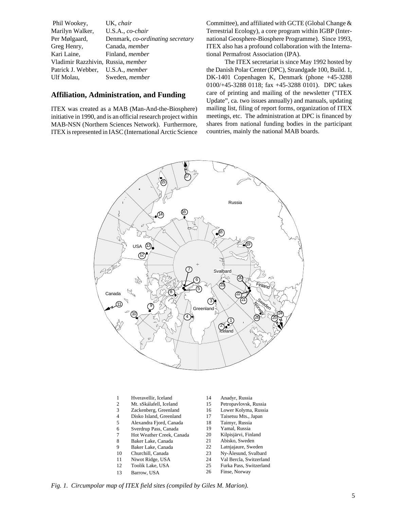| UK, chair                                |
|------------------------------------------|
| U.S.A., co-chair                         |
| Denmark, co-ordinating secretary         |
| Canada, <i>member</i>                    |
| Finland, <i>member</i>                   |
| Vladimir Razzhivin, Russia, member       |
| Patrick J. Webber, U.S.A., <i>member</i> |
| Sweden, <i>member</i>                    |
|                                          |

#### **Affiliation, Administration, and Funding**

ITEX was created as a MAB (Man-And-the-Biosphere) initiative in 1990, and is an official research project within MAB-NSN (Northern Sciences Network). Furthermore, ITEX is represented in IASC (International Arctic Science Committee), and affiliated with GCTE (Global Change & Terrestrial Ecology), a core program within IGBP (International Geosphere-Biosphere Programme). Since 1993, ITEX also has a profound collaboration with the International Permafrost Association (IPA).

The ITEX secretariat is since May 1992 hosted by the Danish Polar Center (DPC), Strandgade 100, Build. 1, DK-1401 Copenhagen K, Denmark (phone +45-3288 0100/+45-3288 0118; fax +45-3288 0101). DPC takes care of printing and mailing of the newsletter ("ITEX Update", ca. two issues annually) and manuals, updating mailing list, filing of report forms, organization of ITEX meetings, etc. The administration at DPC is financed by shares from national funding bodies in the participant countries, mainly the national MAB boards.



- 1 Hveravellir, Iceland
- 2 Mt. sSkálafell, Iceland
- 3 Zackenberg, Greenland
- 4 Disko Island, Greenland
- 5 Alexandra Fjord, Canada
- 6 Sverdrup Pass, Canada
- 7 Hot Weather Creek, Canada
- 8 Baker Lake, Canada 9 Baker Lake, Canada
- 
- 10 Churchill, Canada 11 Niwot Ridge, USA
- 12 Toolik Lake, USA
- 13 Barrow, USA
- 14 Anadyr, Russia
- 15 Petropavlovsk, Russia
- 16 Lower Kolyma, Russia
- 17 Taisetsu Mts., Japan
- 18 Taimyr, Russia
- 19 Yamal, Russia
- 20 Kilpisjärvi, Finland
- 21 Abisko, Sweden
- 22 Latnjajaure, Sweden
- 23 Ny-Ålesund, Svalbard 24 Val Bercla, Switzerland
- 25 Furka Pass, Switzerland
- 26 Finse, Norway

*Fig. 1. Circumpolar map of ITEX field sites (compiled by Giles M. Marion).*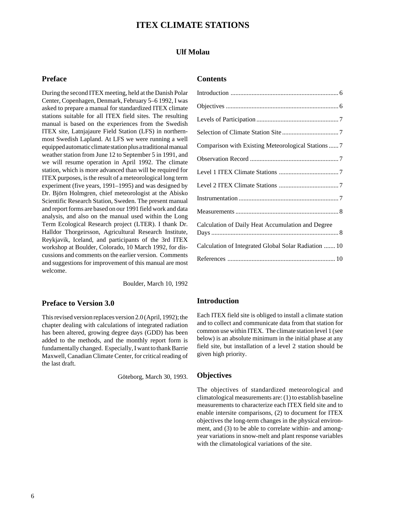## **ITEX CLIMATE STATIONS**

#### **Ulf Molau**

#### **Preface**

During the second ITEX meeting, held at the Danish Polar Center, Copenhagen, Denmark, February 5–6 1992, I was asked to prepare a manual for standardized ITEX climate stations suitable for all ITEX field sites. The resulting manual is based on the experiences from the Swedish ITEX site, Latnjajaure Field Station (LFS) in northernmost Swedish Lapland. At LFS we were running a well equipped automatic climate station plus a traditional manual weather station from June 12 to September 5 in 1991, and we will resume operation in April 1992. The climate station, which is more advanced than will be required for ITEX purposes, is the result of a meteorological long term experiment (five years, 1991–1995) and was designed by Dr. Björn Holmgren, chief meteorologist at the Abisko Scientific Research Station, Sweden. The present manual and report forms are based on our 1991 field work and data analysis, and also on the manual used within the Long Term Ecological Research project (LTER). I thank Dr. Halldor Thorgeirsson, Agricultural Research Institute, Reykjavik, Iceland, and participants of the 3rd ITEX workshop at Boulder, Colorado, 10 March 1992, for discussions and comments on the earlier version. Comments and suggestions for improvement of this manual are most welcome.

Boulder, March 10, 1992

#### **Preface to Version 3.0**

This revised version replaces version 2.0 (April, 1992); the chapter dealing with calculations of integrated radiation has been altered, growing degree days (GDD) has been added to the methods, and the monthly report form is fundamentally changed. Especially, I want to thank Barrie Maxwell, Canadian Climate Center, for critical reading of the last draft.

Göteborg, March 30, 1993.

#### **Contents**

| Comparison with Existing Meteorological Stations  7  |
|------------------------------------------------------|
|                                                      |
|                                                      |
|                                                      |
|                                                      |
|                                                      |
| Calculation of Daily Heat Accumulation and Degree    |
| Calculation of Integrated Global Solar Radiation  10 |
|                                                      |

#### **Introduction**

Each ITEX field site is obliged to install a climate station and to collect and communicate data from that station for common use within ITEX. The climate station level 1 (see below) is an absolute minimum in the initial phase at any field site, but installation of a level 2 station should be given high priority.

#### **Objectives**

The objectives of standardized meteorological and climatological measurements are: (1) to establish baseline measurements to characterize each ITEX field site and to enable intersite comparisons, (2) to document for ITEX objectives the long-term changes in the physical environment, and (3) to be able to correlate within- and amongyear variations in snow-melt and plant response variables with the climatological variations of the site.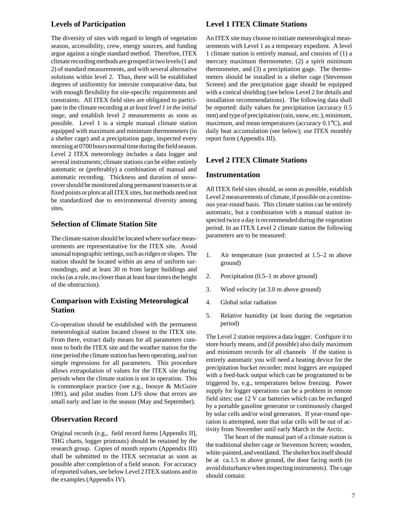#### **Levels of Participation**

The diversity of sites with regard to length of vegetation season, accessibility, crew, energy sources, and funding argue against a single standard method. Therefore, ITEX climate recording methods are grouped in two levels (1 and 2) of standard measurements, and with several alternative solutions within level 2. Thus, there will be established degrees of uniformity for intersite comparative data, but with enough flexibility for site-specific requirements and constraints. All ITEX field sites are obligated to participate in the climate recording at *at least level 1 in the initial stage*, and establish level 2 measurements as soon as possible. Level 1 is a simple manual climate station equipped with maximum and minimum thermometers (in a shelter cage) and a precipitation gage, inspected every morning at 0700 hours normal time during the field season. Level 2 ITEX meteorology includes a data logger and several instruments; climate stations can be either entirely automatic or (preferably) a combination of manual and automatic recording. Thickness and duration of snowcover should be monitored along permanent transects or at fixed points or plots at all ITEX sites, but methods need not be standardized due to environmental diversity among sites.

#### **Selection of Climate Station Site**

The climate station should be located where surface measurements are representatative for the ITEX site. Avoid unusual topographic settings, such as ridges or slopes. The station should be located within an area of uniform surroundings, and at least 30 m from larger buildings and rocks (as a rule, no closer than at least four times the height of the obstruction).

## **Comparison with Existing Meteorological Station**

Co-operation should be established with the permanent meteorological station located closest to the ITEX site. From there, extract daily means for all parameters common to both the ITEX site and the weather station for the time period the climate station has been operating, and run simple regressions for all parameters. This procedure allows extrapolation of values for the ITEX site during periods when the climate station is not in operation. This is commonplace practice (see e.g., Inouye & McGuire 1991), and pilot studies from LFS show that errors are small early and late in the season (May and September).

#### **Observation Record**

Original records (e.g., field record forms [Appendix II], THG charts, logger printouts) should be retained by the research group. Copies of month reports (Appendix III) shall be submitted to the ITEX secretariat as soon as possible after completion of a field season. For accuracy of reported values, see below Level 2 ITEX stations and in the examples (Appendix IV).

#### **Level 1 ITEX Climate Stations**

An ITEX site may choose to initiate meteorological measurements with Level 1 as a temporary expedient. A level 1 climate station is entirely manual, and consists of (1) a mercury maximum thermometer, (2) a spirit minimum thermometer, and (3) a precipitation gage. The thermometers should be installed in a shelter cage (Stevenson Screen) and the precipitation gage should be equipped with a conical shielding (see below Level 2 for details and installation recommendations). The following data shall be reported: daily values for precipitation (accuracy 0.5 mm) and type of precipitation (rain, snow, etc.), minimum, maximum, and mean temperatures (accuracy 0.1°C), and daily heat accumulation (see below); use ITEX monthly report form (Appendix III).

#### **Level 2 ITEX Climate Stations**

#### **Instrumentation**

All ITEX field sites should, as soon as possible, establish Level 2 measurements of climate, if possible on a continuous year-round basis. This climate station can be entirely automatic, but a combination with a manual station inspected twice a day is recommended during the vegetation period. In an ITEX Level 2 climate station the following parameters are to be measured:

- 1. Air temperature (sun protected at 1.5–2 m above ground)
- 2. Precipitation (0.5–1 m above ground)
- 3. Wind velocity (at 3.0 m above ground)
- 4. Global solar radiation
- 5. Relative humidity (at least during the vegetation period)

The Level 2 station requires a data logger. Configure it to store hourly means, and (if possible) also daily maximum and minimum records for all channels If the station is entirely automatic you will need a heating device for the precipitation bucket recorder; most loggers are equipped with a feed-back output which can be programmed to be triggered by, e.g., temperatures below freezing. Power supply for logger operations can be a problem in remote field sites; use 12 V car batteries which can be recharged by a portable gasoline generator or continuously charged by solar cells and/or wind generators. If year-round operation is attempted, note that solar cells will be out of activity from November until early March in the Arctic.

The heart of the manual part of a climate station is the traditional shelter cage or Stevenson Screen; wooden, white-painted, and ventilated. The shelter box itself should be at ca.1.5 m above ground, the door facing north (to avoid disturbance when inspecting instruments). The cage should contain: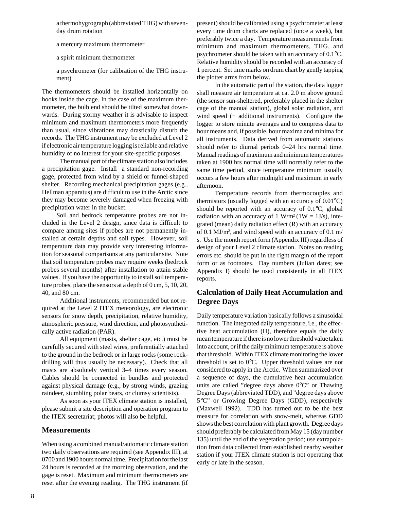a thermohygrograph (abbreviated THG) with sevenday drum rotation

- a mercury maximum thermometer
- a spirit minimum thermometer

a psychrometer (for calibration of the THG instrument)

The thermometers should be installed horizontally on hooks inside the cage. In the case of the maximum thermometer, the bulb end should be tilted somewhat downwards. During stormy weather it is advisable to inspect minimum and maximum thermometers more frequently than usual, since vibrations may drastically disturb the records. The THG instrument may be excluded at Level 2 if electronic air temperature logging is reliable and relative humidity of no interest for your site-specific purposes.

The manual part of the climate station also includes a precipitation gage. Install a standard non-recording gage, protected from wind by a shield or funnel-shaped shelter. Recording mechanical precipitation gages (e.g., Hellman apparatus) are difficult to use in the Arctic since they may become severely damaged when freezing with precipitation water in the bucket.

Soil and bedrock temperature probes are not included in the Level 2 design, since data is difficult to compare among sites if probes are not permanently installed at certain depths and soil types. However, soil temperature data may provide very interesting information for seasonal comparisons at any particular site. Note that soil temperature probes may require weeks (bedrock probes several months) after installation to attain stable values. If you have the opportunity to install soil temperature probes, place the sensors at a depth of 0 cm, 5, 10, 20, 40, and 80 cm.

Additional instruments, recommended but not required at the Level 2 ITEX meteorology, are electronic sensors for snow depth, precipitation, relative humidity, atmospheric pressure, wind direction, and photosynthetically active radiation (PAR).

All equipment (masts, shelter cage, etc.) must be carefully secured with steel wires, preferentially attached to the ground in the bedrock or in large rocks (some rockdrilling will thus usually be necessary). Check that all masts are absolutely vertical 3–4 times every season. Cables should be connected in bundles and protected against physical damage (e.g., by strong winds, grazing raindeer, stumbling polar bears, or clumsy scientists).

As soon as your ITEX climate station is installed, please submit a site description and operation program to the ITEX secretariat; photos will also be helpful.

#### **Measurements**

When using a combined manual/automatic climate station two daily observations are required (see Appendix III), at 0700 and 1900 hours normal time. Precipitation for the last 24 hours is recorded at the morning observation, and the gage is reset. Maximum and minimum thermometers are reset after the evening reading. The THG instrument (if

present) should be calibrated using a psychrometer at least every time drum charts are replaced (once a week), but preferably twice a day. Temperature measurements from minimum and maximum thermometers, THG, and psychrometer should be taken with an accuracy of 0.1°C. Relative humidity should be recorded with an accuracy of 1 percent. Set time marks on drum chart by gently tapping the plotter arms from below.

In the automatic part of the station, the data logger shall measure air temperature at ca. 2.0 m above ground (the sensor sun-sheltered, preferably placed in the shelter cage of the manual station), global solar radiation, and wind speed (+ additional instruments). Configure the logger to store minute averages and to compress data to hour means and, if possible, hour maxima and minima for all instruments. Data derived from automatic stations should refer to diurnal periods 0–24 hrs normal time. Manual readings of maximum and minimum temperatures taken at 1900 hrs normal time will normally refer to the same time period, since temperature minimum usually occurs a few hours after midnight and maximum in early afternoon.

Temperature records from thermocouples and thermistors (usually logged with an accuracy of 0.01°C) should be reported with an accuracy of 0.1°C, global radiation with an accuracy of 1 W/m<sup>2</sup> (1W = 1J/s), integrated (mean) daily radiation effect (R) with an accuracy of 0.1 MJ/m2 , and wind speed with an accuracy of 0.1 m/ s. Use the month report form (Appendix III) regardless of design of your Level 2 climate station. Notes on reading errors etc. should be put in the right margin of the report form or as footnotes. Day numbers (Julian dates; see Appendix I) should be used consistently in all ITEX reports.

## **Calculation of Daily Heat Accumulation and Degree Days**

Daily temperature variation basically follows a sinusoidal function. The integrated daily temperature, i.e., the effective heat accumulation (H), therefore equals the daily mean temperature if there is no lower threshold value taken into account, or if the daily minimum temperature is above that threshold. Within ITEX climate monitoring the lower threshold is set to 0°C. Upper threshold values are not considered to apply in the Arctic. When summarized over a sequence of days, the cumulative heat accumulation units are called "degree days above 0°C" or Thawing Degree Days (abbreviated TDD), and "degree days above 5°C" or Growing Degree Days (GDD), respectively (Maxwell 1992). TDD has turned out to be the best measure for correlation with snow-melt, whereas GDD shows the best correlation with plant growth. Degree days should preferably be calculated from May 15 (day number 135) until the end of the vegetation period; use extrapolation from data collected from established nearby weather station if your ITEX climate station is not operating that early or late in the season.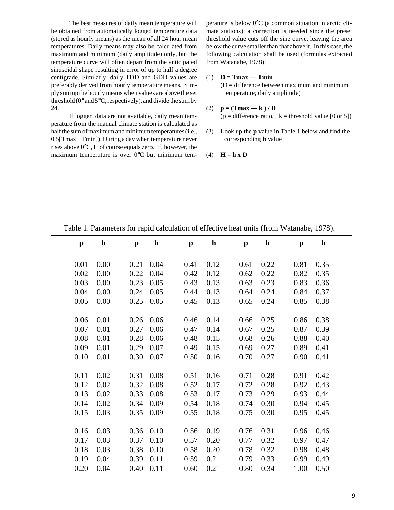The best measures of daily mean temperature will be obtained from automatically logged temperature data (stored as hourly means) as the mean of all 24 hour mean temperatures. Daily means may also be calculated from maximum and minimum (daily amplitude) only, but the temperature curve will often depart from the anticipated sinusoidal shape resulting in error of up to half a degree centigrade. Similarly, daily TDD and GDD values are preferably derived from hourly temperature means. Simply sum up the hourly means when values are above the set threshold  $(0^{\circ}$  and  $5^{\circ}$ C, respectively), and divide the sum by 24.

If logger data are not available, daily mean temperature from the manual climate station is calculated as half the sum of maximum and minimum temperatures (i.e., 0.5[Tmax + Tmin]). During a day when temperature never rises above 0°C, H of course equals zero. If, however, the maximum temperature is over 0°C but minimum tem-

perature is below 0°C (a common situation in arctic climate stations), a correction is needed since the preset threshold value cuts off the sine curve, leaving the area below the curve smaller than that above it. In this case, the following calculation shall be used (formulas extracted from Watanabe, 1978):

#### (1) **D = Tmax — Tmin**

 $(D = difference between maximum and minimum$ temperature; daily amplitude)

(2) 
$$
\mathbf{p} = (\mathbf{T} \mathbf{m} \mathbf{a} \mathbf{x} - \mathbf{k}) / \mathbf{D}
$$
  
( $\mathbf{p} = \text{difference ratio}, \mathbf{k} = \text{threshold value } [0 \text{ or } 5])$ 

- (3) Look up the **p** value in Table 1 below and find the corresponding **h** value
- (4)  $H = h \times D$

| h<br>$\mathbf{p}$    |
|----------------------|
| 0.22<br>0.81<br>0.35 |
| 0.22<br>0.82<br>0.35 |
| 0.23<br>0.83<br>0.36 |
| 0.24<br>0.84<br>0.37 |
| 0.24<br>0.85<br>0.38 |
|                      |
| 0.25<br>0.86<br>0.38 |
| 0.25<br>0.87<br>0.39 |
| 0.26<br>0.88<br>0.40 |
| 0.27<br>0.89<br>0.41 |
| 0.27<br>0.90<br>0.41 |
|                      |
| 0.28<br>0.42<br>0.91 |
| 0.28<br>0.92<br>0.43 |
| 0.29<br>0.93<br>0.44 |
| 0.30<br>0.45<br>0.94 |
| 0.30<br>0.95<br>0.45 |
|                      |
| 0.31<br>0.46<br>0.96 |
| 0.32<br>0.97<br>0.47 |
| 0.32<br>0.98<br>0.48 |
| 0.33<br>0.99<br>0.49 |
| 0.34<br>1.00<br>0.50 |
|                      |

Table 1. Parameters for rapid calculation of effective heat units (from Watanabe, 1978).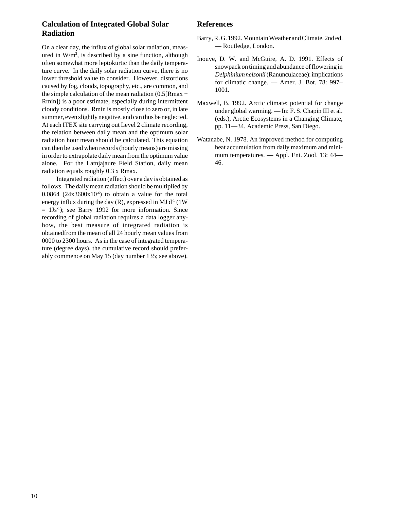## **Calculation of Integrated Global Solar Radiation**

On a clear day, the influx of global solar radiation, measured in W/m<sup>2</sup>, is described by a sine function, although often somewhat more leptokurtic than the daily temperature curve. In the daily solar radiation curve, there is no lower threshold value to consider. However, distortions caused by fog, clouds, topography, etc., are common, and the simple calculation of the mean radiation  $(0.5[Rmax +$ Rmin]) is a poor estimate, especially during intermittent cloudy conditions. Rmin is mostly close to zero or, in late summer, even slightly negative, and can thus be neglected. At each ITEX site carrying out Level 2 climate recording, the relation between daily mean and the optimum solar radiation hour mean should be calculated. This equation can then be used when records (hourly means) are missing in order to extrapolate daily mean from the optimum value alone. For the Latnjajaure Field Station, daily mean radiation equals roughly 0.3 x Rmax.

Integrated radiation (effect) over a day is obtained as follows. The daily mean radiation should be multiplied by  $0.0864$  ( $24x3600x10<sup>-6</sup>$ ) to obtain a value for the total energy influx during the day  $(R)$ , expressed in MJ d<sup>-1</sup> (1W)  $= 1$ Js<sup>-1</sup>); see Barry 1992 for more information. Since recording of global radiation requires a data logger anyhow, the best measure of integrated radiation is obtainedfrom the mean of all 24 hourly mean values from 0000 to 2300 hours. As in the case of integrated temperature (degree days), the cumulative record should preferably commence on May 15 (day number 135; see above).

## **References**

- Barry, R. G. 1992. Mountain Weather and Climate. 2nd ed. — Routledge, London.
- Inouye, D. W. and McGuire, A. D. 1991. Effects of snowpack on timing and abundance of flowering in *Delphinium nelsonii* (Ranunculaceae): implications for climatic change. — Amer. J. Bot. 78: 997– 1001.
- Maxwell, B. 1992. Arctic climate: potential for change under global warming. — In: F. S. Chapin III et al. (eds.), Arctic Ecosystems in a Changing Climate, pp. 11—34. Academic Press, San Diego.
- Watanabe, N. 1978. An improved method for computing heat accumulation from daily maximum and minimum temperatures. — Appl. Ent. Zool. 13: 44— 46.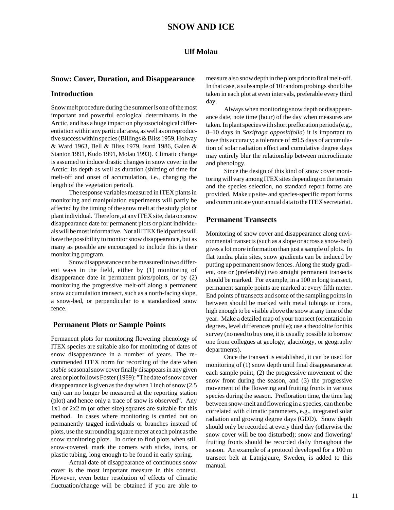#### **Ulf Molau**

#### **Snow: Cover, Duration, and Disappearance**

#### **Introduction**

Snow melt procedure during the summer is one of the most important and powerful ecological determinants in the Arctic, and has a huge impact on phytosociological differentiation within any particular area, as well as on reproductive success within species (Billings & Bliss 1959, Holway & Ward 1963, Bell & Bliss 1979, Isard 1986, Galen & Stanton 1991, Kudo 1991, Molau 1993). Climatic change is assumed to induce drastic changes in snow cover in the Arctic: its depth as well as duration (shifting of time for melt-off and onset of accumulation, i.e., changing the length of the vegetation period).

The response variables measured in ITEX plants in monitoring and manipulation experiments will partly be affected by the timing of the snow melt at the study plot or plant individual. Therefore, at any ITEX site, data on snow disappearance date for permanent plots or plant individuals will be most informative. Not all ITEX field parties will have the possibility to monitor snow disappearance, but as many as possible are encouraged to include this is their monitoring program.

Snow disappearance can be measured in two different ways in the field, either by (1) monitoring of disapperance date in permanent plots/points, or by (2) monitoring the progressive melt-off along a permanent snow accumulation transect, such as a north-facing slope, a snow-bed, or perpendicular to a standardized snow fence.

#### **Permanent Plots or Sample Points**

Permanent plots for monitoring flowering phenology of ITEX species are suitable also for monitoring of dates of snow disappearance in a number of years. The recommended ITEX norm for recording of the date when *stable* seasonal snow cover finally disappears in any given area or plot follows Foster (1989): "The date of snow cover disappearance is given as the day when 1 inch of snow (2.5 cm) can no longer be measured at the reporting station (plot) and hence only a trace of snow is observed". Any 1x1 or 2x2 m (or other size) squares are suitable for this method. In cases where monitoring is carried out on permanently tagged individuals or branches instead of plots, use the surrounding square meter at each point as the snow monitoring plots. In order to find plots when still snow-covered, mark the corners with sticks, irons, or plastic tubing, long enough to be found in early spring.

Actual date of disappearance of continuous snow cover is the most important measure in this context. However, even better resolution of effects of climatic fluctuation/change will be obtained if you are able to measure also snow depth in the plots prior to final melt-off. In that case, a subsample of 10 random probings should be taken in each plot at even intervals, preferable every third day.

Always when monitoring snow depth or disappearance date, note time (hour) of the day when measures are taken. In plant species with short prefloration periods (e.g., 8–10 days in *Saxifraga oppositifolia*) it is important to have this accuracy; a tolerance of  $\pm$  0.5 days of accumulation of solar radiation effect and cumulative degree days may entirely blur the relationship between microclimate and phenology.

Since the design of this kind of snow cover monitoring will vary among ITEX sites depending on the terrain and the species selection, no standard report forms are provided. Make up site- and species-specific report forms and communicate your annual data to the ITEX secretariat.

#### **Permanent Transects**

Monitoring of snow cover and disappearance along environmental transects (such as a slope or across a snow-bed) gives a lot more information than just a sample of plots. In flat tundra plain sites, snow gradients can be induced by putting up permanent snow fences. Along the study gradient, one or (preferably) two straight permanent transects should be marked. For example, in a 100 m long transect, permanent sample points are marked at every fifth meter. End points of transects and some of the sampling points in between should be marked with metal tubings or irons, high enough to be visible above the snow at any time of the year. Make a detailed map of your transect (orientation in degrees, level differences profile); use a theodolite for this survey (no need to buy one, it is usually possible to borrow one from collegues at geology, glaciology, or geography departments).

Once the transect is established, it can be used for monitoring of (1) snow depth until final disappearance at each sample point, (2) the progressive movement of the snow front during the season, and (3) the progressive movement of the flowering and fruiting fronts in various species during the season. Prefloration time, the time lag between snow-melt and flowering in a species, can then be correlated with climatic parameters, e.g., integrated solar radiation and growing degree days (GDD). Snow depth should only be recorded at every third day (otherwise the snow cover will be too disturbed); snow and flowering/ fruiting fronts should be recorded daily throughout the season. An example of a protocol developed for a 100 m transect belt at Latnjajaure, Sweden, is added to this manual.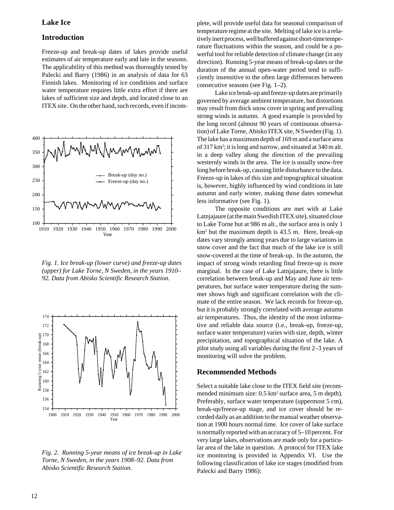#### **Lake Ice**

#### **Introduction**

Freeze-up and break-up dates of lakes provide useful estimates of air temperature early and late in the seasons. The applicability of this method was thoroughly tested by Palecki and Barry (1986) in an analysis of data for 63 Finnish lakes. Monitoring of ice conditions and surface water temperature requires little extra effort if there are lakes of sufficient size and depth, and located close to an ITEX site. On the other hand, such records, even if incom-



*Fig. 1. Ice break-up (lower curve) and freeze-up dates (upper) for Lake Torne, N Sweden, in the years 1910– 92. Data from Abisko Scientific Research Station.*



*Fig. 2. Running 5-year means of ice break-up in Lake Torne, N Sweden, in the years 1908–92. Data from Abisko Scientific Research Station.*

plete, will provide useful data for seasonal comparison of temperature regime at the site. Melting of lake ice is a relatively inert process, well buffered against short-time temperature fluctuations within the season, and could be a powerful tool for reliable detection of climate change (in any direction). Running 5-year means of break-up dates or the duration of the annual open-water period tend to sufficiently insensitive to the often large differences between consecutive seasons (see Fig. 1–2).

Lake ice break-up and freeze-up dates are primarily governed by average ambient temperature, but distortions may result from thick snow cover in spring and prevailing strong winds in autumn. A good example is provided by the long record (almost 90 years of continuous observation) of Lake Torne, Abisko ITEX site, N Sweden (Fig. 1). The lake has a maximum depth of 169 m and a surface area of 317 km2 ; it is long and narrow, and situated at 340 m alt. in a deep valley along the direction of the prevailing westernly winds in the area. The ice is usually snow-free long before break-up, causing little disturbance to the data. Freeze-up in lakes of this size and topographical situation is, however, highly influenced by wind conditions in late autumn and early winter, making those dates somewhat less informative (see Fig. 1).

The opposite conditions are met with at Lake Latnjajaure (at the main Swedish ITEX site), situated close to Lake Torne but at 986 m alt., the surface area is only 1 km2 but the maximum depth is 43.5 m. Here, break-up dates vary strongly among years due to large variations in snow cover and the fact that much of the lake ice is still snow-covered at the time of break-up. In the autumn, the impact of strong winds retarding final freeze-up is more marginal. In the case of Lake Latnjajaure, there is little correlation between break-up and May and June air temperatures, but surface water temperature during the summer shows high and significant correlation with the climate of the entire season. We lack records for freeze-up, but it is probably strongly correlated with average autumn air temperatures. Thus, the identity of the most informative and reliable data source (i.e., break-up, freeze-up, surface water temperature) varies with size, depth, winter precipitation, and topographical situation of the lake. A pilot study using all variables during the first 2–3 years of monitoring will solve the problem.

#### **Recommended Methods**

Select a suitable lake close to the ITEX field site (recommended minimum size: 0.5 km<sup>2</sup> surface area, 5 m depth). Preferably, surface water temperature (uppermost 5 cm), break-up/freeze-up stage, and ice cover should be recorded daily as an addition to the manual weather observation at 1900 hours normal time. Ice cover of lake surface is normally reported with an accuracy of 5–10 percent. For very large lakes, observations are made only for a particular area of the lake in question. A protocol for ITEX lake ice monitoring is provided in Appendix VI. Use the following classification of lake ice stages (modified from Palecki and Barry 1986):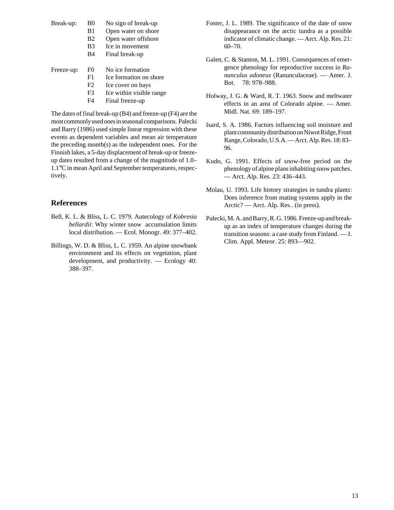| Break-up: | B <sub>0</sub> | No sign of break-up |
|-----------|----------------|---------------------|
|           | B1.            | Open water on shore |
|           | B <sub>2</sub> | Open water offshore |

- B3 Ice in movement
- B4 Final break-up

| Freeze-up: | F0 | No ice formation |
|------------|----|------------------|
|            |    |                  |

- F1 Ice formation on shore
- F<sub>2</sub> Ice cover on bays
- F3 Ice within visible range
- F4 Final freeze-up

The dates of final break-up (B4) and freeze-up (F4) are the most commonly used ones in seasonal comparisons. Palecki and Barry (1986) used simple linear regression with these events as dependent variables and mean air temperature the preceding month(s) as the independent ones. For the Finnish lakes, a 5-day displacement of break-up or freezeup dates resulted from a change of the magnitude of 1.0– 1.1°C in mean April and September temperatures, respectively.

## **References**

- Bell, K. L. & Bliss, L. C. 1979. Autecology of *Kobresia bellardii*: Why winter snow accumulation limits local distribution. — Ecol. Monogr. 49: 377–402.
- Billings, W. D. & Bliss, L. C. 1959. An alpine snowbank environment and its effects on vegetation, plant development, and productivity. — Ecology 40: 388–397.
- Foster, J. L. 1989. The significance of the date of snow disappearance on the arctic tundra as a possible indicator of climatic change. — Arct. Alp. Res. 21: 60–70.
- Galen, C. & Stanton, M. L. 1991. Consequences of emergence phenology for reproductive success in *Ranunculus adoneus* (Ranunculaceae). — Amer. J. Bot. 78: 978–988.
- Holway, J. G. & Ward, R. T. 1963. Snow and meltwater effects in an area of Colorado alpine. — Amer. Midl. Nat. 69: 189–197.
- Isard, S. A. 1986. Factors influencing soil moisture and plant community distribution on Niwot Ridge, Front Range, Colorado, U.S.A. — Arct. Alp. Res. 18: 83– 96.
- Kudo, G. 1991. Effects of snow-free period on the phenology of alpine plans inhabiting snow patches. — Arct. Alp. Res. 23: 436–443.
- Molau, U. 1993. Life history strategies in tundra plants: Does inference from mating systems apply in the Arctic? — Arct. Alp. Res.. (in press).
- Palecki, M. A. and Barry, R. G. 1986. Freeze-up and breakup as an index of temperature changes during the transition seasons: a case study from Finland. — J. Clim. Appl. Meteor. 25: 893—902.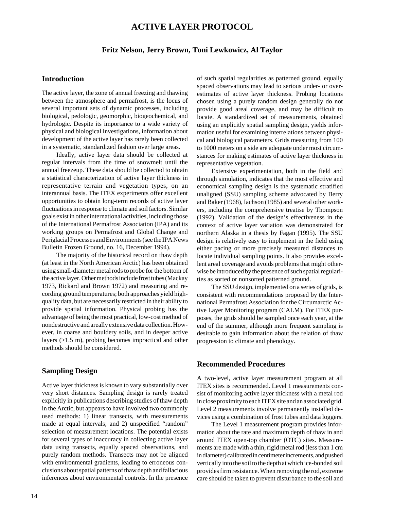## **ACTIVE LAYER PROTOCOL**

#### **Fritz Nelson, Jerry Brown, Toni Lewkowicz, Al Taylor**

#### **Introduction**

The active layer, the zone of annual freezing and thawing between the atmosphere and permafrost, is the locus of several important sets of dynamic processes, including biological, pedologic, geomorphic, biogeochemical, and hydrologic. Despite its importance to a wide variety of physical and biological investigations, information about development of the active layer has rarely been collected in a systematic, standardized fashion over large areas.

Ideally, active layer data should be collected at regular intervals from the time of snowmelt until the annual freezeup. These data should be collected to obtain a statistical characterization of active layer thickness in representative terrain and vegetation types, on an interannual basis. The ITEX experiments offer excellent opportunities to obtain long-term records of active layer fluctuations in response to climate and soil factors. Similar goals exist in other international activities, including those of the International Permafrost Association (IPA) and its working groups on Permafrost and Global Change and Periglacial Processes and Environments (see the IPA News Bulletin Frozen Ground, no. 16, December 1994).

The majority of the historical record on thaw depth (at least in the North American Arctic) has been obtained using small-diameter metal rods to probe for the bottom of the active layer. Other methods include frost tubes (Mackay 1973, Rickard and Brown 1972) and measuring and recording ground temperatures; both approaches yield highquality data, but are necessarily restricted in their ability to provide spatial information. Physical probing has the advantage of being the most practical, low-cost method of nondestructive and areally extensive data collection. However, in coarse and bouldery soils, and in deeper active layers (>1.5 m), probing becomes impractical and other methods should be considered.

#### **Sampling Design**

Active layer thickness is known to vary substantially over very short distances. Sampling design is rarely treated explicitly in publications describing studies of thaw depth in the Arctic, but appears to have involved two commonly used methods: 1) linear transects, with measurements made at equal intervals; and 2) unspecified "random" selection of measurement locations. The potential exists for several types of inaccuracy in collecting active layer data using transects, equally spaced observations, and purely random methods. Transects may not be aligned with environmental gradients, leading to erroneous conclusions about spatial patterns of thaw depth and fallacious inferences about environmental controls. In the presence of such spatial regularities as patterned ground, equally spaced observations may lead to serious under- or overestimates of active layer thickness. Probing locations chosen using a purely random design generally do not provide good areal coverage, and may be difficult to locate. A standardized set of measurements, obtained using an explicitly spatial sampling design, yields information useful for examining interrelations between physical and biological parameters. Grids measuring from 100 to 1000 meters on a side are adequate under most circumstances for making estimates of active layer thickness in representative vegetation.

Extensive experimentation, both in the field and through simulation, indicates that the most effective and economical sampling design is the systematic stratified unaligned (SSU) sampling scheme advocated by Berry and Baker (1968), Iachson (1985) and several other workers, including the comprehensive treatise by Thompson (1992). Validation of the design's effectiveness in the context of active layer variation was demonstrated for northern Alaska in a thesis by Fagan (1995). The SSU design is relatively easy to implement in the field using either pacing or more precisely measured distances to locate individual sampling points. It also provides excellent areal coverage and avoids problems that might otherwise be introduced by the presence of such spatial regularities as sorted or nonsorted patterned ground.

The SSU design, implemented on a series of grids, is consistent with recommendations proposed by the International Permafrost Association for the Circumarctic Active Layer Monitoring program (CALM). For ITEX purposes, the grids should be sampled once each year, at the end of the summer, although more frequent sampling is desirable to gain information about the relation of thaw progression to climate and phenology.

#### **Recommended Procedures**

A two-level, active layer measurement program at all ITEX sites is recommended. Level 1 measurements consist of monitoring active layer thickness with a metal rod in close proximity to each ITEX site and an associated grid. Level 2 measurements involve permanently installed devices using a combination of frost tubes and data loggers.

The Level 1 measurement program provides information about the rate and maximum depth of thaw in and around ITEX open-top chamber (OTC) sites. Measurements are made with a thin, rigid metal rod (less than 1 cm in diameter) calibrated in centimeter increments, and pushed vertically into the soil to the depth at which ice-bonded soil provides firm resistance. When removing the rod, extreme care should be taken to prevent disturbance to the soil and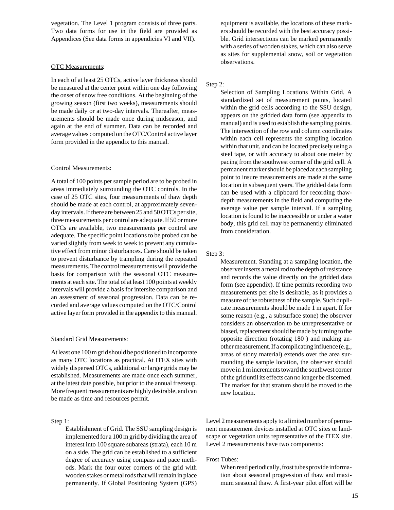vegetation. The Level 1 program consists of three parts. Two data forms for use in the field are provided as Appendices (See data forms in appendicies VI and VII).

#### OTC Measurements:

In each of at least 25 OTCs, active layer thickness should be measured at the center point within one day following the onset of snow free conditions. At the beginning of the growing season (first two weeks), measurements should be made daily or at two-day intervals. Thereafter, measurements should be made once during midseason, and again at the end of summer. Data can be recorded and average values computed on the OTC/Control active layer form provided in the appendix to this manual.

#### Control Measurements:

A total of 100 points per sample period are to be probed in areas immediately surrounding the OTC controls. In the case of 25 OTC sites, four measurements of thaw depth should be made at each control, at approximately sevenday intervals. If there are between 25 and 50 OTCs per site, three measurements per control are adequate. If 50 or more OTCs are available, two measurements per control are adequate. The specific point locations to be probed can be varied slightly from week to week to prevent any cumulative effect from minor disturbances. Care should be taken to prevent disturbance by trampling during the repeated measurements. The control measurements will provide the basis for comparison with the seasonal OTC measurements at each site. The total of at least 100 points at weekly intervals will provide a basis for intersite comparison and an assessment of seasonal progression. Data can be recorded and average values computed on the OTC/Control active layer form provided in the appendix to this manual.

#### Standard Grid Measurements:

At least one 100 m grid should be positioned to incorporate as many OTC locations as practical. At ITEX sites with widely dispersed OTCs, additional or larger grids may be established. Measurements are made once each summer, at the latest date possible, but prior to the annual freezeup. More frequent measurements are highly desirable, and can be made as time and resources permit.

#### Step 1:

Establishment of Grid. The SSU sampling design is implemented for a 100 m grid by dividing the area of interest into 100 square subareas (strata), each 10 m on a side. The grid can be established to a sufficient degree of accuracy using compass and pace methods. Mark the four outer corners of the grid with wooden stakes or metal rods that will remain in place permanently. If Global Positioning System (GPS) equipment is available, the locations of these markers should be recorded with the best accuracy possible. Grid intersections can be marked permanently with a series of wooden stakes, which can also serve as sites for supplemental snow, soil or vegetation observations.

#### Step 2:

Selection of Sampling Locations Within Grid. A standardized set of measurement points, located within the grid cells according to the SSU design, appears on the gridded data form (see appendix to manual) and is used to establish the sampling points. The intersection of the row and column coordinates within each cell represents the sampling location within that unit, and can be located precisely using a steel tape, or with accuracy to about one meter by pacing from the southwest corner of the grid cell. A permanent marker should be placed at each sampling point to insure measurements are made at the same location in subsequent years. The gridded data form can be used with a clipboard for recording thawdepth measurements in the field and computing the average value per sample interval. If a sampling location is found to be inaccessible or under a water body, this grid cell may be permanently eliminated from consideration.

#### Step 3:

Measurement. Standing at a sampling location, the observer inserts a metal rod to the depth of resistance and records the value directly on the gridded data form (see appendix). If time permits recording two measurements per site is desirable, as it provides a measure of the robustness of the sample. Such duplicate measurements should be made 1 m apart. If for some reason (e.g., a subsurface stone) the observer considers an observation to be unrepresentative or biased, replacement should be made by turning to the opposite direction (rotating 180 ) and making another measurement. If a complicating influence (e.g., areas of stony material) extends over the area surrounding the sample location, the observer should move in 1 m increments toward the southwest corner of the grid until its effects can no longer be discerned. The marker for that stratum should be moved to the new location.

Level 2 measurements apply to a limited number of permanent measurement devices installed at OTC sites or landscape or vegetation units representative of the ITEX site. Level 2 measurements have two components:

#### Frost Tubes:

When read periodically, frost tubes provide information about seasonal progression of thaw and maximum seasonal thaw. A first-year pilot effort will be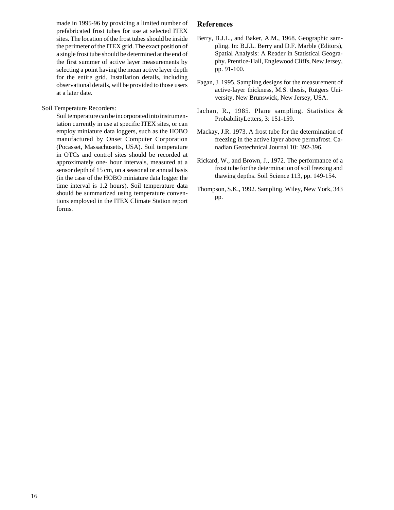made in 1995-96 by providing a limited number of prefabricated frost tubes for use at selected ITEX sites. The location of the frost tubes should be inside the perimeter of the ITEX grid. The exact position of a single frost tube should be determined at the end of the first summer of active layer measurements by selecting a point having the mean active layer depth for the entire grid. Installation details, including observational details, will be provided to those users at a later date.

#### Soil Temperature Recorders:

Soil temperature can be incorporated into instrumentation currently in use at specific ITEX sites, or can employ miniature data loggers, such as the HOBO manufactured by Onset Computer Corporation (Pocasset, Massachusetts, USA). Soil temperature in OTCs and control sites should be recorded at approximately one- hour intervals, measured at a sensor depth of 15 cm, on a seasonal or annual basis (in the case of the HOBO miniature data logger the time interval is 1.2 hours). Soil temperature data should be summarized using temperature conventions employed in the ITEX Climate Station report forms.

#### **References**

- Berry, B.J.L., and Baker, A.M., 1968. Geographic sampling. In: B.J.L. Berry and D.F. Marble (Editors), Spatial Analysis: A Reader in Statistical Geography. Prentice-Hall, Englewood Cliffs, New Jersey, pp. 91-100.
- Fagan, J. 1995. Sampling designs for the measurement of active-layer thickness, M.S. thesis, Rutgers University, New Brunswick, New Jersey, USA.
- Iachan, R., 1985. Plane sampling. Statistics & ProbabilityLetters, 3: 151-159.
- Mackay, J.R. 1973. A frost tube for the determination of freezing in the active layer above permafrost. Canadian Geotechnical Journal 10: 392-396.
- Rickard, W., and Brown, J., 1972. The performance of a frost tube for the determination of soil freezing and thawing depths. Soil Science 113, pp. 149-154.
- Thompson, S.K., 1992. Sampling. Wiley, New York, 343 pp.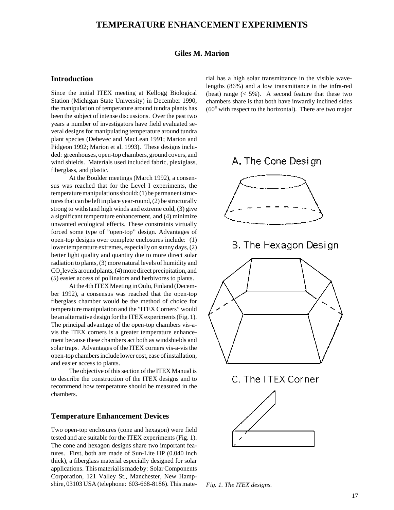## **TEMPERATURE ENHANCEMENT EXPERIMENTS**

#### **Giles M. Marion**

#### **Introduction**

Since the initial ITEX meeting at Kellogg Biological Station (Michigan State University) in December 1990, the manipulation of temperature around tundra plants has been the subject of intense discussions. Over the past two years a number of investigators have field evaluated several designs for manipulating temperature around tundra plant species (Debevec and MacLean 1991; Marion and Pidgeon 1992; Marion et al. 1993). These designs included: greenhouses, open-top chambers, ground covers, and wind shields. Materials used included fabric, plexiglass, fiberglass, and plastic.

At the Boulder meetings (March 1992), a consensus was reached that for the Level I experiments, the temperature manipulations should: (1) be permanent structures that can be left in place year-round, (2) be structurally strong to withstand high winds and extreme cold, (3) give a significant temperature enhancement, and (4) minimize unwanted ecological effects. These constraints virtually forced some type of "open-top" design. Advantages of open-top designs over complete enclosures include: (1) lower temperature extremes, especially on sunny days, (2) better light quality and quantity due to more direct solar radiation to plants, (3) more natural levels of humidity and  $\mathrm{CO}_2$  levels around plants, (4) more direct precipitation, and (5) easier access of pollinators and herbivores to plants.

At the 4th ITEX Meeting in Oulu, Finland (December 1992), a consensus was reached that the open-top fiberglass chamber would be the method of choice for temperature manipulation and the "ITEX Corners" would be an alternative design for the ITEX experiments (Fig. 1). The principal advantage of the open-top chambers vis-avis the ITEX corners is a greater temperature enhancement because these chambers act both as windshields and solar traps. Advantages of the ITEX corners vis-a-vis the open-top chambers include lower cost, ease of installation, and easier access to plants.

The objective of this section of the ITEX Manual is to describe the construction of the ITEX designs and to recommend how temperature should be measured in the chambers.

#### **Temperature Enhancement Devices**

Two open-top enclosures (cone and hexagon) were field tested and are suitable for the ITEX experiments (Fig. 1). The cone and hexagon designs share two important features. First, both are made of Sun-Lite HP (0.040 inch thick), a fiberglass material especially designed for solar applications. This material is made by: Solar Components Corporation, 121 Valley St., Manchester, New Hampshire, 03103 USA (telephone: 603-668-8186). This mate-

rial has a high solar transmittance in the visible wavelengths (86%) and a low transmittance in the infra-red (heat) range  $(< 5\%)$ . A second feature that these two chambers share is that both have inwardly inclined sides (60° with respect to the horizontal). There are two major



B. The Hexagon Design







*Fig. 1. The ITEX designs.*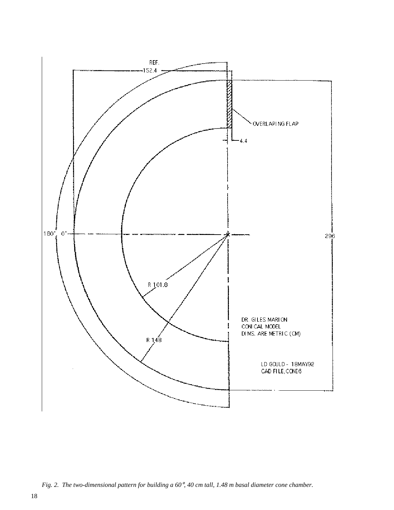

*Fig. 2. The two-dimensional pattern for building a 60*°*, 40 cm tall, 1.48 m basal diameter cone chamber.*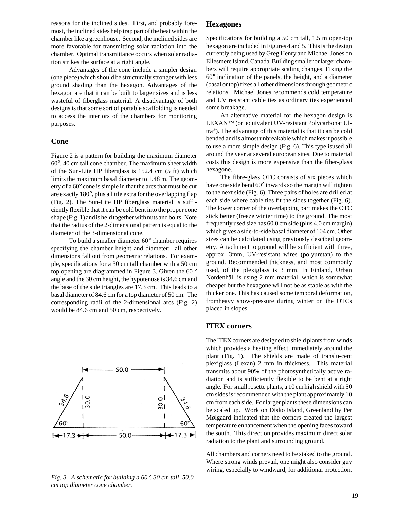reasons for the inclined sides. First, and probably foremost, the inclined sides help trap part of the heat within the chamber like a greenhouse. Second, the inclined sides are more favorable for transmitting solar radiation into the chamber. Optimal transmittance occurs when solar radiation strikes the surface at a right angle.

Advantages of the cone include a simpler design (one piece) which should be structurally stronger with less ground shading than the hexagon. Advantages of the hexagon are that it can be built to larger sizes and is less wasteful of fiberglass material. A disadvantage of both designs is that some sort of portable scaffolding is needed to access the interiors of the chambers for monitoring purposes.

#### **Cone**

Figure 2 is a pattern for building the maximum diameter 60°, 40 cm tall cone chamber. The maximum sheet width of the Sun-Lite HP fiberglass is 152.4 cm (5 ft) which limits the maximum basal diameter to 1.48 m. The geometry of a 60° cone is simple in that the arcs that must be cut are exactly 180°, plus a little extra for the overlapping flap (Fig. 2). The Sun-Lite HP fiberglass material is sufficiently flexible that it can be cold bent into the proper cone shape (Fig. 1) and is held together with nuts and bolts. Note that the radius of the 2-dimensional pattern is equal to the diameter of the 3-dimensional cone.

To build a smaller diameter 60° chamber requires specifying the chamber height and diameter; all other dimensions fall out from geometric relations. For example, specifications for a 30 cm tall chamber with a 50 cm top opening are diagrammed in Figure 3. Given the 60 ° angle and the 30 cm height, the hypotenuse is 34.6 cm and the base of the side triangles are 17.3 cm. This leads to a basal diameter of 84.6 cm for a top diameter of 50 cm. The corresponding radii of the 2-dimensional arcs (Fig. 2) would be 84.6 cm and 50 cm, respectively.



#### *Fig. 3. A schematic for building a 60*°*, 30 cm tall, 50.0 cm top diameter cone chamber.*

#### **Hexagones**

Specifications for building a 50 cm tall, 1.5 m open-top hexagon are included in Figures 4 and 5. This is the design currently being used by Greg Henry and Michael Jones on Ellesmere Island, Canada. Building smaller or larger chambers will require appropriate scaling changes. Fixing the 60° inclination of the panels, the height, and a diameter (basal or top) fixes all other dimensions through geometric relations. Michael Jones recommends cold temperature and UV resistant cable ties as ordinary ties experienced some breakage.

An alternative material for the hexagon design is LEXAN™ (or equivalent UV-resistant Polycarbonat Ultra®). The advantage of this material is that it can be cold bended and is almost unbreakable which makes it possible to use a more simple design (Fig. 6). This type isused all around the year at several european sites. Due to material costs this design is more expensive than the fiber-glass hexagone.

The fibre-glass OTC consists of six pieces which have one side bend 60° inwards so the margin will tighten to the next side (Fig. 6). Three pairs of holes are drilled at each side where cable ties fit the sides together (Fig. 6). The lower corner of the overlapping part makes the OTC stick better (freeze winter time) to the ground. The most frequently used size has 60.0 cm side (plus 4.0 cm margin) which gives a side-to-side basal diameter of 104 cm. Other sizes can be calculated using previously descibed geometry. Attachment to ground will be sufficient with three, approx. 3mm, UV-resistant wires (polyuretan) to the ground. Recommended thickness, and most commonly used, of the plexiglass is 3 mm. In Finland, Urban Nordenhäll is using 2 mm material, which is somewhat cheaper but the hexagone will not be as stable as with the thicker one. This has caused some temporal deformation, fromheavy snow-pressure during winter on the OTCs placed in slopes.

#### **ITEX corners**

The ITEX corners are designed to shield plants from winds which provides a heating effect immediately around the plant (Fig. 1). The shields are made of translu-cent plexiglass (Lexan) 2 mm in thickness. This material transmits about 90% of the photosynthetically active radiation and is sufficiently flexible to be bent at a right angle. For small rosette plants, a 10 cm high shield with 50 cm sides is recommended with the plant approximately 10 cm from each side. For larger plants these dimensions can be scaled up. Work on Disko Island, Greenland by Per Mølgaard indicated that the corners created the largest temperature enhancement when the opening faces toward the south. This direction provides maximum direct solar radiation to the plant and surrounding ground.

All chambers and corners need to be staked to the ground. Where strong winds prevail, one might also consider guy wiring, especially to windward, for additional protection.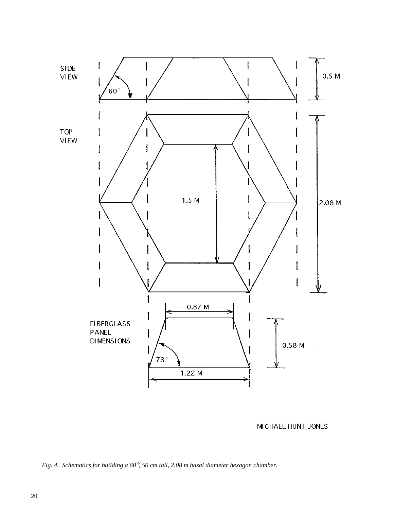

MICHAEL HUNT JONES

*Fig. 4. Schematics for building a 60*°*, 50 cm tall, 2.08 m basal diameter hexagon chamber.*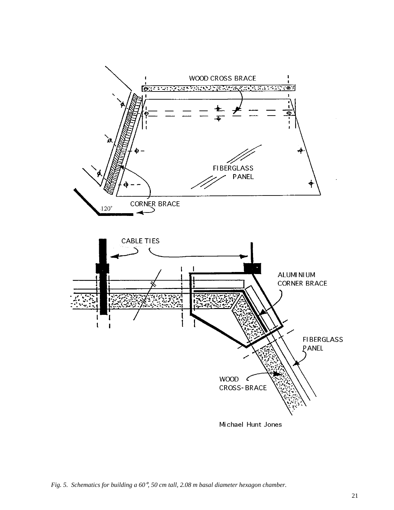

*Fig. 5. Schematics for building a 60*°*, 50 cm tall, 2.08 m basal diameter hexagon chamber.*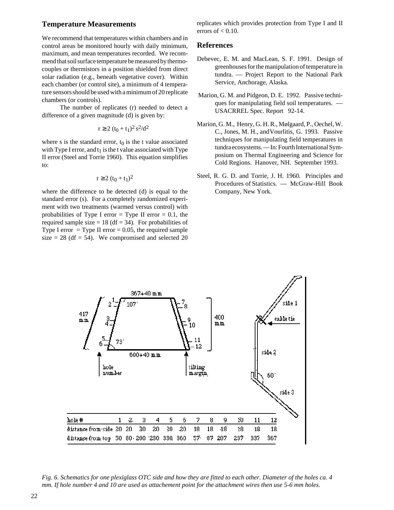#### **Temperature Measurements**

We recommend that temperatures within chambers and in control areas be monitored hourly with daily minimum, maximum, and mean temperatures recorded. We recommend that soil surface temperature be measured by thermocouples or thermistors in a position shielded from direct solar radiation (e.g., beneath vegetative cover). Within each chamber (or control site), a minimum of 4 temperature sensors should be used with a minimum of 20 replicate chambers (or controls).

The number of replicates (r) needed to detect a difference of a given magnitude (d) is given by:

$$
r \ge 2 (t_0 + t_1)^2 s^2 / d^2
$$

where s is the standard error,  $t_0$  is the t value associated with Type I error, and  $t_1$  is the t value associated with Type II error (Steel and Torrie 1960). This equation simplifies to:

$$
r \ge 2 (t_0 + t_1)^2
$$

where the difference to be detected (d) is equal to the standard error (s). For a completely randomized experiment with two treatments (warmed versus control) with probabilities of Type I error = Type II error =  $0.1$ , the required sample size  $= 18$  (df  $= 34$ ). For probabilities of Type I error  $=$  Type II error  $=$  0.05, the required sample size  $= 28$  (df  $= 54$ ). We compromised and selected 20 replicates which provides protection from Type I and II errors of  $< 0.10$ .

#### **References**

- Debevec, E. M. and MacLean, S. F. 1991. Design of greenhouses for the manipulation of temperature in tundra. — Project Report to the National Park Service, Anchorage, Alaska.
- Marion, G. M. and Pidgeon, D. E. 1992. Passive techniques for manipulating field soil temperatures. — USACRREL Spec. Report 92-14.
- Marion, G. M., Henry, G. H. R., Mølgaard, P., Oechel, W. C., Jones, M. H., andVourlitis, G. 1993. Passive techniques for manipulating field temperatures in tundra ecosystems. — In: Fourth International Symposium on Thermal Engineering and Science for Cold Regions. Hanover, NH. September 1993.
- Steel, R. G. D. and Torrie, J. H. 1960. Principles and Procedures of Statistics. — McGraw-Hill Book Company, New York.



*Fig. 6. Schematics for one plexiglass OTC side and how they are fitted to each other. Diameter of the holes ca. 4 mm. If hole number 4 and 10 are used as attachement point for the attachment wires then use 5-6 mm holes.*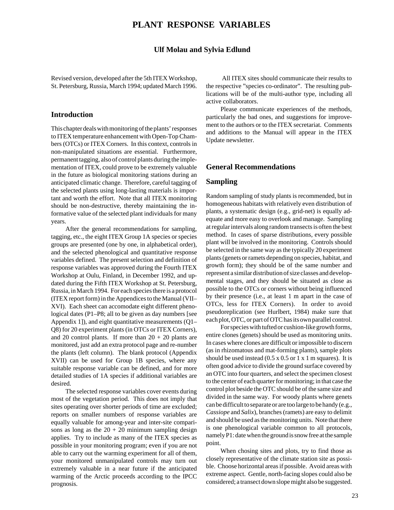#### **Ulf Molau and Sylvia Edlund**

Revised version, developed after the 5th ITEX Workshop, St. Petersburg, Russia, March 1994; updated March 1996.

#### **Introduction**

This chapter deals with monitoring of the plants' responses to ITEX temperature enhancement with Open-Top Chambers (OTCs) or ITEX Corners. In this context, controls in non-manipulated situations are essential. Furthermore, permanent tagging, also of control plants during the implementation of ITEX, could prove to be extremely valuable in the future as biological monitoring stations during an anticipated climatic change. Therefore, careful tagging of the selected plants using long-lasting materials is important and worth the effort. Note that all ITEX monitoring should be non-destructive, thereby maintaining the informative value of the selected plant individuals for many years.

After the general recommendations for sampling, tagging, etc., the eight ITEX Group 1A species or species groups are presented (one by one, in alphabetical order), and the selected phenological and quantitative response variables defined. The present selection and definition of response variables was approved during the Fourth ITEX Workshop at Oulu, Finland, in December 1992, and updated during the Fifth ITEX Workshop at St. Petersburg, Russia, in March 1994. For each species there is a protocol (ITEX report form) in the Appendices to the Manual (VII– XVI). Each sheet can accomodate eight different phenological dates (P1–P8; all to be given as day numbers [see Appendix 1]), and eight quantitative measurements (Q1– Q8) for 20 experiment plants (in OTCs or ITEX Corners), and 20 control plants. If more than  $20 + 20$  plants are monitored, just add an extra protocol page and re-number the plants (left column). The blank protocol (Appendix XVII) can be used for Group 1B species, where any suitable response variable can be defined, and for more detailed studies of 1A species if additional variables are desired.

The selected response variables cover events during most of the vegetation period. This does not imply that sites operating over shorter periods of time are excluded; reports on smaller numbers of response variables are equally valuable for among-year and inter-site comparisons as long as the  $20 + 20$  minimum sampling design applies. Try to include as many of the ITEX species as possible in your monitoring program; even if you are not able to carry out the warming experiment for all of them, your monitored unmanipulated controls may turn out extremely valuable in a near future if the anticipated warming of the Arctic proceeds according to the IPCC prognosis.

 All ITEX sites should communicate their results to the respective "species co-ordinator". The resulting publications will be of the multi-author type, including all active collaborators.

Please communicate experiences of the methods, particularly the bad ones, and suggestions for improvement to the authors or to the ITEX secretariat. Comments and additions to the Manual will appear in the ITEX Update newsletter.

## **General Recommendations**

#### **Sampling**

Random sampling of study plants is recommended, but in homogeneous habitats with relatively even distribution of plants, a systematic design (e.g., grid-net) is equally adequate and more easy to overlook and manage. Sampling at regular intervals along random transects is often the best method. In cases of sparse distributions, every possible plant will be involved in the monitoring. Controls should be selected in the same way as the typically 20 experiment plants (genets or ramets depending on species, habitat, and growth form); they should be of the same number and represent a similar distribution of size classes and developmental stages, and they should be situated as close as possible to the OTCs or corners without being influenced by their presence (i.e., at least 1 m apart in the case of OTCs, less for ITEX Corners). In order to avoid pseudoreplication (see Hurlbert, 1984) make sure that each plot, OTC, or part of OTC has its own parallel control.

For species with tufted or cushion-like growth forms, entire clones (genets) should be used as monitoring units. In cases where clones are difficult or impossible to discern (as in rhizomatous and mat-forming plants), sample plots should be used instead  $(0.5 \times 0.5 \text{ or } 1 \times 1 \text{ m}$  squares). It is often good advice to divide the ground surface covered by an OTC into four quarters, and select the specimen closest to the center of each quarter for monitoring; in that case the control plot beside the OTC should be of the same size and divided in the same way. For woody plants where genets can be difficult to separate or are too large to be handy (e.g., *Cassiope* and *Salix*), branches (ramets) are easy to delimit and should be used as the monitoring units. Note that there is one phenological variable common to all protocols, namely P1: date when the ground is snow free at the sample point.

When chosing sites and plots, try to find those as closely representative of the climate station site as possible. Choose horizontal areas if possible. Avoid areas with extreme aspect. Gentle, north-facing slopes could also be considered; a transect down slope might also be suggested.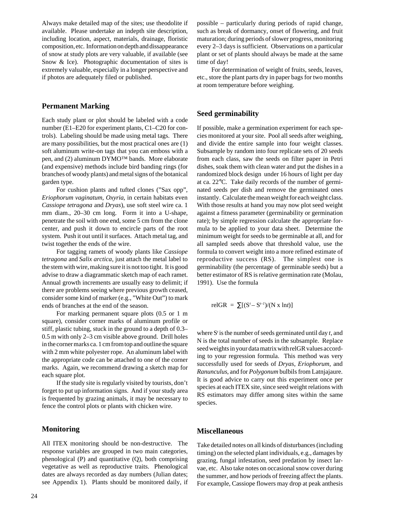Always make detailed map of the sites; use theodolite if available. Please undertake an indepth site description, including location, aspect, materials, drainage, floristic composition, etc. Information on depth and dissappearance of snow at study plots are very valuable, if available (see Snow & Ice). Photographic documentation of sites is extremely valuable, especially in a longer perspective and if photos are adequately filed or published.

#### **Permanent Marking**

Each study plant or plot should be labeled with a code number (E1–E20 for experiment plants, C1–C20 for controls). Labeling should be made using metal tags. There are many possibilities, but the most practical ones are (1) soft aluminum write-on tags that you can emboss with a pen, and (2) aluminum DYMO™ bands. More elaborate (and expensive) methods include bird banding rings (for branches of woody plants) and metal signs of the botanical garden type.

For cushion plants and tufted clones ("Sax opp", *Eriophorum vaginatum*, *Oxyria*, in certain habitats even *Cassiope tetragona* and *Dryas*), use soft steel wire ca. 1 mm diam., 20–30 cm long. Form it into a U-shape, penetrate the soil with one end, some 5 cm from the clone center, and push it down to encircle parts of the root system. Push it out until it surfaces. Attach metal tag, and twist together the ends of the wire.

For tagging ramets of woody plants like *Cassiope tetragona* and *Salix arctica*, just attach the metal label to the stem with wire, making sure it is not too tight. It is good advise to draw a diagrammatic sketch map of each ramet. Annual growth increments are usually easy to delimit; if there are problems seeing where previous growth ceased, consider some kind of marker (e.g., "White Out") to mark ends of branches at the end of the season.

For marking permanent square plots (0.5 or 1 m square), consider corner marks of aluminum profile or stiff, plastic tubing, stuck in the ground to a depth of 0.3– 0.5 m with only 2–3 cm visible above ground. Drill holes in the corner marks ca. 1 cm from top and outline the square with 2 mm white polyester rope. An aluminum label with the appropriate code can be attached to one of the corner marks. Again, we recommend drawing a sketch map for each square plot.

If the study site is regularly visited by tourists, don't forget to put up information signs. And if your study area is frequented by grazing animals, it may be necessary to fence the control plots or plants with chicken wire.

#### **Monitoring**

All ITEX monitoring should be non-destructive. The response variables are grouped in two main categories, phenological (P) and quantitative (Q), both comprising vegetative as well as reproductive traits. Phenological dates are always recorded as day numbers (Julian dates; see Appendix 1). Plants should be monitored daily, if possible – particularly during periods of rapid change, such as break of dormancy, onset of flowering, and fruit maturation; during periods of slower progress, monitoring every 2–3 days is sufficient. Observations on a particular plant or set of plants should always be made at the same time of day!

For determination of weight of fruits, seeds, leaves, etc., store the plant parts dry in paper bags for two months at room temperature before weighing.

#### **Seed germinability**

If possible, make a germination experiment for each species monitored at your site. Pool all seeds after weighing, and divide the entire sample into four weight classes. Subsample by random into four replicate sets of 20 seeds from each class, saw the seeds on filter paper in Petri dishes, soak them with clean water and put the dishes in a randomized block design under 16 hours of light per day at ca. 22°C. Take daily records of the number of germinated seeds per dish and remove the germinated ones instantly. Calculate the mean weight for each weight class. With those results at hand you may now plot seed weight against a fitness parameter (germinability or germination rate); by simple regression calculate the appropriate formula to be applied to your data sheet. Determine the minimum weight for seeds to be germinable at all, and for all sampled seeds above that threshold value, use the formula to convert weight into a more refined estimate of reproductive success (RS). The simplest one is germinability (the percentage of germinable seeds) but a better estimator of RS is relative germination rate (Molau, 1991). Use the formula

$$
\text{relGR} = \sum [(S^t - S^{t-1})/(N \times \ln t)]
$$

where S*<sup>t</sup>* is the number of seeds germinated until day *t*, and N is the total number of seeds in the subsample. Replace seed weights in your data matrix with relGR values according to your regression formula. This method was very successfully used for seeds of *Dryas*, *Eriophorum*, and *Ranunculus*, and for *Polygonum* bulbils from Latnjajaure. It is good advice to carry out this experiment once per species at each ITEX site, since seed weight relations with RS estimators may differ among sites within the same species.

#### **Miscellaneous**

Take detailed notes on all kinds of disturbances (including timing) on the selected plant individuals, e.g., damages by grazing, fungal infestation, seed predation by insect larvae, etc. Also take notes on occasional snow cover during the summer, and how periods of freezing affect the plants. For example, Cassiope flowers may drop at peak anthesis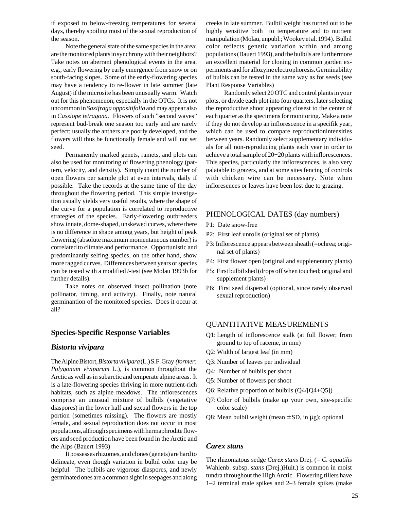if exposed to below-freezing temperatures for several days, thereby spoiling most of the sexual reproduction of the season.

Note the general state of the same species in the area: are the monitored plants in synchrony with their neighbors? Take notes on aberrant phenological events in the area, e.g., early flowering by early emergence from snow or on south-facing slopes. Some of the early-flowering species may have a tendency to re-flower in late summer (late August) if the microsite has been unusually warm. Watch out for this phenomenon, especially in the OTCs. It is not uncommon in *Saxifraga oppositifolia* and may appear also in *Cassiope tetragona*. Flowers of such "second waves" represent bud-break one season too early and are rarely perfect; usually the anthers are poorly developed, and the flowers will thus be functionally female and will not set seed.

Permanently marked genets, ramets, and plots can also be used for monitoring of flowering phenology (pattern, velocity, and density). Simply count the number of open flowers per sample plot at even intervals, daily if possible. Take the records at the same time of the day throughout the flowering period. This simple investigation usually yields very useful results, where the shape of the curve for a population is correlated to reproductive strategies of the species. Early-flowering outbreeders show innate, dome-shaped, unskewed curves, where there is no difference in shape among years, but height of peak flowering (absolute maximum momentaneous number) is correlated to climate and performance. Opportunistic and predominantly selfing species, on the other hand, show more ragged curves. Differences between years or species can be tested with a modified *t*-test (see Molau 1993b for further details).

Take notes on observed insect pollination (note pollinator, timing, and activity). Finally, note natural germinantion of the monitored species. Does it occur at all?

#### **Species-Specific Response Variables**

#### *Bistorta vivipara*

The Alpine Bistort, *Bistorta vivipara* (L.) S.F. Gray *(former: Polygonum viviparum* L.), is common throughout the Arctic as well as in subarctic and temperate alpine areas. It is a late-flowering species thriving in more nutrient-rich habitats, such as alpine meadows. The inflorescences comprise an unusual mixture of bulbils (vegetative diaspores) in the lower half and sexual flowers in the top portion (sometimes missing). The flowers are mostly female, and sexual reproduction does not occur in most populations, although specimens with hermaphrodite flowers and seed production have been found in the Arctic and the Alps (Bauert 1993)

It possesses rhizomes, and clones (genets) are hard to delineate, even though variation in bulbil color may be helpful. The bulbils are vigorous diaspores, and newly germinated ones are a common sight in seepages and along

creeks in late summer. Bulbil weight has turned out to be highly sensitive both to temperature and to nutrient manipulation (Molau, unpubl.; Wookey et al. 1994). Bulbil color reflects genetic variation within and among populations (Bauert 1993), and the bulbils are furthermore an excellent material for cloning in common garden experiments and for allozyme electrophoresis. Germinability of bulbis can be tested in the same way as for seeds (see Plant Response Variables)

Randomly select 20 OTC and control plants in your plots, or divide each plot into four quarters, later selecting the reproductive shoot appearing closest to the center of each quarter as the specimens for monitoring. Make a note if they do not develop an inflorescence in a specifik year, which can be used to compare reproductionintensities between years. Randomly select supplementary individuals for all non-reproducing plants each year in order to achieve a total sample of 20+20 plants with inflorescences. This species, particularly the inflorescences, is also very palatable to grazers, and at some sites fencing of controls with chicken wire can be necessary. Note when infloresences or leaves have been lost due to grazing.

#### PHENOLOGICAL DATES (day numbers)

- P1: Date snow-free
- P2: First leaf unrolls (original set of plants)
- P3: Inflorescence appears between sheath (=ochrea; original set of plants)
- P4: First flower open (original and supplenentary plants)
- P5: First bulbil shed (drops off when touched; original and supplement plants)
- P6: First seed dispersal (optional, since rarely observed sexual reproduction)

#### QUANTITATIVE MEASUREMENTS

- Q1: Length of inflorescence stalk (at full flower; from ground to top of raceme, in mm)
- Q2: Width of largest leaf (in mm)
- Q3: Number of leaves per individual
- Q4: Number of bulbils per shoot
- Q5: Number of flowers per shoot
- Q6: Relative proportion of bulbils (Q4/[Q4+Q5])
- Q7: Color of bulbils (make up your own, site-specific color scale)
- Q8: Mean bulbil weight (mean  $\pm$  SD, in  $\mu$ g); optional

#### *Carex stans*

The rhizomatous sedge *Carex stans* Drej. (= *C. aquatilis* Wahlenb. subsp. *stans* (Drej.)Hult.) is common in moist tundra throughout the High Arctic. Flowering tillers have 1–2 terminal male spikes and 2–3 female spikes (make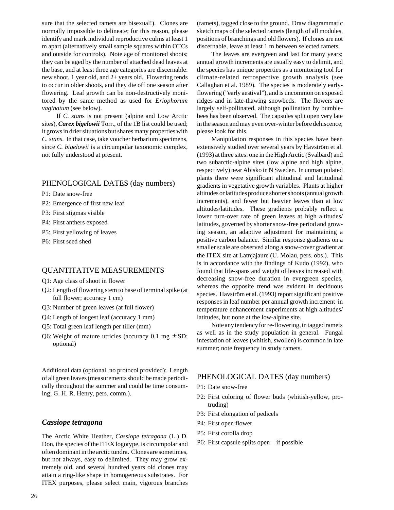sure that the selected ramets are bisexual!). Clones are normally impossible to delineate; for this reason, please identify and mark individual reproductive culms at least 1 m apart (alternatively small sample squares within OTCs and outside for controls). Note age of monitored shoots; they can be aged by the number of attached dead leaves at the base, and at least three age categories are discernable: new shoot, 1 year old, and 2+ years old. Flowering tends to occur in older shoots, and they die off one season after flowering. Leaf growth can be non-destructively monitored by the same method as used for *Eriophorum vaginatum* (see below).

If *C. stan*s is not present (alpine and Low Arctic sites), *Carex bigelowii* Torr., of the 1B list could be used; it grows in drier situations but shares many properties with *C. stans*. In that case, take voucher herbarium specimens, since *C. bigelowii* is a circumpolar taxonomic complex, not fully understood at present.

#### PHENOLOGICAL DATES (day numbers)

P1: Date snow-free

- P2: Emergence of first new leaf
- P3: First stigmas visible
- P4: First anthers exposed
- P5: First yellowing of leaves
- P6: First seed shed

#### QUANTITATIVE MEASUREMENTS

- Q1: Age class of shoot in flower
- Q2: Length of flowering stem to base of terminal spike (at full flower; accuracy 1 cm)
- Q3: Number of green leaves (at full flower)
- Q4: Length of longest leaf (accuracy 1 mm)
- Q5: Total green leaf length per tiller (mm)
- Q6: Weight of mature utricles (accuracy  $0.1 \text{ mg} \pm \text{SD}$ ; optional)

Additional data (optional, no protocol provided): Length of all green leaves (measurements should be made periodically throughout the summer and could be time consuming; G. H. R. Henry, pers. comm.).

#### *Cassiope tetragona*

The Arctic White Heather, *Cassiope tetragona* (L.) D. Don, the species of the ITEX logotype, is circumpolar and often dominant in the arctic tundra. Clones are sometimes, but not always, easy to delimited. They may grow extremely old, and several hundred years old clones may attain a ring-like shape in homogeneous substrates. For ITEX purposes, please select main, vigorous branches

(ramets), tagged close to the ground. Draw diagrammatic sketch maps of the selected ramets (length of all modules, positions of branchings and old flowers). If clones are not discernable, leave at least 1 m between selected ramets.

The leaves are evergreen and last for many years; annual growth increments are usually easy to delimit, and the species has unique properties as a monitoring tool for climate-related retrospective growth analysis (see Callaghan et al. 1989). The species is moderately earlyflowering ("early aestival"), and is uncommon on exposed ridges and in late-thawing snowbeds. The flowers are largely self-pollinated, although pollination by bumblebees has been observed. The capsules split open very late in the season and may even over-winter before dehiscence; please look for this.

Manipulation responses in this species have been extensively studied over several years by Havström et al. (1993) at three sites: one in the High Arctic (Svalbard) and two subarctic-alpine sites (low alpine and high alpine, respectively) near Abisko in N Sweden. In unmanipulated plants there were significant altitudinal and latitudinal gradients in vegetative growth variables. Plants at higher altitudes or latitudes produce shorter shoots (annual growth increments), and fewer but heavier leaves than at low altitudes/latitudes. These gradients probably reflect a lower turn-over rate of green leaves at high altitudes/ latitudes, governed by shorter snow-free period and growing season, an adaptive adjustment for maintaining a positive carbon balance. Similar response gradients on a smaller scale are observed along a snow-cover gradient at the ITEX site at Latnjajaure (U. Molau, pers. obs.). This is in accordance with the findings of Kudo (1992), who found that life-spans and weight of leaves increased with decreasing snow-free duration in evergreen species, whereas the opposite trend was evident in deciduous species. Havström et al. (1993) report significant positive responses in leaf number per annual growth increment in temperature enhancement experiments at high altitudes/ latitudes, but none at the low-alpine site.

Note any tendency for re-flowering, in tagged ramets as well as in the study population in general. Fungal infestation of leaves (whitish, swollen) is common in late summer; note frequency in study ramets.

#### PHENOLOGICAL DATES (day numbers)

- P1: Date snow-free
- P2: First coloring of flower buds (whitish-yellow, protruding)
- P3: First elongation of pedicels
- P4: First open flower
- P5: First corolla drop
- P6: First capsule splits open if possible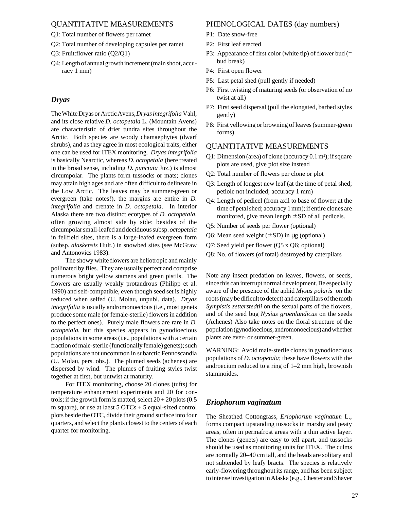#### QUANTITATIVE MEASUREMENTS

- Q1: Total number of flowers per ramet
- Q2: Total number of developing capsules per ramet
- Q3: Fruit:flower ratio (Q2/Q1)
- Q4: Length of annual growth increment (main shoot, accuracy 1 mm)

#### *Dryas*

The White Dryas or Arctic Avens, *Dryas integrifolia* Vahl, and its close relative *D. octopetala* L. (Mountain Avens) are characteristic of drier tundra sites throughout the Arctic. Both species are woody chamaephytes (dwarf shrubs), and as they agree in most ecological traits, either one can be used for ITEX monitoring. *Dryas integrifolia* is basically Nearctic, whereas *D. octopetala* (here treated in the broad sense, including *D. punctata* Juz.) is almost circumpolar. The plants form tussocks or mats; clones may attain high ages and are often difficult to delineate in the Low Arctic. The leaves may be summer-green or evergreen (take notes!), the margins are entire in *D. integrifolia* and crenate in *D. octopetala*. In interior Alaska there are two distinct ecotypes of *D. octopetala*, often growing almost side by side: besides of the circumpolar small-leafed and deciduous subsp. *octopetala* in fellfield sites, there is a large-leafed evergreen form (subsp. *alaskensis* Hult.) in snowbed sites (see McGraw and Antonovics 1983).

The showy white flowers are heliotropic and mainly pollinated by flies. They are usually perfect and comprise numerous bright yellow stamens and green pistils. The flowers are usually weakly protandrous (Philipp et al. 1990) and self-compatible, even though seed set is highly reduced when selfed (U. Molau, unpubl. data). *Dryas integrifolia* is usually andromonoecious (i.e., most genets produce some male (or female-sterile) flowers in addition to the perfect ones). Purely male flowers are rare in *D. octopetala*, but this species appears in gynodioecious populations in some areas (i.e., populations with a certain fraction of male-sterile (functionally female) genets); such populations are not uncommon in subarctic Fennoscandia (U. Molau, pers. obs.). The plumed seeds (achenes) are dispersed by wind. The plumes of fruiting styles twist together at first, but untwist at maturity.

For ITEX monitoring, choose 20 clones (tufts) for temperature enhancement experiments and 20 for controls; if the growth form is matted, select  $20 + 20$  plots (0.5) m square), or use at laest  $5 \text{ OTCs} + 5 \text{ equal-sized control}$ plots beside the OTC, divide their ground surface into four quarters, and select the plants closest to the centers of each quarter for monitoring.

#### PHENOLOGICAL DATES (day numbers)

- P1: Date snow-free
- P2: First leaf erected
- P3: Appearance of first color (white tip) of flower bud  $(=$ bud break)
- P4: First open flower
- P5: Last petal shed (pull gently if needed)
- P6: First twisting of maturing seeds (or observation of no twist at all)
- P7: First seed dispersal (pull the elongated, barbed styles gently)
- P8: First yellowing or browning of leaves (summer-green forms)

#### QUANTITATIVE MEASUREMENTS

- Q1: Dimension (area) of clone (accuracy  $0.1 \text{ m}^2$ ); if square plots are used, give plot size instead
- Q2: Total number of flowers per clone or plot
- Q3: Length of longest new leaf (at the time of petal shed; petiole not included; accuracy 1 mm)
- Q4: Length of pedicel (from axil to base of flower; at the time of petal shed; accuracy 1 mm); if entire clones are monitored, give mean length  $\pm$  SD of all pedicels.
- Q5: Number of seeds per flower (optional)
- Q6: Mean seed weight  $(\pm SD)$  in  $\mu$ g (optional)
- Q7: Seed yield per flower (Q5 x Q6; optional)
- Q8: No. of flowers (of total) destroyed by caterpilars

Note any insect predation on leaves, flowers, or seeds, since this can interrupt normal development. Be especially aware of the presence of the aphid *Mysus polaris* on the roots (may be dificult to detect) and caterpillars of the moth *Sympistis zetterstedtii* on the sexual parts of the flowers, and of the seed bug *Nysius groenlandicus* on the seeds (Achenes) Also take notes on the floral structure of the population (gynodioecious, andromonoecious) and whether plants are ever- or summer-green.

WARNING: Avoid male-sterile clones in gynodioecious populations of *D. octopetala*; these have flowers with the androecium reduced to a ring of 1–2 mm high, brownish staminoides.

#### *Eriophorum vaginatum*

The Sheathed Cottongrass, *Eriophorum vaginatum* L., forms compact upstanding tussocks in marshy and peaty areas, often in permafrost areas with a thin active layer. The clones (genets) are easy to tell apart, and tussocks should be used as monitoring units for ITEX. The culms are normally 20–40 cm tall, and the heads are solitary and not subtended by leafy bracts. The species is relatively early-flowering throughout its range, and has been subject to intense investigation in Alaska (e.g., Chester and Shaver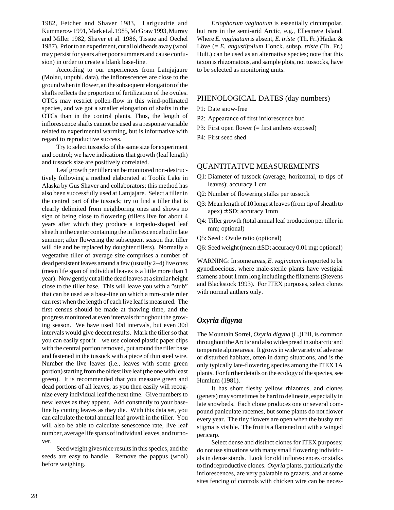1982, Fetcher and Shaver 1983, Lariguadrie and Kummerow 1991, Mark et al. 1985, McGraw 1993, Murray and Miller 1982, Shaver et al. 1986, Tissue and Oechel 1987). Prior to an experiment, cut all old heads away (wool may persist for years after poor summers and cause confusion) in order to create a blank base-line.

According to our experiences from Latnjajaure (Molau, unpubl. data), the inflorescences are close to the ground when in flower, an the subsequent elongation of the shafts reflects the proportion of fertilization of the ovules. OTCs may restrict pollen-flow in this wind-pollinated species, and we got a smaller elongation of shafts in the OTCs than in the control plants. Thus, the length of inflorescence shafts cannot be used as a response variable related to experimental warming, but is informative with regard to reproductive success.

Try to select tussocks of the same size for experiment and control; we have indications that growth (leaf length) and tussock size are positively correlated.

Leaf growth per tiller can be monitored non-destructively following a method elaborated at Toolik Lake in Alaska by Gus Shaver and collaborators; this method has also been successfully used at Latnjajare. Select a tiller in the central part of the tussock; try to find a tiller that is clearly delimited from neighboring ones and shows no sign of being close to flowering (tillers live for about 4 years after which they produce a torpedo-shaped leaf sheeth in the center containing the inflorescence bud in late summer; after flowering the subsequent season that tiller will die and be replaced by doughter tillers). Normally a vegetative tiller of average size comprises a number of dead persistent leaves around a few (usually 2–4) live ones (mean life span of individual leaves is a little more than 1 year). Now gently cut all the dead leaves at a similar height close to the tiller base. This will leave you with a "stub" that can be used as a base-line on which a mm-scale ruler can rest when the length of each live leaf is measured. The first census should be made at thawing time, and the progress monitored at even intervals throughout the growing season. We have used 10d intervals, but even 30d intervals would give decent results. Mark the tiller so that you can easily spot it – we use colored plastic paper clips with the central portion removed, put around the tiller base and fastened in the tussock with a piece of thin steel wire. Number the live leaves (i.e., leaves with some green portion) starting from the oldest live leaf (the one with least green). It is recommended that you measure green and dead portions of all leaves, as you then easily will recognize every individual leaf the next time. Give numbers to new leaves as they appear. Add constantly to your baseline by cutting leaves as they die. With this data set, you can calculate the total annual leaf growth in the tiller. You will also be able to calculate senescence rate, live leaf number, average life spans of individual leaves, and turnover.

Seed weight gives nice results in this species, and the seeds are easy to handle. Remove the pappus (wool) before weighing.

*Eriophorum vaginatum* is essentially circumpolar, but rare in the semi-arid Arctic, e.g., Ellesmere Island. Where *E. vaginatum* is absent, *E. triste* (Th. Fr.) Hadac & Löve (= *E. angustifolium* Honck. subsp. *triste* (Th. Fr.) Hult.) can be used as an alternative species; note that this taxon is rhizomatous, and sample plots, not tussocks, have to be selected as monitoring units.

#### PHENOLOGICAL DATES (day numbers)

- P1: Date snow-free
- P2: Appearance of first inflorescence bud
- P3: First open flower (= first anthers exposed)
- P4: First seed shed

#### QUANTITATIVE MEASUREMENTS

- Q1: Diameter of tussock (average, horizontal, to tips of leaves); accuracy 1 cm
- Q2: Number of flowering stalks per tussock
- Q3: Mean length of 10 longest leaves (from tip of sheath to  $apex) \pm SD$ ; accuracy 1mm
- Q4: Tiller growth (total annual leaf production per tiller in mm; optional)
- Q5: Seed : Ovule ratio (optional)
- Q6: Seed weight (mean ± SD; accuracy 0.01 mg; optional)

WARNING: In some areas, *E. vaginatum* is reported to be gynodioecious, where male-sterile plants have vestigial stamens about 1 mm long including the filaments (Stevens and Blackstock 1993). For ITEX purposes, select clones with normal anthers only.

#### *Oxyria digyna*

The Mountain Sorrel, *Oxyria digyna* (L.)Hill, is common throughout the Arctic and also widespread in subarctic and temperate alpine areas. It grows in wide variety of adverse or disturbed habitats, often in damp situations, and is the only typically late-flowering species among the ITEX 1A plants. For further details on the ecology of the species, see Humlum (1981).

It has short fleshy yellow rhizomes, and clones (genets) may sometimes be hard to delineate, especially in late snowbeds. Each clone produces one or several compound paniculate racemes, but some plants do not flower every year. The tiny flowers are open when the bushy red stigma is visible. The fruit is a flattened nut with a winged pericarp.

Select dense and distinct clones for ITEX purposes; do not use situations with many small flowering individuals in dense stands. Look for old inflorescences or stalks to find reproductive clones. *Oxyria* plants, particularly the inflorescences, are very palatable to grazers, and at some sites fencing of controls with chicken wire can be neces-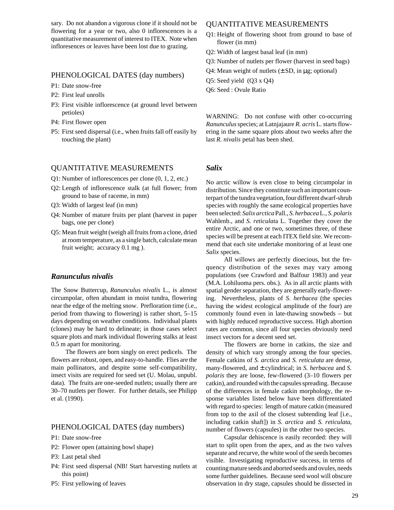sary. Do not abandon a vigorous clone if it should not be flowering for a year or two, also 0 inflorescences is a quantitative measurement of interest to ITEX. Note when infloresences or leaves have been lost due to grazing.

#### PHENOLOGICAL DATES (day numbers)

- P1: Date snow-free
- P2: First leaf unrolls
- P3: First visible inflorescence (at ground level between petioles)
- P4: First flower open
- P5: First seed dispersal (i.e., when fruits fall off easily by touching the plant)

#### QUANTITATIVE MEASUREMENTS

- Q1: Number of inflorescences per clone (0, 1, 2, etc.)
- Q2: Length of inflorescence stalk (at full flower; from ground to base of raceme, in mm)
- Q3: Width of largest leaf (in mm)
- Q4: Number of mature fruits per plant (harvest in paper bags, one per clone)
- Q5: Mean fruit weight (weigh all fruits from a clone, dried at room temperature, as a single batch, calculate mean fruit weight; accuracy 0.1 mg ).

#### *Ranunculus nivalis*

The Snow Buttercup, *Ranunculus nivalis* L., is almost circumpolar, often abundant in moist tundra, flowering near the edge of the melting snow. Prefloration time (i.e., period from thawing to flowering) is rather short, 5–15 days depending on weather conditions. Individual plants (clones) may be hard to delineate; in those cases select square plots and mark individual flowering stalks at least 0.5 m apart for monitoring.

The flowers are born singly on erect pedicels. The flowers are robust, open, and easy-to-handle. Flies are the main pollinators, and despite some self-compatibility, insect visits are required for seed set (U. Molau, unpubl. data). The fruits are one-seeded nutlets; usually there are 30–70 nutlets per flower. For further details, see Philipp et al. (1990).

#### PHENOLOGICAL DATES (day numbers)

- P1: Date snow-free
- P2: Flower open (attaining bowl shape)
- P3: Last petal shed
- P4: First seed dispersal (NB! Start harvesting nutlets at this point)
- P5: First yellowing of leaves

#### QUANTITATIVE MEASUREMENTS

- Q1: Height of flowering shoot from ground to base of flower (in mm)
- Q2: Width of largest basal leaf (in mm)
- Q3: Number of nutlets per flower (harvest in seed bags)
- Q4: Mean weight of nutlets  $(\pm SD, in \mu g;$  optional)
- Q5: Seed yield (Q3 x Q4)
- Q6: Seed : Ovule Ratio

WARNING: Do not confuse with other co-occurring *Ranunculus* species; at Latnjajaure *R. acris* L. starts flowering in the same square plots about two weeks after the last *R. nivalis* petal has been shed.

#### *Salix*

No arctic willow is even close to being circumpolar in distribution. Since they constitute such an important counterpart of the tundra vegetation, four different dwarf-shrub species with roughly the same ecological properties have been selected: *Salix arctica* Pall., *S. herbacea* L., *S. polaris* Wahlenb., and *S. reticulat*a L. Together they cover the entire Arctic, and one or two, sometimes three, of these species will be present at each ITEX field site. We recommend that each site undertake monitoring of at least one *Salix* species.

All willows are perfectly dioecious, but the frequency distribution of the sexes may vary among populations (see Crawford and Balfour 1983) and year (M.A. Lohiluoma pers. obs.). As in all arctic plants with spatial gender separation, they are generally early-flowering. Nevertheless, plants of *S. herbacea* (the species having the widest ecological amplitude of the four) are commonly found even in late-thawing snowbeds – but with highly reduced reproductive success. High abortion rates are common, since all four species obviously need insect vectors for a decent seed set.

The flowers are borne in catkins, the size and density of which vary strongly among the four species. Female catkins of *S. arctica* and *S. reticulata* are dense, many-flowered, and ± cylindrical; in *S. herbacea* and *S. polaris* they are loose, few-flowered (3–10 flowers per catkin), and rounded with the capsules spreading. Because of the differences in female catkin morphology, the response variables listed below have been differentiated with regard to species: length of mature catkin (measured from top to the axil of the closest subtending leaf [i.e., including catkin shaft]) in *S. arctica* and *S. reticulata*, number of flowers (capsules) in the other two species.

Capsular dehiscence is easily recorded: they will start to split open from the apex, and as the two valves separate and recurve, the white wool of the seeds becomes visible. Investigating reproductive success, in terms of counting mature seeds and aborted seeds and ovules, needs some further guidelines. Because seed wool will obscure observation in dry stage, capsules should be dissected in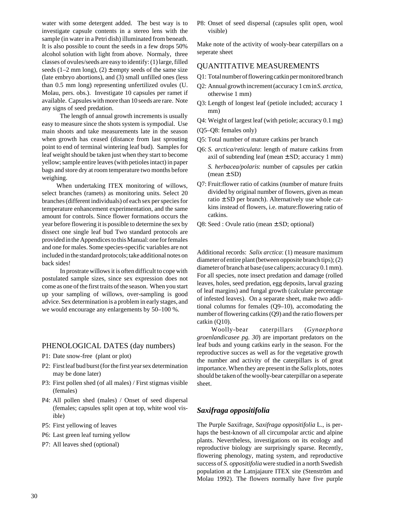water with some detergent added. The best way is to investigate capsule contents in a stereo lens with the sample (in water in a Petri dish) illuminated from beneath. It is also possible to count the seeds in a few drops 50% alcohol solution with light from above. Normaly, three classes of ovules/seeds are easy to identify: (1) large, filled seeds (1–2 mm long), (2)  $\pm$  empty seeds of the same size (late embryo abortions), and (3) small unfilled ones (less than 0.5 mm long) representing unfertilized ovules (U. Molau, pers. obs.). Investigate 10 capsules per ramet if available. Capsules with more than 10 seeds are rare. Note any signs of seed predation.

The length of annual growth increments is usually easy to measure since the shots system is sympodial. Use main shoots and take measurements late in the season when growth has ceased (distance from last sprouting point to end of terminal wintering leaf bud). Samples for leaf weight should be taken just when they start to become yellow; sample entire leaves (with petioles intact) in paper bags and store dry at room temperature two months before weighing.

When undertaking ITEX monitoring of willows, select branches (ramets) as monitoring units. Select 20 branches (different individuals) of each sex per species for temperature enhancement experimentation, and the same amount for controls. Since flower formations occurs the year before flowering it is possible to determine the sex by dissect one single leaf bud Two standard protocols are provided in the Appendices to this Manual: one for females and one for males. Some species-specific variables are not included in the standard protocols; take additional notes on back sides!

In prostrate willows it is often difficult to cope with postulated sample sizes, since sex expression does not come as one of the first traits of the season. When you start up your sampling of willows, over-sampling is good advice. Sex determination is a problem in early stages, and we would encourage any enlargements by 50–100 %.

#### PHENOLOGICAL DATES (day numbers)

- P1: Date snow-free (plant or plot)
- P2: First leaf bud burst (for the first year sex determination may be done later)
- P3: First pollen shed (of all males) / First stigmas visible (females)
- P4: All pollen shed (males) / Onset of seed dispersal (females; capsules split open at top, white wool visible)
- P5: First yellowing of leaves
- P6: Last green leaf turning yellow
- P7: All leaves shed (optional)

P8: Onset of seed dispersal (capsules split open, wool visible)

Make note of the activity of wooly-bear caterpillars on a seperate sheet

#### QUANTITATIVE MEASUREMENTS

- Q1: Total number of flowering catkin per monitored branch
- Q2: Annual growth increment (accuracy 1 cm in *S. arctica*, otherwise 1 mm)
- Q3: Length of longest leaf (petiole included; accuracy 1 mm)
- Q4: Weight of largest leaf (with petiole; accuracy 0.1 mg)
- (Q5–Q8: females only)
- Q5: Total number of mature catkins per branch
- Q6: *S. arctica/reticulata*: length of mature catkins from axil of subtending leaf (mean  $\pm$  SD; accuracy 1 mm) *S. herbacea/polaris*: number of capsules per catkin  $(mean \pm SD)$
- Q7: Fruit:flower ratio of catkins (number of mature fruits divided by original number of flowers, given as mean ratio  $\pm$  SD per branch). Alternatively use whole catkins instead of flowers, i.e. mature:flowering ratio of catkins.
- Q8: Seed : Ovule ratio (mean ± SD; optional)

Additional records: *Salix arctica*: (1) measure maximum diameter of entire plant (between opposite branch tips); (2) diameter of branch at base (use calipers; accuracy 0.1 mm). For all species, note insect predation and damage (rolled leaves, holes, seed predation, egg deposits, larval grazing of leaf margins) and fungal growth (calculate percentage of infested leaves). On a separate sheet, make two additional columns for females (Q9–10), accomodating the number of flowering catkins (Q9) and the ratio flowers per catkin (Q10).

Woolly-bear caterpillars (*Gynaephora groenlandicasee pg. 30*) are important predators on the leaf buds and young catkins early in the season. For the reproductive succes as well as for the vegetative growth the number and activity of the caterpillars is of great importance. When they are present in the *Salix* plots, notes should be taken of the woolly-bear caterpillar on a seperate sheet.

## *Saxifraga oppositifolia*

The Purple Saxifrage, *Saxifraga oppositifolia* L., is perhaps the best-known of all circumpolar arctic and alpine plants. Nevertheless, investigations on its ecology and reproductive biology are surprisingly sparse. Recently, flowering phenology, mating system, and reproductive success of *S. oppositifolia* were studied in a north Swedish population at the Latnjajaure ITEX site (Stenström and Molau 1992). The flowers normally have five purple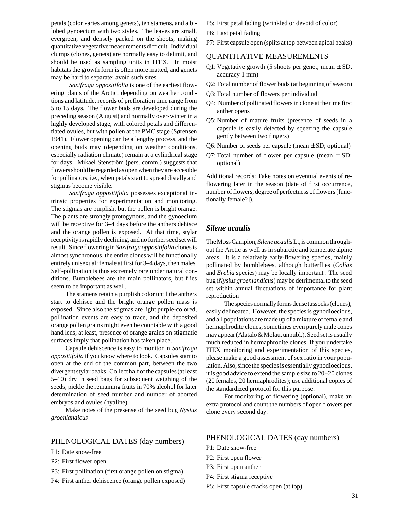petals (color varies among genets), ten stamens, and a bilobed gynoecium with two styles. The leaves are small, evergreen, and densely packed on the shoots, making quantitative vegetative measurements difficult. Individual clumps (clones, genets) are normally easy to delimit, and should be used as sampling units in ITEX. In moist habitats the growth form is often more matted, and genets may be hard to separate; avoid such sites.

*Saxifraga oppositifolia* is one of the earliest flowering plants of the Arctic; depending on weather conditions and latitude, records of prefloration time range from 5 to 15 days. The flower buds are developed during the preceding season (August) and normally over-winter in a highly developed stage, with colored petals and differentiated ovules, but with pollen at the PMC stage (Sørensen 1941). Flower opening can be a lengthy process, and the opening buds may (depending on weather conditions, especially radiation climate) remain at a cylindrical stage for days. Mikael Stenström (pers. comm.) suggests that flowers should be regarded as open when they are accesible for pollinators, i.e., when petals start to spread distally and stigmas become visible.

*Saxifraga oppositifolia* possesses exceptional intrinsic properties for experimentation and monitoring. The stigmas are purplish, but the pollen is bright orange. The plants are strongly protogynous, and the gynoecium will be receptive for 3–4 days before the anthers dehisce and the orange pollen is exposed. At that time, stylar receptivity is rapidly declining, and no further seed set will result. Since flowering in *Saxifraga oppositifolia* clones is almost synchronous, the entire clones will be functionally entirely unisexual: female at first for 3–4 days, then males. Self-pollination is thus extremely rare under natural conditions. Bumblebees are the main pollinators, but flies seem to be important as well.

The stamens retain a purplish color until the anthers start to dehisce and the bright orange pollen mass is exposed. Since also the stigmas are light purple-colored, pollination events are easy to trace, and the deposited orange pollen grains might even be countable with a good hand lens; at least, presence of orange grains on stigmatic surfaces imply that pollination has taken place.

Capsule dehiscence is easy to monitor in *Saxifraga oppositifolia* if you know where to look. Capsules start to open at the end of the common part, between the two divergent stylar beaks. Collect half of the capsules (at least 5–10) dry in seed bags for subsequent weighing of the seeds; pickle the remaining fruits in 70% alcohol for later determination of seed number and number of aborted embryos and ovules (hyaline).

Make notes of the presense of the seed bug *Nysius groenlandicus*

#### PHENOLOGICAL DATES (day numbers)

- P1: Date snow-free
- P2: First flower open
- P3: First pollination (first orange pollen on stigma)
- P4: First anther dehiscence (orange pollen exposed)
- P5: First petal fading (wrinkled or devoid of color)
- P6: Last petal fading
- P7: First capsule open (splits at top between apical beaks)

#### QUANTITATIVE MEASUREMENTS

- Q1: Vegetative growth (5 shoots per genet; mean  $\pm$  SD, accuracy 1 mm)
- Q2: Total number of flower buds (at beginning of season)
- Q3: Total number of flowers per individual
- Q4: Number of pollinated flowers in clone at the time first anther opens
- Q5: Number of mature fruits (presence of seeds in a capsule is easily detected by sqeezing the capsule gently between two fingers)
- Q6: Number of seeds per capsule (mean  $\pm$  SD; optional)
- Q7: Total number of flower per capsule (mean  $\pm$  SD; optional)

Additional records: Take notes on eventual events of reflowering later in the season (date of first occurrence, number of flowers, degree of perfectness of flowers [functionally female?]).

#### *Silene acaulis*

The Moss Campion, *Silene acaulis* L., is common throughout the Arctic as well as in subarctic and temperate alpine areas. It is a relatively early-flowering species, mainly pollinated by bumblebees, although butterflies (*Colias* and *Erebia* species) may be locally important . The seed bug (*Nysius groenlandicus*) may be detrimental to the seed set within annual fluctuations of importance for plant reproduction

The species normally forms dense tussocks (clones), easily delineated. However, the species is gynodioecious, and all populations are made up of a mixture of female and hermaphrodite clones; sometimes even purely male cones may appear (Alatalo & Molau, unpubl.). Seed set is usually much reduced in hermaphrodite clones. If you undertake ITEX monitoring and experimentation of this species, please make a good assessment of sex ratio in your population. Also, since the species is essentially gynodioecious, it is good advice to extend the sample size to 20+20 clones (20 females, 20 hermaphrodites); use additional copies of the standardized protocol for this purpose.

For monitoring of flowering (optional), make an extra protocol and count the numbers of open flowers per clone every second day.

#### PHENOLOGICAL DATES (day numbers)

- P1: Date snow-free
- P2: First open flower
- P3: First open anther
- P4: First stigma receptive
- P5: First capsule cracks open (at top)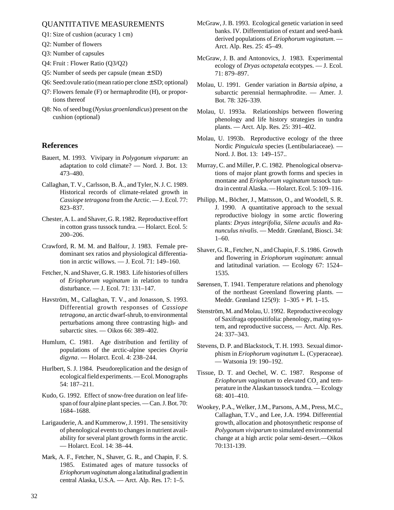#### QUANTITATIVE MEASUREMENTS

- Q1: Size of cushion (acuracy 1 cm)
- Q2: Number of flowers
- Q3: Number of capsules
- Q4: Fruit : Flower Ratio (Q3/Q2)
- O5: Number of seeds per capsule (mean  $\pm$  SD)
- Q6: Seed: ovule ratio (mean ratio per clone  $\pm$  SD; optional)
- Q7: Flowers female (F) or hermaphrodite (H), or proportions thereof
- Q8: No. of seed bug (*Nysius groenlandicus*) present on the cushion (optional)

### **References**

- Bauert, M. 1993. Vivipary in *Polygonum vivparum*: an adaptation to cold climate? — Nord. J. Bot. 13: 473–480.
- Callaghan, T. V., Carlsson, B. Å., and Tyler, N. J. C. 1989. Historical records of climate-related growth in *Cassiope tetragona* from the Arctic. — J. Ecol. 77: 823–837.
- Chester, A. L. and Shaver, G. R. 1982. Reproductive effort in cotton grass tussock tundra. — Holarct. Ecol. 5: 200–206.
- Crawford, R. M. M. and Balfour, J. 1983. Female predominant sex ratios and physiological differentiation in arctic willows. — J. Ecol. 71: 149–160.
- Fetcher, N. and Shaver, G. R. 1983. Life histories of tillers of *Eriophorum vaginatum* in relation to tundra disturbance. — J. Ecol. 71: 131–147.
- Havström, M., Callaghan, T. V., and Jonasson, S. 1993. Differential growth responses of *Cassiope tetragona*, an arctic dwarf-shrub, to environmental perturbations among three contrasting high- and subarctic sites. — Oikos 66: 389–402.
- Humlum, C. 1981. Age distribution and fertility of populations of the arctic-alpine species *Oxyria digyna*. — Holarct. Ecol. 4: 238–244.
- Hurlbert, S. J. 1984. Pseudoreplication and the design of ecological field experiments. — Ecol. Monographs 54: 187–211.
- Kudo, G. 1992. Effect of snow-free duration on leaf lifespan of four alpine plant species. — Can. J. Bot. 70: 1684–1688.
- Larigauderie, A. and Kummerow, J. 1991. The sensitivity of phenological events to changes in nutrient availability for several plant growth forms in the arctic. — Holarct. Ecol. 14: 38–44.
- Mark, A. F., Fetcher, N., Shaver, G. R., and Chapin, F. S. 1985. Estimated ages of mature tussocks of *Eriophorum vaginatum* along a latitudinal gradient in central Alaska, U.S.A. — Arct. Alp. Res. 17: 1–5.
- McGraw, J. B. 1993. Ecological genetic variation in seed banks. IV. Differentiation of extant and seed-bank derived populations of *Eriophorum vaginatum*. — Arct. Alp. Res. 25: 45–49.
- McGraw, J. B. and Antonovics, J. 1983. Experimental ecology of *Dryas octopetala* ecotypes. — J. Ecol. 71: 879–897.
- Molau, U. 1991. Gender variation in *Bartsia alpina*, a subarctic perennial hermaphrodite. — Amer. J. Bot. 78: 326–339.
- Molau, U. 1993a. Relationships between flowering phenology and life history strategies in tundra plants. — Arct. Alp. Res. 25: 391–402.
- Molau, U. 1993b. Reproductive ecology of the three Nordic *Pinguicula* species (Lentibulariaceae). — Nord. J. Bot. 13: 149–157..
- Murray, C. and Miller, P. C. 1982. Phenological observations of major plant growth forms and species in montane and *Eriophorum vaginatum* tussock tundra in central Alaska. — Holarct. Ecol. 5: 109–116.
- Philipp, M., Böcher, J., Mattsson, O., and Woodell, S. R. J. 1990. A quantitative approach to the sexual reproductive biology in some arctic flowering plants: *Dryas integrifolia, Silene acaulis* and *Ranunculus nivalis*. — Meddr. Grønland, Biosci. 34: 1–60.
- Shaver, G. R., Fetcher, N., and Chapin, F. S. 1986. Growth and flowering in *Eriophorum vaginatum*: annual and latitudinal variation. — Ecology 67: 1524– 1535.
- Sørensen, T. 1941. Temperature relations and phenology of the northeast Greenland flowering plants. — Meddr. Grønland 125(9): 1–305 + Pl. 1–15.
- Stenström, M. and Molau, U. 1992. Reproductive ecology of Saxifraga oppositifolia: phenology, mating system, and reproductive success, — Arct. Alp. Res. 24: 337–343.
- Stevens, D. P. and Blackstock, T. H. 1993. Sexual dimorphism in *Eriophorum vaginatum* L. (Cyperaceae). — Watsonia 19: 190–192.
- Tissue, D. T. and Oechel, W. C. 1987. Response of *Eriophorum vaginatum* to elevated  $CO_2$  and temperature in the Alaskan tussock tundra. — Ecology 68: 401–410.
- Wookey, P.A., Welker, J.M., Parsons, A.M., Press, M.C., Callaghan, T.V., and Lee, J.A. 1994. Differential growth, allocation and photosynthetic response of *Polygonum viviparum* to simulated environmental change at a high arctic polar semi-desert.—Oikos 70:131-139.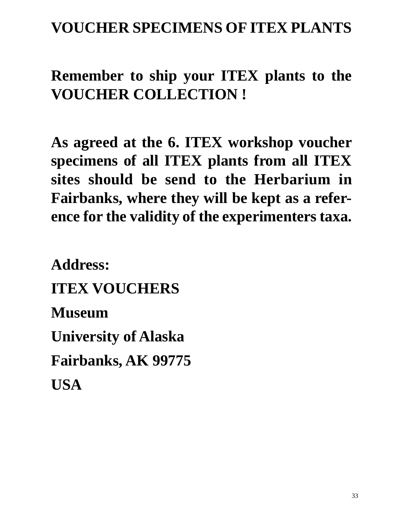# **VOUCHER SPECIMENS OF ITEX PLANTS**

# **Remember to ship your ITEX plants to the VOUCHER COLLECTION !**

**As agreed at the 6. ITEX workshop voucher specimens of all ITEX plants from all ITEX sites should be send to the Herbarium in Fairbanks, where they will be kept as a reference for the validity of the experimenters taxa.**

**Address: ITEX VOUCHERS Museum University of Alaska Fairbanks, AK 99775 USA**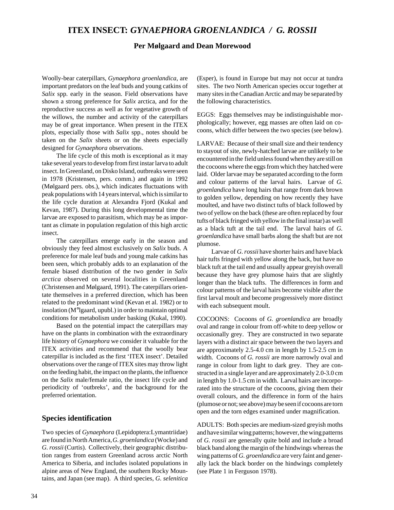# **ITEX INSECT:** *GYNAEPHORA GROENLANDICA / G. ROSSII*

#### **Per Mølgaard and Dean Morewood**

Woolly-bear caterpillars, *Gynaephora groenlandica,* are important predators on the leaf buds and young catkins of *Salix* spp. early in the season. Field observations have shown a strong preference for *Salix* arctica, and for the reproductive success as well as for vegetative growth of the willows, the number and activity of the caterpillars may be of great importance. When present in the ITEX plots, especially those with *Salix* spp., notes should be taken on the *Salix* sheets or on the sheets especially designed for *Gynaephora* observations.

The life cycle of this moth is exceptional as it may take several years to develop from first instar larva to adult insect. In Greenland, on Disko Island, outbreaks were seen in 1978 (Kristensen, pers. comm.) and again in 1992 (Mølgaard pers. obs.), which indicates fluctuations with peak populations with 14 years interval, which is similar to the life cycle duration at Alexandra Fjord (Kukal and Kevan, 1987). During this long developmental time the larvae are exposed to parasitism, which may be as important as climate in population regulation of this high arctic insect.

The caterpillars emerge early in the season and obviously they feed almost exclusively on *Salix* buds. A preference for male leaf buds and young male catkins has been seen, which probably adds to an explanation of the female biased distribution of the two gender in *Salix arctica* observed on several localities in Greenland (Christensen and Mølgaard, 1991). The caterpillars orientate themselves in a preferred direction, which has been related to the predominant wind (Kevan et al. 1982) or to insolation (M°lgaard, upubl.) in order to maintain optimal conditions for metabolism under basking (Kukal, 1990).

Based on the potential impact the caterpillars may have on the plants in combination with the extraordinary life history of *Gynaephora* we consider it valuable for the ITEX activities and recommend that the woolly bear caterpillar is included as the first 'ITEX insect'. Detailed observations over the range of ITEX sites may throw light on the feeding habit, the impact on the plants, the influence on the *Salix* male/female ratio, the insect life cycle and periodicity of 'outbreks', and the background for the preferred orientation.

#### **Species identification**

Two species of *Gynaephora* (Lepidoptera:Lymantriidae) are found in North America, *G. groenlandica* (Wocke) and *G. rossii* (Curtis). Collectively, their geographic distribution ranges from eastern Greenland across arctic North America to Siberia, and includes isolated populations in alpine areas of New England, the southern Rocky Mountains, and Japan (see map). A third species, *G. selenitica* (Esper), is found in Europe but may not occur at tundra sites. The two North American species occur together at many sites in the Canadian Arctic and may be separated by the following characteristics.

EGGS: Eggs themselves may be indistinguishable morphologically; however, egg masses are often laid on cocoons, which differ between the two species (see below).

LARVAE: Because of their small size and their tendency to stayout of site, newly-hatched larvae are unlikely to be encountered in the field unless found when they are still on the cocoons where the eggs from which they hatched were laid. Older larvae may be separated according to the form and colour patterns of the larval hairs. Larvae of *G. groenlandica* have long hairs that range from dark brown to golden yellow, depending on how recently they have moulted, and have two distinct tufts of black followed by two of yellow on the back (these are often replaced by four tufts of black fringed with yellow in the final instar) as well as a black tuft at the tail end. The larval hairs of *G. groenlandica* have small barbs along the shaft but are not plumose.

Larvae of *G. rossii* have shorter hairs and have black hair tufts fringed with yellow along the back, but have no black tuft at the tail end and usually appear greyish overall because they have grey plumose hairs that are slightly longer than the black tufts. The differences in form and colour patterns of the larval hairs become visible after the first larval moult and become progressively more distinct with each subsequent moult.

COCOONS: Cocoons of *G. groenlandica* are broadly oval and range in colour from off-white to deep yellow or occasionally grey. They are constructed in two separate layers with a distinct air space between the two layers and are approximately 2.5-4.0 cm in length by 1.5-2.5 cm in width. Cocoons of *G. rossii* are more narrowly oval and range in colour from light to dark grey. They are constructed in a single layer and are approximately 2.0-3.0 cm in length by 1.0-1.5 cm in width. Larval hairs are incorporated into the structure of the cocoons, giving them their overall colours, and the difference in form of the hairs (plumose or not; see above) may be seen if cocoons are torn open and the torn edges examined under magnification.

ADULTS: Both species are medium-sized greyish moths and have similar wing patterns; however, the wing patterns of *G. rossii* are generally quite bold and include a broad black band along the margin of the hindwings whereas the wing patterns of *G. groenlandica* are very faint and generally lack the black border on the hindwings completely (see Plate 1 in Ferguson 1978).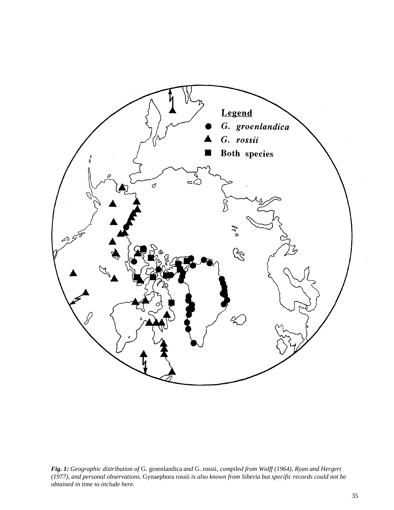

*Fig. 1: Geographic distribution of* G. groenlandica *and* G. rossii*, compiled from Wolff (1964), Ryan and Hergert (1977), and personal observations.* Gynaephora rossii *is also known from Siberia but specific records could not be obtained in time to include here.*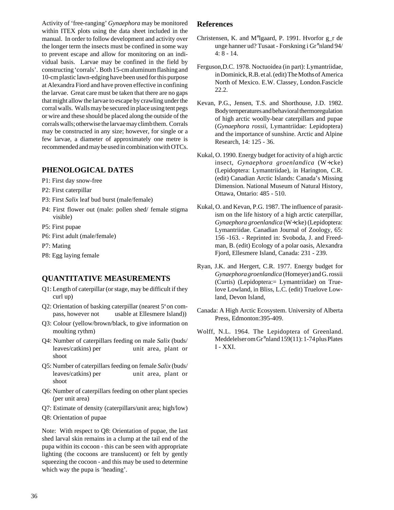Activity of 'free-ranging' *Gynaephora* may be monitored within ITEX plots using the data sheet included in the manual. In order to follow development and activity over the longer term the insects must be confined in some way to prevent escape and allow for monitoring on an individual basis. Larvae may be confined in the field by constructing 'corrals'. Both 15-cm aluminum flashing and 10-cm plastic lawn-edging have been used for this purpose at Alexandra Fiord and have proven effective in confining the larvae. Great care must be taken that there are no gaps that might allow the larvae to escape by crawling under the corral walls. Walls may be secured in place using tent pegs or wire and these should be placed along the outside of the corrals walls; otherwise the larvae may climb them. Corrals may be constructed in any size; however, for single or a few larvae, a diameter of approximately one metre is recommended and may be used in combination with OTCs.

### **PHENOLOGICAL DATES**

- P1: First day snow-free
- P2: First caterpillar
- P3: First *Salix* leaf bud burst (male/female)
- P4: First flower out (male: pollen shed/ female stigma visible)
- P5: First pupae
- P6: First adult (male/female)
- P7: Mating
- P8: Egg laying female

### **QUANTITATIVE MEASUREMENTS**

- Q1: Length of caterpillar (or stage, may be difficult if they curl up)
- Q2: Orientation of basking caterpillar (nearest 5° on compass, however not usable at Ellesmere Island))
- Q3: Colour (yellow/brown/black, to give information on moulting rythm)
- Q4: Number of caterpillars feeding on male *Salix* (buds/ leaves/catkins) per unit area, plant or shoot
- Q5: Number of caterpillars feeding on female *Salix* (buds/ leaves/catkins) per unit area, plant or shoot
- Q6: Number of caterpillars feeding on other plant species (per unit area)
- Q7: Estimate of density (caterpillars/unit area; high/low)
- Q8: Orientation of pupae

Note: With respect to Q8: Orientation of pupae, the last shed larval skin remains in a clump at the tail end of the pupa within its cocoon - this can be seen with appropriate lighting (the cocoons are translucent) or felt by gently squeezing the cocoon - and this may be used to determine which way the pupa is 'heading'.

#### **References**

- Christensen, K. and M°lgaard, P. 1991. Hvorfor g\_r de unge hanner ud? Tusaat - Forskning i Gr°nland 94/ 4: 8 - 14.
- Ferguson,D.C. 1978. Noctuoidea (in part): Lymantriidae, in Dominick, R.B. et al. (edit) The Moths of America North of Mexico. E.W. Classey, London.Fascicle 22.2.
- Kevan, P.G., Jensen, T.S. and Shorthouse, J.D. 1982. Body temperatures and behavioral thermoregulation of high arctic woolly-bear caterpillars and pupae (*Gynaephora rossii*, Lymantriidae: Lepidoptera) and the importance of sunshine. Arctic and Alpine Research, 14: 125 - 36.
- Kukal, O. 1990. Energy budget for activity of a high arctic insect, *Gynaephora groenlandica* (W÷cke) (Lepidoptera: Lymantriidae), in Harington, C.R. (edit) Canadian Arctic Islands: Canada's Missing Dimension. National Museum of Natural History, Ottawa, Ontario: 485 - 510.
- Kukal, O. and Kevan, P.G. 1987. The influence of parasitism on the life history of a high arctic caterpillar, *Gynaephora groenlandica* (W÷cke) (Lepidoptera: Lymantriidae. Canadian Journal of Zoology, 65: 156 -163. - Reprinted in: Svoboda, J. and Freedman, B. (edit) Ecology of a polar oasis, Alexandra Fjord, Ellesmere Island, Canada: 231 - 239.
- Ryan, J.K. and Hergert, C.R. 1977. Energy budget for *Gynaephoragroenlandica* (Homeyer) and G. rossii (Curtis) (Lepidoptera:= Lymantriidae) on Truelove Lowland, in Bliss, L.C. (edit) Truelove Lowland, Devon Island,
- Canada: A High Arctic Ecosystem. University of Alberta Press, Edmonton:395-409.
- Wolff, N.L. 1964. The Lepidoptera of Greenland. Meddelelser om Gr°nland 159(11): 1-74 plus Plates I - XXI.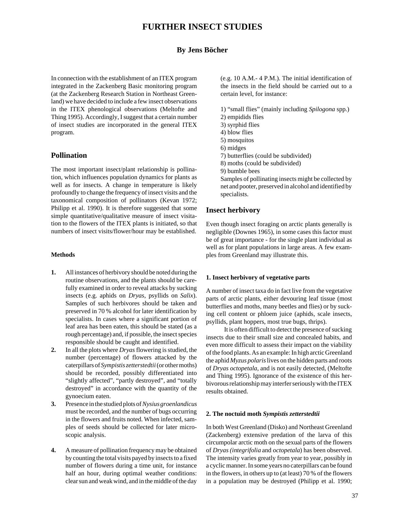# **FURTHER INSECT STUDIES**

### **By Jens Böcher**

In connection with the establishment of an ITEX program integrated in the Zackenberg Basic monitoring program (at the Zackenberg Research Station in Northeast Greenland) we have decided to include a few insect observations in the ITEX phenological observations (Meltofte and Thing 1995). Accordingly, I suggest that a certain number of insect studies are incorporated in the general ITEX program.

#### **Pollination**

The most important insect/plant relationship is pollination, which influences population dynamics for plants as well as for insects. A change in temperature is likely profoundly to change the frequency of insect visits and the taxonomical composition of pollinators (Kevan 1972; Philipp et al. 1990). It is therefore suggested that some simple quantitative/qualitative measure of insect visitation to the flowers of the ITEX plants is initiated, so that numbers of insect visits/flower/hour may be established.

#### **Methods**

- **1.** All instances of herbivory should be noted during the routine observations, and the plants should be carefully examined in order to reveal attacks by sucking insects (e.g. aphids on *Dryas*, psyllids on *Salix*). Samples of such herbivores should be taken and preserved in 70 % alcohol for later identification by specialists. In cases where a significant portion of leaf area has been eaten, this should be stated (as a rough percentage) and, if possible, the insect species responsible should be caught and identified.
- **2.** In all the plots where *Dryas* flowering is studied, the number (percentage) of flowers attacked by the caterpillars of *Sympistis zetterstedtii* (or other moths) should be recorded, possibly differentiated into "slightly affected", "partly destroyed", and "totally destroyed" in accordance with the quantity of the gynoecium eaten.
- **3.** Presence in the studied plots of *Nysius groenlandicus* must be recorded, and the number of bugs occurring in the flowers and fruits noted. When infected, samples of seeds should be collected for later microscopic analysis.
- **4.** A measure of pollination frequency may be obtained by counting the total visits payed by insects to a fixed number of flowers during a time unit, for instance half an hour, during optimal weather conditions: clear sun and weak wind, and in the middle of the day

(e.g. 10 A.M.- 4 P.M.). The initial identification of the insects in the field should be carried out to a certain level, for instance:

- 1) "small flies" (mainly including *Spilogona* spp.)
- 2) empidids flies
- 3) syrphid flies
- 4) blow flies
- 5) mosquitos
- 6) midges
- 7) butterflies (could be subdivided)
- 8) moths (could be subdivided)
- 9) bumble bees

Samples of pollinating insects might be collected by net and pooter, preserved in alcohol and identified by specialists.

#### **Insect herbivory**

Even though insect foraging on arctic plants generally is negligible (Downes 1965), in some cases this factor must be of great importance - for the single plant individual as well as for plant populations in large areas. A few examples from Greenland may illustrate this.

#### **1. Insect herbivory of vegetative parts**

A number of insect taxa do in fact live from the vegetative parts of arctic plants, either devouring leaf tissue (most butterflies and moths, many beetles and flies) or by sucking cell content or phloem juice (aphids, scale insects, psyllids, plant hoppers, most true bugs, thrips).

It is often difficult to detect the presence of sucking insects due to their small size and concealed habits, and even more difficult to assess their impact on the viability of the food plants. As an example: In high arctic Greenland the aphid *Myzus polaris* lives on the hidden parts and roots of *Dryas octopetala*, and is not easily detected, (Meltofte and Thing 1995). Ignorance of the existence of this herbivorous relationship may interfer seriously with the ITEX results obtained.

#### **2. The noctuid moth** *Sympistis zetterstedtii*

In both West Greenland (Disko) and Northeast Greenland (Zackenberg) extensive predation of the larva of this circumpolar arctic moth on the sexual parts of the flowers of *Dryas (integrifolia* and *octopetala*) has been observed. The intensity varies greatly from year to year, possibly in a cyclic manner. In some years no caterpillars can be found in the flowers, in others up to (at least) 70 % of the flowers in a population may be destroyed (Philipp et al. 1990;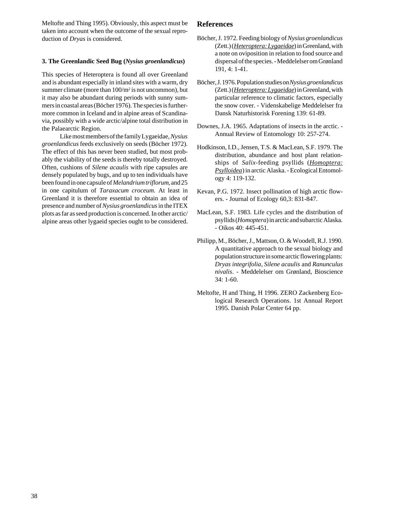Meltofte and Thing 1995). Obviously, this aspect must be taken into account when the outcome of the sexual reproduction of *Dryas* is considered.

#### **3. The Greenlandic Seed Bug (***Nysius groenlandicus***)**

This species of Heteroptera is found all over Greenland and is abundant especially in inland sites with a warm, dry summer climate (more than  $100/m^2$  is not uncommon), but it may also be abundant during periods with sunny summers in coastal areas (Böcher 1976). The species is furthermore common in Iceland and in alpine areas of Scandinavia, possibly with a wide arctic/alpine total distribution in the Palaearctic Region.

Like most members of the family Lygaeidae, *Nysius groenlandicus* feeds exclusively on seeds (Böcher 1972). The effect of this has never been studied, but most probably the viability of the seeds is thereby totally destroyed. Often, cushions of *Silene acaulis* with ripe capsules are densely populated by bugs, and up to ten individuals have been found in one capsule of *Melandrium triflorum*, and 25 in one capitulum of *Taraxacum croceum*. At least in Greenland it is therefore essential to obtain an idea of presence and number of *Nysius groenlandicus* in the ITEX plots as far as seed production is concerned. In other arctic/ alpine areas other lygaeid species ought to be considered.

### **References**

- Böcher, J. 1972. Feeding biology of *Nysius groenlandicus* (Zett.) (*Heteroptera: Lygaeidae*) in Greenland, with a note on oviposition in relation to food source and dispersal of the species. - Meddelelser om Grønland 191, 4: 1-41.
- Böcher, J. 1976. Population studies on *Nysius groenlandicus* (Zett.) (*Heteroptera: Lygaeidae*) in Greenland, with particular reference to climatic factors, especially the snow cover. - Videnskabelige Meddelelser fra Dansk Naturhistorisk Forening 139: 61-89.
- Downes, J.A. 1965. Adaptations of insects in the arctic. Annual Review of Entomology 10: 257-274.
- Hodkinson, I.D., Jensen, T.S. & MacLean, S.F. 1979. The distribution, abundance and host plant relationships of *Salix*-feeding psyllids (*Homoptera: Psylloidea*) in arctic Alaska. - Ecological Entomology 4: 119-132.
- Kevan, P.G. 1972. Insect pollination of high arctic flowers. - Journal of Ecology 60,3: 831-847.
- MacLean, S.F. 1983. Life cycles and the distribution of psyllids (*Homoptera*) in arctic and subarctic Alaska. - Oikos 40: 445-451.
- Philipp, M., Böcher, J., Mattson, O. & Woodell, R.J. 1990. A quantitative approach to the sexual biology and population structure in some arctic flowering plants: *Dryas integrifolia*, *Silene acaulis* and *Ranunculus nivalis*. - Meddelelser om Grønland, Bioscience 34: 1-60.
- Meltofte, H and Thing, H 1996. ZERO Zackenberg Ecological Research Operations. 1st Annual Report 1995. Danish Polar Center 64 pp.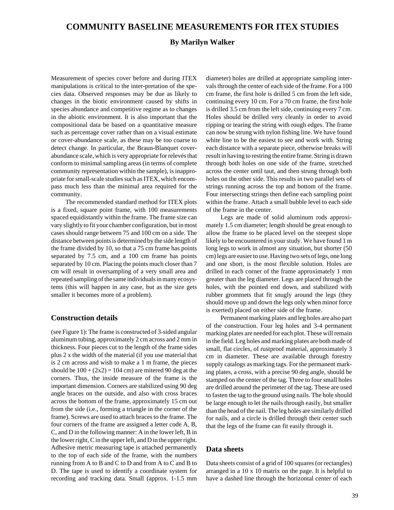### **COMMUNITY BASELINE MEASUREMENTS FOR ITEX STUDIES**

#### **By Marilyn Walker**

Measurement of species cover before and during ITEX manipulations is critical to the inter-pretation of the species data. Observed responses may be due as likely to changes in the biotic environment caused by shifts in species abundance and competitive regime as to changes in the abiotic environment. It is also important that the compositional data be based on a quantitative measure such as percentage cover rather than on a visual estimate or cover-abundance scale, as these may be too coarse to detect change. In particular, the Braun-Blanquet coverabundance scale, which is very appropriate for relevés that conform to minimal sampling areas (in terms of complete community representation within the sample), is inappropriate for small-scale studies such as ITEX, which encompass much less than the minimal area required for the community.

The recommended standard method for ITEX plots is a fixed, square point frame, with 100 measurements spaced equidistantly within the frame. The frame size can vary slightly to fit your chamber configuration, but in most cases should range between 75 and 100 cm on a side. The distance between points is determined by the side length of the frame divided by 10, so that a 75 cm frame has points separated by 7.5 cm, and a 100 cm frame has points separated by 10 cm. Placing the points much closer than 7 cm will result in oversampling of a very small area and repeated sampling of the same individuals in many ecosystems (this will happen in any case, but as the size gets smaller it becomes more of a problem).

#### **Construction details**

(see Figure 1): The frame is constructed of 3-sided angular aluminum tubing, approximately 2 cm across and 2 mm in thickness. Four pieces cut to the length of the frame sides plus 2 x the width of the material (if you use material that is 2 cm across and wish to make a 1 m frame, the pieces should be  $100 + (2x2) = 104$  cm) are mitered 90 deg at the corners. Thus, the inside measure of the frame is the important dimension. Corners are stabilized using 90 deg angle braces on the outside, and also with cross braces across the bottom of the frame, approximately 15 cm out from the side (i.e., forming a triangle in the corner of the frame). Screws are used to attach braces to the frame. The four corners of the frame are assigned a letter code A, B, C, and D in the following manner: A in the lower left, B in the lower right, C in the upper left, and D in the upper right. Adhesive metric measuring tape is attached permanently to the top of each side of the frame, with the numbers running from A to B and C to D and from A to C and B to D. The tape is used to identify a coordinate system for recording and tracking data. Small (approx. 1-1.5 mm

diameter) holes are drilled at appropriate sampling intervals through the center of each side of the frame. For a 100 cm frame, the first hole is drilled 5 cm from the left side, continuing every 10 cm. For a 70 cm frame, the first hole is drilled 3.5 cm from the left side, continuing every 7 cm. Holes should be drilled very cleanly in order to avoid ripping or tearing the string with rough edges. The frame can now be strung with nylon fishing line. We have found white line to be the easiest to see and work with. String each distance with a separate piece, otherwise breaks will result in having to restring the entire frame. String is drawn through both holes on one side of the frame, stretched across the center until taut, and then strung through both holes on the other side. This results in two parallel sets of strings running across the top and bottom of the frame. Four intersecting strings then define each sampling point within the frame. Attach a small bubble level to each side of the frame in the center.

Legs are made of solid aluminum rods approximately 1.5 cm diameter; length should be great enough to allow the frame to be placed level on the steepest slope likely to be encountered in your study. We have found 1 m long legs to work in almost any situation, but shorter (50 cm) legs are easier to use. Having two sets of legs, one long and one short, is the most flexible solution. Holes are drilled in each corner of the frame approximately 1 mm greater than the leg diameter. Legs are placed through the holes, with the pointed end down, and stabilized with rubber grommets that fit snugly around the legs (they should move up and down the legs only when minor force is exerted) placed on either side of the frame.

Permanent marking plates and leg holes are also part of the construction. Four leg holes and 3-4 permanent marking plates are needed for each plot. These will remain in the field. Leg holes and marking plates are both made of small, flat circles, of rustproof material, approximately 3 cm in diameter. These are available through forestry supply catalogs as marking tags. For the permanent marking plates, a cross, with a precise 90 deg angle, should be stamped on the center of the tag. Three to four small holes are drilled around the perimeter of the tag. These are used to fasten the tag to the ground using nails. The hole should be large enough to let the nails through easily, but smaller than the head of the nail. The leg holes are similarly drilled for nails, and a circle is drilled through their center such that the legs of the frame can fit easily through it.

#### **Data sheets**

Data sheets consist of a grid of 100 squares (or rectangles) arranged in a 10 x 10 matrix on the page. It is helpful to have a dashed line through the horizontal center of each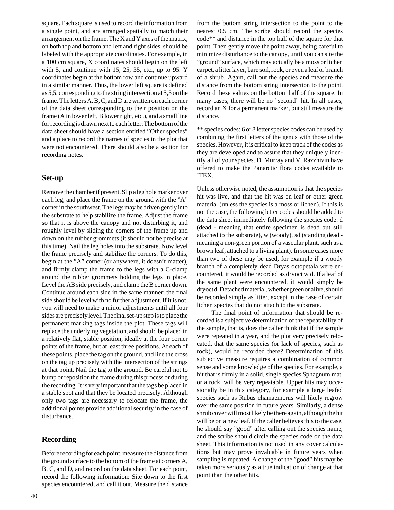square. Each square is used to record the information from a single point, and are arranged spatially to match their arrangement on the frame. The X and Y axes of the matrix, on both top and bottom and left and right sides, should be labeled with the appropriate coordinates. For example, in a 100 cm square, X coordinates should begin on the left with 5, and continue with 15, 25, 35, etc., up to 95. Y coordinates begin at the bottom row and continue upward in a similar manner. Thus, the lower left square is defined as 5,5, corresponding to the string intersection at 5,5 on the frame. The letters A, B, C, and D are written on each corner of the data sheet corresponding to their position on the frame (A in lower left, B lower right, etc.), and a small line for recording is drawn next to each letter. The bottom of the data sheet should have a section entitled "Other species" and a place to record the names of species in the plot that were not encountered. There should also be a section for recording notes.

#### **Set-up**

Remove the chamber if present. Slip a leg hole marker over each leg, and place the frame on the ground with the "A" corner in the southwest. The legs may be driven gently into the substrate to help stabilize the frame. Adjust the frame so that it is above the canopy and not disturbing it, and roughly level by sliding the corners of the frame up and down on the rubber grommets (it should not be precise at this time). Nail the leg holes into the substrate. Now level the frame precisely and stabilize the corners. To do this, begin at the "A" corner (or anywhere, it doesn't matter), and firmly clamp the frame to the legs with a C-clamp around the rubber grommets holding the legs in place. Level the AB side precisely, and clamp the B corner down. Continue around each side in the same manner; the final side should be level with no further adjustment. If it is not, you will need to make a minor adjustments until all four sides are precisely level. The final set-up step is to place the permanent marking tags inside the plot. These tags will replace the underlying vegetation, and should be placed in a relatively flat, stable position, ideally at the four corner points of the frame, but at least three positions. At each of these points, place the tag on the ground, and line the cross on the tag up precisely with the intersection of the strings at that point. Nail the tag to the ground. Be careful not to bump or reposition the frame during this process or during the recording. It is very important that the tags be placed in a stable spot and that they be located precisely. Although only two tags are necessary to relocate the frame, the additional points provide additional security in the case of disturbance.

#### **Recording**

Before recording for each point, measure the distance from the ground surface to the bottom of the frame at corners A, B, C, and D, and record on the data sheet. For each point, record the following information: Site down to the first species encountered, and call it out. Measure the distance

from the bottom string intersection to the point to the nearest 0.5 cm. The scribe should record the species code\*\* and distance in the top half of the square for that point. Then gently move the point away, being careful to minimize disturbance to the canopy, until you can site the "ground" surface, which may actually be a moss or lichen carpet, a litter layer, bare soil, rock, or even a leaf or branch of a shrub. Again, call out the species and measure the distance from the bottom string intersection to the point. Record these values on the bottom half of the square. In many cases, there will be no "second" hit. In all cases, record an X for a permanent marker, but still measure the distance.

\*\* species codes: 6 or 8 letter species codes can be used by combining the first letters of the genus with those of the species. However, it is critical to keep track of the codes as they are developed and to assure that they uniquely identify all of your species. D. Murray and V. Razzhivin have offered to make the Panarctic flora codes available to ITEX.

Unless otherwise noted, the assumption is that the species hit was live, and that the hit was on leaf or other green material (unless the species is a moss or lichen). If this is not the case, the following letter codes should be added to the data sheet immediately following the species code: d (dead - meaning that entire specimen is dead but still attached to the substrate), w (woody), sd (standing dead meaning a non-green portion of a vascular plant, such as a brown leaf, attached to a living plant). In some cases more than two of these may be used, for example if a woody branch of a completely dead Dryas octopetala were encountered, it would be recorded as dryoct w d. If a leaf of the same plant were encountered, it would simply be dryoct d. Detached material, whether green or alive, should be recorded simply as litter, except in the case of certain lichen species that do not attach to the substrate.

The final point of information that should be recorded is a subjective determination of the repeatability of the sample, that is, does the caller think that if the sample were repeated in a year, and the plot very precisely relocated, that the same species (or lack of species, such as rock), would be recorded there? Determination of this subjective measure requires a combination of common sense and some knowledge of the species. For example, a hit that is firmly in a solid, single species Sphagnum mat, or a rock, will be very repeatable. Upper hits may occasionally be in this category, for example a large leafed species such as Rubus chamaemorus will likely regrow over the same position in future years. Similarly, a dense shrub cover will most likely be there again, although the hit will be on a new leaf. If the caller believes this to the case, he should say "good" after calling out the species name, and the scribe should circle the species code on the data sheet. This information is not used in any cover calculations but may prove invaluable in future years when sampling is repeated. A change of the "good" hits may be taken more seriously as a true indication of change at that point than the other hits.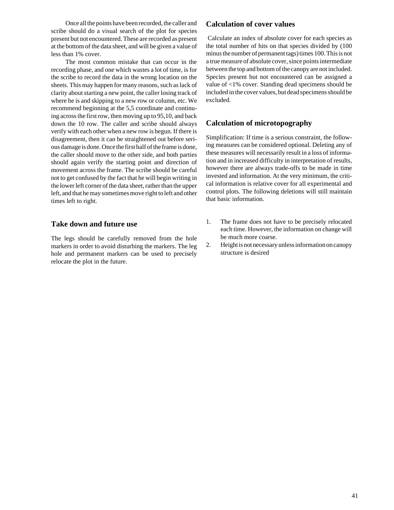Once all the points have been recorded, the caller and scribe should do a visual search of the plot for species present but not encountered. These are recorded as present at the bottom of the data sheet, and will be given a value of less than 1% cover.

The most common mistake that can occur in the recording phase, and one which wastes a lot of time, is for the scribe to record the data in the wrong location on the sheets. This may happen for many reasons, such as lack of clarity about starting a new point, the caller losing track of where he is and skipping to a new row or column, etc. We recommend beginning at the 5,5 coordinate and continuing across the first row, then moving up to 95,10, and back down the 10 row. The caller and scribe should always verify with each other when a new row is begun. If there is disagreement, then it can be straightened out before serious damage is done. Once the first half of the frame is done, the caller should move to the other side, and both parties should again verify the starting point and direction of movement across the frame. The scribe should be careful not to get confused by the fact that he will begin writing in the lower left corner of the data sheet, rather than the upper left, and that he may sometimes move right to left and other times left to right.

#### **Take down and future use**

The legs should be carefully removed from the hole markers in order to avoid disturbing the markers. The leg hole and permanent markers can be used to precisely relocate the plot in the future.

#### **Calculation of cover values**

 Calculate an index of absolute cover for each species as the total number of hits on that species divided by (100 minus the number of permanent tags) times 100. This is not a true measure of absolute cover, since points intermediate between the top and bottom of the canopy are not included. Species present but not encountered can be assigned a value of <1% cover. Standing dead specimens should be included in the cover values, but dead specimens should be excluded.

#### **Calculation of microtopography**

Simplification: If time is a serious constraint, the following measures can be considered optional. Deleting any of these measures will necessarily result in a loss of information and in increased difficulty in interpretation of results, however there are always trade-offs to be made in time invested and information. At the very minimum, the critical information is relative cover for all experimental and control plots. The following deletions will still maintain that basic information.

- 1. The frame does not have to be precisely relocated each time. However, the information on change will be much more coarse.
- 2. Height is not necessary unless information on canopy structure is desired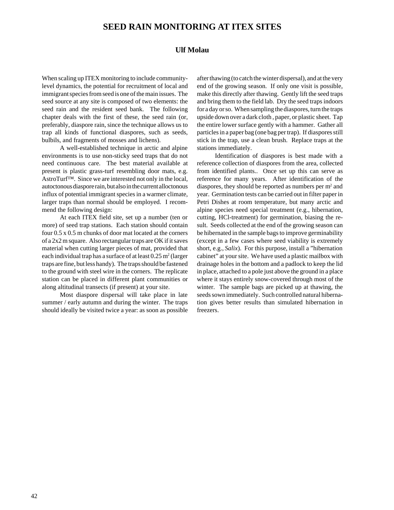# **SEED RAIN MONITORING AT ITEX SITES**

#### **Ulf Molau**

When scaling up ITEX monitoring to include communitylevel dynamics, the potential for recruitment of local and immigrant species from seed is one of the main issues. The seed source at any site is composed of two elements: the seed rain and the resident seed bank. The following chapter deals with the first of these, the seed rain (or, preferably, diaspore rain, since the technique allows us to trap all kinds of functional diaspores, such as seeds, bulbils, and fragments of mosses and lichens).

A well-established technique in arctic and alpine environments is to use non-sticky seed traps that do not need continuous care. The best material available at present is plastic grass-turf resembling door mats, e.g. AstroTurf™. Since we are interested not only in the local, autoctonous diaspore rain, but also in the current alloctonous influx of potential immigrant species in a warmer climate, larger traps than normal should be employed. I recommend the following design:

At each ITEX field site, set up a number (ten or more) of seed trap stations. Each station should contain four 0.5 x 0.5 m chunks of door mat located at the corners of a 2x2 m square. Also rectangular traps are OK if it saves material when cutting larger pieces of mat, provided that each individual trap has a surface of at least  $0.25 \text{ m}^2$  (larger traps are fine, but less handy). The traps should be fastened to the ground with steel wire in the corners. The replicate station can be placed in different plant communities or along altitudinal transects (if present) at your site.

Most diaspore dispersal will take place in late summer / early autumn and during the winter. The traps should ideally be visited twice a year: as soon as possible after thawing (to catch the winter dispersal), and at the very end of the growing season. If only one visit is possible, make this directly after thawing. Gently lift the seed traps and bring them to the field lab. Dry the seed traps indoors for a day or so. When sampling the diaspores, turn the traps upside down over a dark cloth , paper, or plastic sheet. Tap the entire lower surface gently with a hammer. Gather all particles in a paper bag (one bag per trap). If diaspores still stick in the trap, use a clean brush. Replace traps at the stations immediately.

Identification of diaspores is best made with a reference collection of diaspores from the area, collected from identified plants.. Once set up this can serve as reference for many years. After identification of the diaspores, they should be reported as numbers per m<sup>2</sup> and year. Germination tests can be carried out in filter paper in Petri Dishes at room temperature, but many arctic and alpine species need special treatment (e.g., hibernation, cutting, HCl-treatment) for germination, biasing the result. Seeds collected at the end of the growing season can be hibernated in the sample bags to improve germinability (except in a few cases where seed viability is extremely short, e.g., *Salix*). For this purpose, install a "hibernation cabinet" at your site. We have used a plastic mailbox with drainage holes in the bottom and a padlock to keep the lid in place, attached to a pole just above the ground in a place where it stays entirely snow-covered through most of the winter. The sample bags are picked up at thawing, the seeds sown immediately. Such controlled natural hibernation gives better results than simulated hibernation in freezers.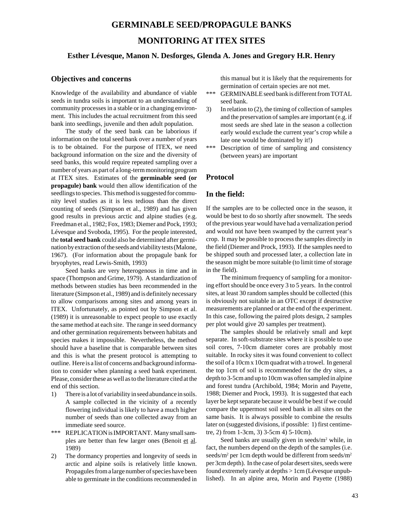### **GERMINABLE SEED/PROPAGULE BANKS**

## **MONITORING AT ITEX SITES**

#### **Esther Lévesque, Manon N. Desforges, Glenda A. Jones and Gregory H.R. Henry**

#### **Objectives and concerns**

Knowledge of the availability and abundance of viable seeds in tundra soils is important to an understanding of community processes in a stable or in a changing environment. This includes the actual recruitment from this seed bank into seedlings, juvenile and then adult population.

The study of the seed bank can be laborious if information on the total seed bank over a number of years is to be obtained. For the purpose of ITEX, we need background information on the size and the diversity of seed banks, this would require repeated sampling over a number of years as part of a long-term monitoring program at ITEX sites. Estimates of the **germinable seed (or propagule) bank** would then allow identification of the seedlings to species. This method is suggested for community level studies as it is less tedious than the direct counting of seeds (Simpson et al., 1989) and has given good results in previous arctic and alpine studies (e.g. Freedman et al., 1982; Fox, 1983; Diemer and Pock, 1993; Lévesque and Svoboda, 1995). For the people interested, the **total seed bank** could also be determined after germination by extraction of the seeds and viability tests (Malone, 1967). (For information about the propagule bank for bryophytes, read Lewis-Smith, 1993)

Seed banks are very heterogenous in time and in space (Thompson and Grime, 1979). A standardization of methods between studies has been recommended in the literature (Simpson et al., 1989) and is definitely necessary to allow comparisons among sites and among years in ITEX. Unfortunately, as pointed out by Simpson et al. (1989) it is unreasonable to expect people to use exactly the same method at each site. The range in seed dormancy and other germination requirements between habitats and species makes it impossible. Nevertheless, the method should have a baseline that is comparable between sites and this is what the present protocol is attempting to outline. Here is a list of concerns and background information to consider when planning a seed bank experiment. Please, consider these as well as to the literature cited at the end of this section.

- 1) There is a lot of variability in seed abundance in soils. A sample collected in the vicinity of a recently flowering individual is likely to have a much higher number of seeds than one collected away from an immediate seed source.
- \*\*\* REPLICATION is IMPORTANT. Many small samples are better than few larger ones (Benoit et al. 1989)
- 2) The dormancy properties and longevity of seeds in arctic and alpine soils is relatively little known. Propagules from a large number of species have been able to germinate in the conditions recommended in

this manual but it is likely that the requirements for germination of certain species are not met.

- \*\*\* GERMINABLE seed bank is different from TOTAL seed bank.
- 3) In relation to (2), the timing of collection of samples and the preservation of samples are important (e.g. if most seeds are shed late in the season a collection early would exclude the current year's crop while a late one would be dominated by it!)
- \*\*\* Description of time of sampling and consistency (between years) are important

#### **Protocol**

#### **In the field:**

If the samples are to be collected once in the season, it would be best to do so shortly after snowmelt. The seeds of the previous year would have had a vernalization period and would not have been swamped by the current year's crop. It may be possible to process the samples directly in the field (Diemer and Prock, 1993). If the samples need to be shipped south and processed later, a collection late in the season might be more suitable (to limit time of storage in the field).

The minimum frequency of sampling for a monitoring effort should be once every 3 to 5 years. In the control sites, at least 30 random samples should be collected (this is obviously not suitable in an OTC except if destructive measurements are planned or at the end of the experiment. In this case, following the paired plots design, 2 samples per plot would give 20 samples per treatment).

The samples should be relatively small and kept separate. In soft-substrate sites where it is possible to use soil cores, 7-10cm diameter cores are probably most suitable. In rocky sites it was found convenient to collect the soil of a 10cm x 10cm quadrat with a trowel. In general the top 1cm of soil is recommended for the dry sites, a depth to 3-5cm and up to 10cm was often sampled in alpine and forest tundra (Archibold, 1984; Morin and Payette, 1988; Diemer and Prock, 1993). It is suggested that each layer be kept separate because it would be best if we could compare the uppermost soil seed bank in all sites on the same basis. It is always possible to combine the results later on (suggested divisions, if possible: 1) first centimetre, 2) from 1-3cm, 3) 3-5cm 4) 5-10cm).

Seed banks are usually given in seeds/m<sup>2</sup> while, in fact, the numbers depend on the depth of the samples (i.e. seeds/m<sup>2</sup> per 1cm depth would be different from seeds/m<sup>2</sup> per 3cm depth). In the case of polar desert sites, seeds were found extremely rarely at depths > 1cm (Lévesque unpublished). In an alpine area, Morin and Payette (1988)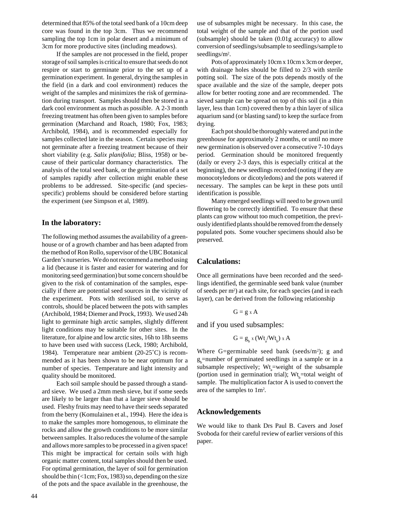determined that 85% of the total seed bank of a 10cm deep core was found in the top 3cm. Thus we recommend sampling the top 1cm in polar desert and a minimum of 3cm for more productive sites (including meadows).

If the samples are not processed in the field, proper storage of soil samples is critical to ensure that seeds do not respire or start to germinate prior to the set up of a germination experiment. In general, drying the samples in the field (in a dark and cool environment) reduces the weight of the samples and minimizes the risk of germination during transport. Samples should then be stored in a dark cool environment as much as possible. A 2-3 month freezing treatment has often been given to samples before germination (Marchand and Roach, 1980; Fox, 1983; Archibold, 1984), and is recommended especially for samples collected late in the season. Certain species may not germinate after a freezing treatment because of their short viability (e.g. *Salix planifolia*; Bliss, 1958) or because of their particular dormancy characteristics. The analysis of the total seed bank, or the germination of a set of samples rapidly after collection might enable these problems to be addressed. Site-specific (and speciesspecific) problems should be considered before starting the experiment (see Simpson et al, 1989).

#### **In the laboratory:**

The following method assumes the availability of a greenhouse or of a growth chamber and has been adapted from the method of Ron Rollo, supervisor of the UBC Botanical Garden's nurseries. We do not recommend a method using a lid (because it is faster and easier for watering and for monitoring seed germination) but some concern should be given to the risk of contamination of the samples, especially if there are potential seed sources in the vicinity of the experiment. Pots with sterilised soil, to serve as controls, should be placed between the pots with samples (Archibold, 1984; Diemer and Prock, 1993). We used 24h light to germinate high arctic samples, slightly different light conditions may be suitable for other sites. In the literature, for alpine and low arctic sites, 16h to 18h seems to have been used with success (Leck, 1980; Archibold, 1984). Temperature near ambient (20-25˚C) is recommended as it has been shown to be near optimum for a number of species. Temperature and light intensity and quality should be monitored.

Each soil sample should be passed through a standard sieve. We used a 2mm mesh sieve, but if some seeds are likely to be larger than that a larger sieve should be used. Fleshy fruits may need to have their seeds separated from the berry (Komulainen et al., 1994). Here the idea is to make the samples more homogenous, to eliminate the rocks and allow the growth conditions to be more similar between samples. It also reduces the volume of the sample and allows more samples to be processed in a given space! This might be impractical for certain soils with high organic matter content, total samples should then be used. For optimal germination, the layer of soil for germination should be thin  $($ Icm; Fox, 1983) so, depending on the size of the pots and the space available in the greenhouse, the

use of subsamples might be necessary. In this case, the total weight of the sample and that of the portion used (subsample) should be taken (0.01g accuracy) to allow conversion of seedlings/subsample to seedlings/sample to seedlings/m<sup>2</sup>.

Pots of approximately 10cm x 10cm x 3cm or deeper, with drainage holes should be filled to 2/3 with sterile potting soil. The size of the pots depends mostly of the space available and the size of the sample, deeper pots allow for better rooting zone and are recommended. The sieved sample can be spread on top of this soil (in a thin layer, less than 1cm) covered then by a thin layer of silica aquarium sand (or blasting sand) to keep the surface from drying.

Each pot should be thoroughly watered and put in the greenhouse for approximately 2 months, or until no more new germination is observed over a consecutive 7-10 days period. Germination should be monitored frequently (daily or every 2-3 days, this is especially critical at the beginning), the new seedlings recorded (noting if they are monocotyledons or dicotyledons) and the pots watered if necessary. The samples can be kept in these pots until identification is possible.

Many emerged seedlings will need to be grown until flowering to be correctly identified. To ensure that these plants can grow without too much competition, the previously identified plants should be removed from the densely populated pots. Some voucher specimens should also be preserved.

#### **Calculations:**

Once all germinations have been recorded and the seedlings identified, the germinable seed bank value (number of seeds per m<sup>2</sup>) at each site, for each species (and in each layer), can be derived from the following relationship

$$
G = g \times A
$$

and if you used subsamples:

$$
G = g_{b} x (W t_{a} / W t_{b}) x A
$$

Where G=germinable seed bank (seeds/m<sup>2</sup>); g and  $g_b$ =number of germinated seedlings in a sample or in a subsample respectively;  $Wt$ <sub>a</sub>=weight of the subsample (portion used in germination trial);  $Wt_{b}$ =total weight of sample. The multiplication factor A is used to convert the area of the samples to 1m2 .

#### **Acknowledgements**

We would like to thank Drs Paul B. Cavers and Josef Svoboda for their careful review of earlier versions of this paper.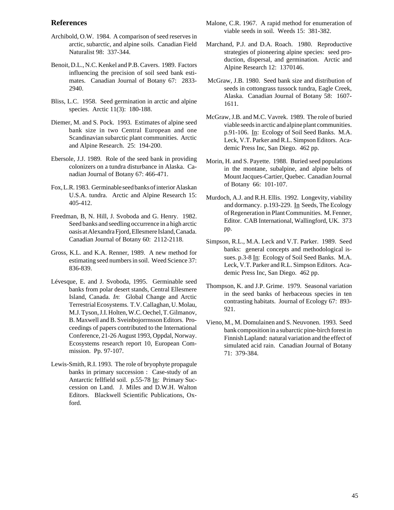#### **References**

- Archibold, O.W. 1984. A comparison of seed reserves in arctic, subarctic, and alpine soils. Canadian Field Naturalist 98: 337-344.
- Benoit, D.L., N.C. Kenkel and P.B. Cavers. 1989. Factors influencing the precision of soil seed bank estimates. Canadian Journal of Botany 67: 2833- 2940.
- Bliss, L.C. 1958. Seed germination in arctic and alpine species. Arctic 11(3): 180-188.
- Diemer, M. and S. Pock. 1993. Estimates of alpine seed bank size in two Central European and one Scandinavian subarctic plant communities. Arctic and Alpine Research. 25: 194-200.
- Ebersole, J.J. 1989. Role of the seed bank in providing colonizers on a tundra disturbance in Alaska. Canadian Journal of Botany 67: 466-471.
- Fox, L.R. 1983. Germinable seed banks of interior Alaskan U.S.A. tundra. Arctic and Alpine Research 15: 405-412.
- Freedman, B, N. Hill, J. Svoboda and G. Henry. 1982. Seed banks and seedling occurrence in a high arctic oasis at Alexandra Fjord, Ellesmere Island, Canada. Canadian Journal of Botany 60: 2112-2118.
- Gross, K.L. and K.A. Renner, 1989. A new method for estimating seed numbers in soil. Weed Science 37: 836-839.
- Lévesque, E. and J. Svoboda, 1995. Germinable seed banks from polar desert stands, Central Ellesmere Island, Canada. *In*: Global Change and Arctic Terrestrial Ecosystems. T.V. Callaghan, U. Molau, M.J. Tyson, J.I. Holten, W.C. Oechel, T. Gilmanov, B. Maxwell and B. Sveinbojorrnsson Editors. Proceedings of papers contributed to the International Conference, 21-26 August 1993, Oppdal, Norway. Ecosystems research report 10, European Commission. Pp. 97-107.
- Lewis-Smith, R.I. 1993. The role of bryophyte propagule banks in primary succession : Case-study of an Antarctic fellfield soil. p.55-78 In: Primary Succession on Land. J. Miles and D.W.H. Walton Editors. Blackwell Scientific Publications, Oxford.
- Malone, C.R. 1967. A rapid method for enumeration of viable seeds in soil. Weeds 15: 381-382.
- Marchand, P.J. and D.A. Roach. 1980. Reproductive strategies of pioneering alpine species: seed production, dispersal, and germination. Arctic and Alpine Research 12: 1370146.
- McGraw, J.B. 1980. Seed bank size and distribution of seeds in cottongrass tussock tundra, Eagle Creek, Alaska. Canadian Journal of Botany 58: 1607- 1611.
- McGraw, J.B. and M.C. Vavrek. 1989. The role of buried viable seeds in arctic and alpine plant communities. p.91-106. In: Ecology of Soil Seed Banks. M.A. Leck, V.T. Parker and R.L. Simpson Editors. Academic Press Inc, San Diego. 462 pp.
- Morin, H. and S. Payette. 1988. Buried seed populations in the montane, subalpine, and alpine belts of Mount Jacques-Cartier, Quebec. Canadian Journal of Botany 66: 101-107.
- Murdoch, A.J. and R.H. Ellis. 1992. Longevity, viability and dormancy. p.193-229. In Seeds, The Ecology of Regeneration in Plant Communities. M. Fenner, Editor. CAB International, Wallingford, UK. 373 pp.
- Simpson, R.L., M.A. Leck and V.T. Parker. 1989. Seed banks: general concepts and methodological issues. p.3-8 In: Ecology of Soil Seed Banks. M.A. Leck, V.T. Parker and R.L. Simpson Editors. Academic Press Inc, San Diego. 462 pp.
- Thompson, K. and J.P. Grime. 1979. Seasonal variation in the seed banks of herbaceous species in ten contrasting habitats. Journal of Ecology 67: 893- 921.
- Vieno, M., M. Domulainen and S. Neuvonen. 1993. Seed bank composition in a subarctic pine-birch forest in Finnish Lapland: natural variation and the effect of simulated acid rain. Canadian Journal of Botany 71: 379-384.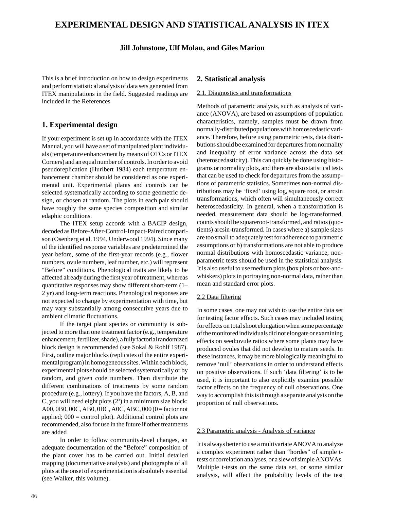# **EXPERIMENTAL DESIGN AND STATISTICAL ANALYSIS IN ITEX**

#### **Jill Johnstone, Ulf Molau, and Giles Marion**

This is a brief introduction on how to design experiments and perform statistical analysis of data sets generated from ITEX manipulations in the field. Suggested readings are included in the References

#### **1. Experimental design**

If your experiment is set up in accordance with the ITEX Manual, you will have a set of manipulated plant individuals (temperature enhancement by means of OTCs or ITEX Corners) and an equal number of controls. In order to avoid pseudoreplication (Hurlbert 1984) each temperature enhancement chamber should be considered as one experimental unit. Experimental plants and controls can be selected systematically according to some geometric design, or chosen at random. The plots in each pair should have roughly the same species composition and similar edaphic conditions.

The ITEX setup accords with a BACIP design, decoded as Before-After-Control-Impact-Paired comparison (Osenberg et al. 1994, Underwood 1994). Since many of the identified response variables are predetermined the year before, some of the first-year records (e.g., flower numbers, ovule numbers, leaf number, etc.) will represent "Before" conditions. Phenological traits are likely to be affected already during the first year of treatment, whereas quantitative responses may show different short-term (1– 2 yr) and long-term reactions. Phenological responses are not expected to change by experimentation with time, but may vary substantially among consecutive years due to ambient climatic fluctuations.

If the target plant species or community is subjected to more than one treatment factor (e.g., temperature enhancement, fertilizer, shade), a fully factorial randomized block design is recommended (see Sokal & Rohlf 1987). First, outline major blocks (replicates of the entire experimental program) in homogeneous sites. Within each block, experimental plots should be selected systematically or by random, and given code numbers. Then distribute the different combinations of treatments by some random procedure (e.g., lottery). If you have the factors, A, B, and C, you will need eight plots  $(2^3)$  in a minimum size block: A00, 0B0, 00C, AB0, 0BC, A0C, ABC, 000 (0 = factor not applied;  $000 =$  control plot). Additional control plots are recommended, also for use in the future if other treatments are added

In order to follow community-level changes, an adequate documentation of the "Before" composition of the plant cover has to be carried out. Initial detailed mapping (documentative analysis) and photographs of all plots at the onset of experimentation is absolutely essential (see Walker, this volume).

#### **2. Statistical analysis**

#### 2.1. Diagnostics and transformations

Methods of parametric analysis, such as analysis of variance (ANOVA), are based on assumptions of population characteristics, namely, samples must be drawn from normally-distributed populations with homoscedastic variance. Therefore, before using parametric tests, data distributions should be examined for departures from normality and inequality of error variance across the data set (heteroscedasticity). This can quickly be done using histograms or normality plots, and there are also statistical tests that can be used to check for departures from the assumptions of parametric statistics. Sometimes non-normal distributions may be 'fixed' using log, square root, or arcsin transformations, which often will simultaneously correct heteroscedasticity. In general, when a transformation is needed, measurement data should be log-transformed, counts should be squareroot-transformed, and ratios (quotients) arcsin-transformed. In cases where a) sample sizes are too small to adequately test for adherence to parametric assumptions or b) transformations are not able to produce normal distributions with homoscedastic variance, nonparametric tests should be used in the statistical analysis. It is also useful to use medium plots (box plots or box-andwhiskers) plots in portraying non-normal data, rather than mean and standard error plots.

#### 2.2 Data filtering

In some cases, one may not wish to use the entire data set for testing factor effects. Such cases may included testing for effects on total shoot elongation when some percentage of the monitored individuals did not elongate or examining effects on seed:ovule ratios where some plants may have produced ovules that did not develop to mature seeds. In these instances, it may be more biologically meaningful to remove 'null' observations in order to understand effects on positive observations. If such 'data filtering' is to be used, it is important to also explicitly examine possible factor effects on the frequency of null observations. One way to accomplish this is through a separate analysis on the proportion of null observations.

#### 2.3 Parametric analysis - Analysis of variance

It is always better to use a multivariate ANOVA to analyze a complex experiment rather than "hordes" of simple ttests or correlation analyses, or a slew of simple ANOVAs. Multiple t-tests on the same data set, or some similar analysis, will affect the probability levels of the test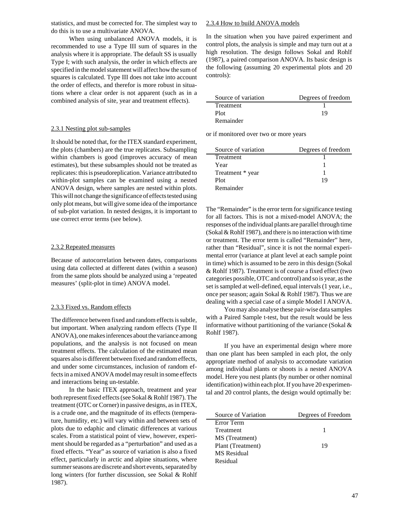statistics, and must be corrected for. The simplest way to do this is to use a multivariate ANOVA.

When using unbalanced ANOVA models, it is recommended to use a Type III sum of squares in the analysis where it is appropriate. The default SS is usually Type I; with such analysis, the order in which effects are specified in the model statement will affect how the sum of squares is calculated. Type III does not take into account the order of effects, and therefor is more robust in situations where a clear order is not apparent (such as in a combined analysis of site, year and treatment effects).

#### 2.3.1 Nesting plot sub-samples

It should be noted that, for the ITEX standard experiment, the plots (chambers) are the true replicates. Subsampling within chambers is good (improves accuracy of mean estimates), but these subsamples should not be treated as replicates: this is pseudoreplication. Variance attributed to within-plot samples can be examined using a nested ANOVA design, where samples are nested within plots. This will not change the significance of effects tested using only plot means, but will give some idea of the importance of sub-plot variation. In nested designs, it is important to use correct error terms (see below).

#### 2.3.2 Repeated measures

Because of autocorrelation between dates, comparisons using data collected at different dates (within a season) from the same plots should be analyzed using a 'repeated measures' (split-plot in time) ANOVA model.

#### 2.3.3 Fixed vs. Random effects

The difference between fixed and random effects is subtle, but important. When analyzing random effects (Type II ANOVA), one makes inferences about the variance among populations, and the analysis is not focused on mean treatment effects. The calculation of the estimated mean squares also is different between fixed and random effects, and under some circumstances, inclusion of random effects in a mixed ANOVA model may result in some effects and interactions being un-testable.

In the basic ITEX approach, treatment and year both represent fixed effects (see Sokal & Rohlf 1987). The treatment (OTC or Corner) in passive designs, as in ITEX, is a crude one, and the magnitude of its effects (temperature, humidity, etc.) will vary within and between sets of plots due to edaphic and climatic differences at various scales. From a statistical point of view, however, experiment should be regarded as a "perturbation" and used as a fixed effects. "Year" as source of variation is also a fixed effect, particularly in arctic and alpine situations, where summer seasons are discrete and short events, separated by long winters (for further discussion, see Sokal & Rohlf 1987).

#### 2.3.4 How to build ANOVA models

In the situation when you have paired experiment and control plots, the analysis is simple and may turn out at a high resolution. The design follows Sokal and Rohlf (1987), a paired comparison ANOVA. Its basic design is the following (assuming 20 experimental plots and 20 controls):

| Source of variation | Degrees of freedom |
|---------------------|--------------------|
| Treatment           |                    |
| Plot                | 19                 |
| Remainder           |                    |

or if monitored over two or more years

| Source of variation | Degrees of freedom |
|---------------------|--------------------|
| Treatment           |                    |
| Year                |                    |
| Treatment * year    |                    |
| Plot                | 19                 |
| Remainder           |                    |

The "Remainder" is the error term for significance testing for all factors. This is not a mixed-model ANOVA; the responses of the individual plants are parallel through time (Sokal & Rohlf 1987), and there is no interaction with time or treatment. The error term is called "Remainder" here, rather than "Residual", since it is not the normal experimental error (variance at plant level at each sample point in time) which is assumed to be zero in this design (Sokal & Rohlf 1987). Treatment is of course a fixed effect (two categories possible, OTC and control) and so is year, as the set is sampled at well-defined, equal intervals (1 year, i.e., once per season; again Sokal & Rohlf 1987). Thus we are dealing with a special case of a simple Model I ANOVA.

You may also analyse these pair-wise data samples with a Paired Sample t-test, but the result would be less informative without partitioning of the variance (Sokal  $\&$ Rohlf 1987).

If you have an experimental design where more than one plant has been sampled in each plot, the only appropriate method of analysis to accomodate variation among individual plants or shoots is a nested ANOVA model. Here you nest plants (by number or other nominal identification) within each plot. If you have 20 experimental and 20 control plants, the design would optimally be:

| Source of Variation | Degrees of Freedom |
|---------------------|--------------------|
| Error Term          |                    |
| <b>Treatment</b>    |                    |
| MS (Treatment)      |                    |
| Plant (Treatment)   | 19                 |
| MS Residual         |                    |
| Residual            |                    |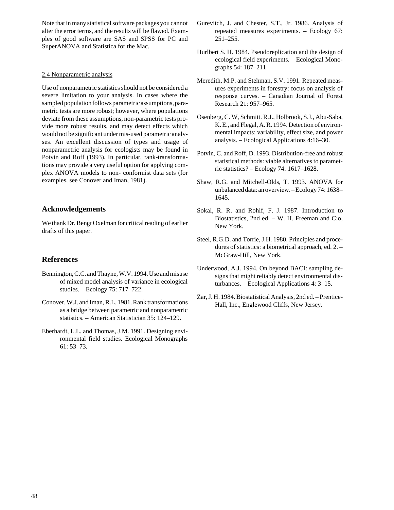Note that in many statistical software packages you cannot alter the error terms, and the results will be flawed. Examples of good software are SAS and SPSS for PC and SuperANOVA and Statistica for the Mac.

#### 2.4 Nonparametric analysis

Use of nonparametric statistics should not be considered a severe limitation to your analysis. In cases where the sampled population follows parametric assumptions, parametric tests are more robust; however, where populations deviate from these assumptions, non-parametric tests provide more robust results, and may detect effects which would not be significant under mis-used parametric analyses. An excellent discussion of types and usage of nonparametric analysis for ecologists may be found in Potvin and Roff (1993). In particular, rank-transformations may provide a very useful option for applying complex ANOVA models to non- conformist data sets (for examples, see Conover and Iman, 1981).

### **Acknowledgements**

We thank Dr. Bengt Oxelman for critical reading of earlier drafts of this paper.

### **References**

- Bennington, C.C. and Thayne, W.V. 1994. Use and misuse of mixed model analysis of variance in ecological studies. – Ecology 75: 717–722.
- Conover, W.J. and Iman, R.L. 1981. Rank transformations as a bridge between parametric and nonparametric statistics. – American Statistician 35: 124–129.
- Eberhardt, L.L. and Thomas, J.M. 1991. Designing environmental field studies. Ecological Monographs 61: 53–73.
- Gurevitch, J. and Chester, S.T., Jr. 1986. Analysis of repeated measures experiments. – Ecology 67: 251–255.
- Hurlbert S. H. 1984. Pseudoreplication and the design of ecological field experiments. – Ecological Monographs 54: 187–211
- Meredith, M.P. and Stehman, S.V. 1991. Repeated measures experiments in forestry: focus on analysis of response curves. – Canadian Journal of Forest Research 21: 957–965.
- Osenberg, C. W, Schmitt. R.J., Holbrook, S.J., Abu-Saba, K. E., and Flegal, A. R. 1994. Detection of environmental impacts: variability, effect size, and power analysis. – Ecological Applications 4:16–30.
- Potvin, C. and Roff, D. 1993. Distribution-free and robust statistical methods: viable alternatives to parametric statistics? – Ecology 74: 1617–1628.
- Shaw, R.G. and Mitchell-Olds, T. 1993. ANOVA for unbalanced data: an overview. – Ecology 74: 1638– 1645.
- Sokal, R. R. and Rohlf, F. J. 1987. Introduction to Biostatistics, 2nd ed. – W. H. Freeman and C:o, New York.
- Steel, R.G.D. and Torrie, J.H. 1980. Principles and procedures of statistics: a biometrical approach, ed. 2. – McGraw-Hill, New York.
- Underwood, A.J. 1994. On beyond BACI: sampling designs that might reliably detect environmental disturbances. – Ecological Applications 4: 3–15.
- Zar, J. H. 1984. Biostatistical Analysis, 2nd ed. Prentice-Hall, Inc., Englewood Cliffs, New Jersey.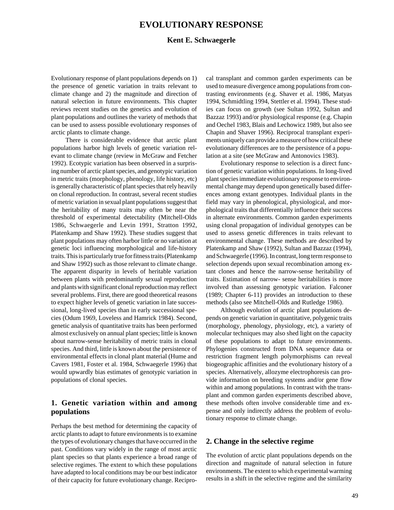## **EVOLUTIONARY RESPONSE**

#### **Kent E. Schwaegerle**

Evolutionary response of plant populations depends on 1) the presence of genetic variation in traits relevant to climate change and 2) the magnitude and direction of natural selection in future environments. This chapter reviews recent studies on the genetics and evolution of plant populations and outlines the variety of methods that can be used to assess possible evolutionary responses of arctic plants to climate change.

There is considerable evidence that arctic plant populations harbor high levels of genetic variation relevant to climate change (review in McGraw and Fetcher 1992). Ecotypic variation has been observed in a surprising number of arctic plant species, and genotypic variation in metric traits (morphology, phenology, life history, etc) is generally characteristic of plant species that rely heavily on clonal reproduction. In contrast, several recent studies of metric variation in sexual plant populations suggest that the heritability of many traits may often be near the threshold of experimental detectability (Mitchell-Olds 1986, Schwaegerle and Levin 1991, Stratton 1992, Platenkamp and Shaw 1992). These studies suggest that plant populations may often harbor little or no variation at genetic loci influencing morphological and life-history traits. This is particularly true for fitness traits (Platenkamp and Shaw 1992) such as those relevant to climate change. The apparent disparity in levels of heritable variation between plants with predominantly sexual reproduction and plants with significant clonal reproduction may reflect several problems. First, there are good theoretical reasons to expect higher levels of genetic variation in late successional, long-lived species than in early successional species (Odum 1969, Loveless and Hamrick 1984). Second, genetic analysis of quantitative traits has been performed almost exclusively on annual plant species; little is known about narrow-sense heritability of metric traits in clonal species. And third, little is known about the persistence of environmental effects in clonal plant material (Hume and Cavers 1981, Foster et al. 1984, Schwaegerle 1996) that would upwardly bias estimates of genotypic variation in populations of clonal species.

### **1. Genetic variation within and among populations**

Perhaps the best method for determining the capacity of arctic plants to adapt to future environments is to examine the types of evolutionary changes that have occurred in the past. Conditions vary widely in the range of most arctic plant species so that plants experience a broad range of selective regimes. The extent to which these populations have adapted to local conditions may be our best indicator of their capacity for future evolutionary change. Reciprocal transplant and common garden experiments can be used to measure divergence among populations from contrasting environments (e.g. Shaver et al. 1986, Matyas 1994, Schmidtling 1994, Stettler et al. 1994). These studies can focus on growth (see Sultan 1992, Sultan and Bazzaz 1993) and/or physiological response (e.g. Chapin and Oechel 1983, Blais and Lechowicz 1989, but also see Chapin and Shaver 1996). Reciprocal transplant experiments uniquely can provide a measure of how critical these evolutionary differences are to the persistence of a population at a site (see McGraw and Antonovics 1983).

Evolutionary response to selection is a direct function of genetic variation within populations. In long-lived plant species immediate evolutionary response to environmental change may depend upon genetically based differences among extant genotypes. Individual plants in the field may vary in phenological, physiological, and morphological traits that differentially influence their success in alternate environments. Common garden experiments using clonal propagation of individual genotypes can be used to assess genetic differences in traits relevant to environmental change. These methods are described by Platenkamp and Shaw (1992), Sultan and Bazzaz (1994), and Schwaegerle (1996). In contrast, long term response to selection depends upon sexual recombination among extant clones and hence the narrow-sense heritability of traits. Estimation of narrow- sense heritabilities is more involved than assessing genotypic variation. Falconer (1989; Chapter 6-11) provides an introduction to these methods (also see Mitchell-Olds and Rutledge 1986).

Although evolution of arctic plant populations depends on genetic variation in quantitative, polygenic traits (morphology, phenology, physiology, etc), a variety of molecular techniques may also shed light on the capacity of these populations to adapt to future environments. Phylogenies constructed from DNA sequence data or restriction fragment length polymorphisms can reveal biogeographic affinities and the evolutionary history of a species. Alternatively, allozyme electrophoresis can provide information on breeding systems and/or gene flow within and among populations. In contrast with the transplant and common garden experiments described above, these methods often involve considerable time and expense and only indirectly address the problem of evolutionary response to climate change.

#### **2. Change in the selective regime**

The evolution of arctic plant populations depends on the direction and magnitude of natural selection in future environments. The extent to which experimental warming results in a shift in the selective regime and the similarity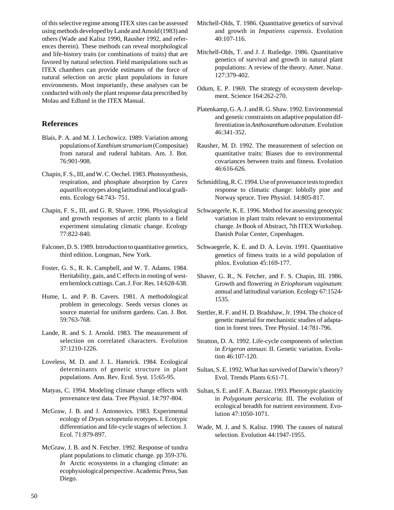of this selective regime among ITEX sites can be assessed using methods developed by Lande and Arnold (1983) and others (Wade and Kalisz 1990, Rausher 1992, and references therein). These methods can reveal morphological and life-history traits (or combinations of traits) that are favored by natural selection. Field manipulations such as ITEX chambers can provide estimates of the force of natural selection on arctic plant populations in future environments. Most importantly, these analyses can be conducted with only the plant response data prescribed by Molau and Edlund in the ITEX Manual.

### **References**

- Blais, P. A. and M. J. Lechowicz. 1989. Variation among populations of *Xanthiumstrumarium* (Compositae) from natural and ruderal habitats. Am. J. Bot. 76:901-908.
- Chapin, F. S., III, and W. C. Oechel. 1983. Photosynthesis, respiration, and phosphate absorption by *Carex aquatilis* ecotypes along latitudinal and local gradients. Ecology 64:743- 751.
- Chapin, F. S., III, and G. R. Shaver. 1996. Physiological and growth responses of arctic plants to a field experiment simulating climatic change. Ecology 77:822-840.
- Falconer, D. S. 1989. Introduction to quantitative genetics, third edition. Longman, New York.
- Foster, G. S., R. K. Campbell, and W. T. Adams. 1984. Heritability, gain, and C effects in rooting of western hemlock cuttings. Can. J. For. Res. 14:628-638.
- Hume, L. and P. B. Cavers. 1981. A methodological problem in genecology. Seeds versus clones as source material for uniform gardens. Can. J. Bot. 59:763-768.
- Lande, R. and S. J. Arnold. 1983. The measurement of selection on correlated characters. Evolution 37:1210-1226.
- Loveless, M. D. and J. L. Hamrick. 1984. Ecological determinants of genetic structure in plant populations. Ann. Rev. Ecol. Syst. 15:65-95.
- Matyas, C. 1994. Modeling climate change effects with provenance test data. Tree Physiol. 14:797-804.
- McGraw, J. B. and J. Antonovics. 1983. Experimental ecology of *Dryas octopetala* ecotypes. I. Ecotypic differentiation and life-cycle stages of selection. J. Ecol. 71:879-897.
- McGraw, J. B. and N. Fetcher. 1992. Response of tundra plant populations to climatic change. pp 359-376. *In* Arctic ecosystems in a changing climate: an ecophysiological perspective. Academic Press, San Diego.
- Mitchell-Olds, T. 1986. Quantitative genetics of survival and growth in *Impatiens capensis*. Evolution 40:107-116.
- Mitchell-Olds, T. and J. J. Rutledge. 1986. Quantitative genetics of survival and growth in natural plant populations: A review of the theory. Amer. Natur. 127:379-402.
- Odum, E. P. 1969. The strategy of ecosystem development. Science 164:262-270.
- Platenkamp, G. A. J. and R. G. Shaw. 1992. Environmental and genetic constraints on adaptive population differentiation in *Anthoxanthum odoratum*. Evolution 46:341-352.
- Rausher, M. D. 1992. The measurement of selection on quantitative traits: Biases due to environmental covariances between traits and fitness. Evolution 46:616-626.
- Schmidtling, R. C. 1994. Use of provenance tests to predict response to climatic change: loblolly pine and Norway spruce. Tree Physiol. 14:805-817.
- Schwaegerle, K. E. 1996. Method for assessing genotypic variation in plant traits relevant to environmental change. *In* Book of Abstract, 7th ITEX Workshop. Danish Polar Center, Copenhagen.
- Schwaegerle, K. E. and D. A. Levin. 1991. Quantitative genetics of fitness traits in a wild population of phlox. Evolution 45:169-177.
- Shaver, G. R., N. Fetcher, and F. S. Chapin, III. 1986. Growth and flowering *in Eriophorum vaginatum*: annual and latitudinal variation. Ecology 67:1524- 1535.
- Stettler, R. F. and H. D. Bradshaw, Jr. 1994. The choice of genetic material for mechanistic studies of adaptation in forest trees. Tree Physiol. 14:781-796.
- Stratton, D. A. 1992. Life-cycle components of selection in *Erigeron annuus*: II. Genetic variation. Evolution 46:107-120.
- Sultan, S. E. 1992. What has survived of Darwin's theory? Evol. Trends Plants 6:61-71.
- Sultan, S. E. and F. A. Bazzaz. 1993. Phenotypic plasticity in *Polygonum persicaria*. III. The evolution of ecological breadth for nutrient environment. Evolution 47:1050-1071.
- Wade, M. J. and S. Kalisz. 1990. The causes of natural selection. Evolution 44:1947-1955.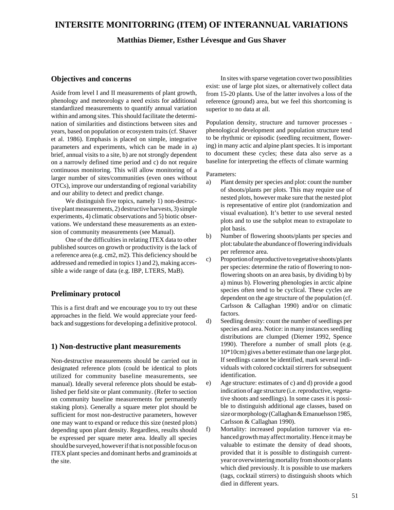# **INTERSITE MONITORRING (ITEM) OF INTERANNUAL VARIATIONS**

#### **Matthias Diemer, Esther Lévesque and Gus Shaver**

#### **Objectives and concerns**

Aside from level I and II measurements of plant growth, phenology and meteorology a need exists for additional standardized measurements to quantify annual variation within and among sites. This should facilitate the determination of similarities and distinctions between sites and years, based on population or ecosystem traits (cf. Shaver et al. 1986). Emphasis is placed on simple, integrative parameters and experiments, which can be made in a) brief, annual visits to a site, b) are not strongly dependent on a narrowly defined time period and c) do not require continuous monitoring. This will allow monitoring of a larger number of sites/communities (even ones without OTCs), improve our understanding of regional variability and our ability to detect and predict change.

We distinguish five topics, namely 1) non-destructive plant measurements, 2) destructive harvests, 3) simple experiments, 4) climatic observations and 5) biotic observations. We understand these measurements as an extension of community measurements (see Manual).

One of the difficulties in relating ITEX data to other published sources on growth or productivity is the lack of a reference area (e.g. cm2, m2). This deficiency should be addressed and remedied in topics 1) and 2), making accessible a wide range of data (e.g. IBP, LTERS, MaB).

#### **Preliminary protocol**

This is a first draft and we encourage you to try out these approaches in the field. We would appreciate your feedback and suggestions for developing a definitive protocol.

#### **1) Non-destructive plant measurements**

Non-destructive measurements should be carried out in designated reference plots (could be identical to plots utilized for community baseline measurements, see manual). Ideally several reference plots should be established per field site or plant community. (Refer to section on community baseline measurements for permanently staking plots). Generally a square meter plot should be sufficient for most non-destructive parameters, however one may want to expand or reduce this size (nested plots) depending upon plant density. Regardless, results should be expressed per square meter area. Ideally all species should be surveyed, however if that is not possible focus on ITEX plant species and dominant herbs and graminoids at the site.

In sites with sparse vegetation cover two possiblities exist: use of large plot sizes, or alternatively collect data from 15-20 plants. Use of the latter involves a loss of the reference (ground) area, but we feel this shortcoming is superior to no data at all.

Population density, structure and turnover processes phenological development and population structure tend to be rhythmic or episodic (seedling recuitment, flowering) in many actic and alpine plant species. It is important to document these cycles; these data also serve as a baseline for interpreting the effects of climate warming

Parameters:

- a) Plant density per species and plot: count the number of shoots/plants per plots. This may require use of nested plots, however make sure that the nested plot is representative of entire plot (randomization and visual evaluation). It's better to use several nested plots and to use the subplot mean to extrapolate to plot basis.
- b) Number of flowering shoots/plants per species and plot: tabulate the abundance of flowering individuals per reference area.
- c) Proportion of reproductive to vegetative shoots/plants per species: determine the ratio of flowering to nonflowering shoots on an area basis, by dividing b) by a) minus b). Flowering phenologies in arctic alpine species often tend to be cyclical. These cycles are dependent on the age structure of the population (cf. Carlsson & Callaghan 1990) and/or on climatic factors.
- d) Seedling density: count the number of seedlings per species and area. Notice: in many instances seedling distributions are clumped (Diemer 1992, Spence 1990). Therefore a number of small plots (e.g. 10\*10cm) gives a better estimate than one large plot. If seedlings cannot be identified, mark several individuals with colored cocktail stirrers for subsequent identification.
- e) Age structure: estimates of c) and d) provide a good indication of age structure (i.e. reproductive, vegetative shoots and seedlings). In some cases it is possible to distinguish additional age classes, based on size or morphology (Callaghan & Emanuelsson 1985, Carlsson & Callaghan 1990).
- f) Mortality: increased population turnover via enhanced growth may affect mortality. Hence it may be valuable to estimate the density of dead shoots, provided that it is possible to distinguish currentyear or overwintering mortality from shoots or plants which died previously. It is possible to use markers (tags, cocktail stirrers) to distinguish shoots which died in different years.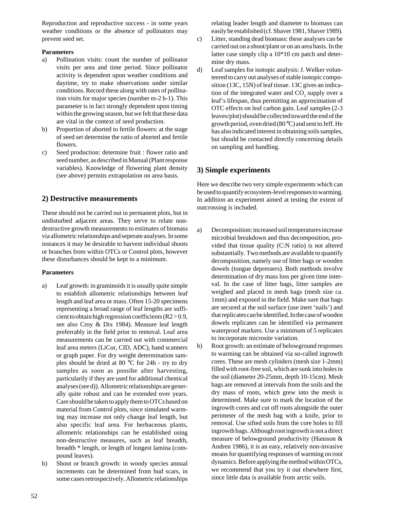Reproduction and reproductive success - in some years weather conditions or the absence of pollinators may prevent seed set.

#### **Parameters**

- a) Pollination visits: count the number of pollinator visits per area and time period. Since pollinator activity is dependent upon weather conditions and daytime, try to make observations under similar conditions. Record these along with rates of pollination visits for major species (number m-2 h-1). This parameter is in fact strongly dependent upon timing within the growing season, but we felt that these data are vital in the context of seed production.
- b) Proportion of aborted to fertile flowers: at the stage of seed set determine the ratio of aborted and fertile flowers.
- c) Seed production: determine fruit : flower ratio and seed number, as described in Manual (Plant response variables). Knowledge of flowering plant density (see above) permits extrapolation on area basis.

### **2) Destructive measurements**

These should not be carried out in permanent plots, but in undisturbed adjacent areas. They serve to relate nondestructive growth measurements to estimates of biomass via allometric relationships and seperate analyses. In some instances it may be desirable to harvest individual shoots or branches from within OTCs or Control plots, however these disturbances should be kept to a minimum.

#### **Parameters**

- a) Leaf growth: in graminoids it is usually quite simple to establish allometric relationships between leaf length and leaf area or mass. Often 15-20 specimens representing a broad range of leaf lengths are sufficient to obtain high regression coefficients  $(R2 > 0.9,$ see also Croy & Dix 1984). Measure leaf length preferrably in the field prior to removal. Leaf area measurements can be carried out with commercial leaf area meters (LiCor, CID, ADC), hand scanners or graph paper. For dry weight determination samples should be dried at 80 °C for 24h - try to dry samples as soon as possibe after harvesting, particularily if they are used for additional chemical analyses (see d)). Allometric relationships are generally quite robust and can be extended over years. Care should be taken to apply them to OTCs based on material from Control plots, since simulated warming may increase not only change leaf length, but also specific leaf area. For herbaceous plants, allometric relationships can be established using non-destructive measures, such as leaf breadth, breadth \* length, or length of longest lamina (compound leaves).
- b) Shoot or branch growth: in woody species annual increments can be determined from bud scars, in some cases retrospectively. Allometric relationships

relating leader length and diameter to biomass can easily be established (cf. Shaver 1981, Shaver 1989).

- c) Litter, standing dead biomass: these analyses can be carried out on a shoot/plant or on an area basis. In the latter case simply clip a 10\*10 cm patch and determine dry mass.
- d) Leaf samples for isotopic analysis: J. Welker volunteered to carry out analyses of stable isotopic composition (13C, 15N) of leaf tissue. 13C gives an indication of the integrated water and  $CO_2$  supply over a leaf's lifespan, thus permitting an approximation of OTC effects on leaf carbon gain. Leaf samples (2-3 leaves/plot) should be collected toward the end of the growth period, oven dried (80 °C) and sent to Jeff. He has also indicated interest in obtaining soils samples, but should be contacted directly concerning details on sampling and handling.

## **3) Simple experiments**

Here we describe two very simple experiments which can be used to quantify ecosystem-level responses to warming. In addition an experiment aimed at testing the extent of outcrossing is included.

- a) Decomposition: increased soil temperatures increase microbial breakdown and thus decomposition, provided that tissue quality (C:N ratio) is not altered substantially. Two methods are available to quantify decomposition, namely use of litter bags or wooden dowels (tongue depressers). Both methods involve determination of dry mass loss per given time interval. In the case of litter bags, litter samples are weighed and placed in mesh bags (mesh size ca. 1mm) and exposed in the field. Make sure that bags are secured at the soil surface (use inert 'nails') and that replicates can be identified. In the case of wooden dowels replicates can be identified via permanent waterproof markers. Use a minimum of 5 replicates to incorporate microsite variation.
- b) Root growth: an estimate of belowground responses to warming can be obtained via so-called ingrowth cores. These are mesh cylinders (mesh size 1-2mm) filled with root-free soil, which are sunk into holes in the soil (diameter 20-25mm, depth 10-15cm). Mesh bags are removed at intervals from the soils and the dry mass of roots, which grew into the mesh is determined. Make sure to mark the location of the ingrowth cores and cut off roots alongside the outer perimeter of the mesh bag with a knife, prior to removal. Use sifted soils from the core holes to fill ingrowth bags. Although root ingrowth is not a direct measure of belowground productivity (Hansson & Andren 1986), it is an easy, relatively non-invasive means for quantifying responses of warming on root dynamics. Before applying the method within OTCs, we recommend that you try it out elsewhere first, since little data is available from arctic soils.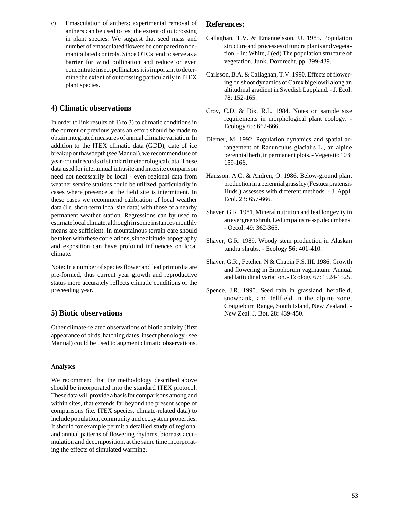c) Emasculation of anthers: experimental removal of anthers can be used to test the extent of outcrossing in plant species. We suggest that seed mass and number of emasculated flowers be compared to nonmanipulated controls. Since OTCs tend to serve as a barrier for wind pollination and reduce or even concentrate insect pollinators it is important to determine the extent of outcrossing particularily in ITEX plant species.

### **4) Climatic observations**

In order to link results of 1) to 3) to climatic conditions in the current or previous years an effort should be made to obtain integrated measures of annual climatic variation. In addition to the ITEX climatic data (GDD), date of ice breakup or thawdepth (see Manual), we recommend use of year-round records of standard meteorological data. These data used for interannual intrasite and intersite comparison need not necessarily be local - even regional data from weather service stations could be utilized, particularily in cases where presence at the field site is intermittent. In these cases we recommend calibration of local weather data (i.e. short-term local site data) with those of a nearby permanent weather station. Regressions can by used to estimate local climate, although in some instances monthly means are sufficient. In mountainous terrain care should be taken with these correlations, since altitude, topography and exposition can have profound influences on local climate.

Note: In a number of species flower and leaf primordia are pre-formed, thus current year growth and reproductive status more accurately reflects climatic conditions of the preceeding year.

### **5) Biotic observations**

Other climate-related observations of biotic activity (first appearance of birds, hatching dates, insect phenology - see Manual) could be used to augment climatic observations.

#### **Analyses**

We recommend that the methodology described above should be incorporated into the standard ITEX protocol. These data will provide a basis for comparisons among and within sites, that extends far beyond the present scope of comparisons (i.e. ITEX species, climate-related data) to include population, community and ecosystem properties. It should for example permit a detailled study of regional and annual patterns of flowering rhythms, biomass accumulation and decomposition, at the same time incorporating the effects of simulated warming.

#### **References:**

- Callaghan, T.V. & Emanuelsson, U. 1985. Population structure and processes of tundra plants and vegetation. - In: White, J (ed) The population structure of vegetation. Junk, Dordrecht. pp. 399-439.
- Carlsson, B.A. & Callaghan, T.V. 1990. Effects of flowering on shoot dynamics of Carex bigelowii along an altitudinal gradient in Swedish Lappland. - J. Ecol. 78: 152-165.
- Croy, C.D. & Dix, R.L. 1984. Notes on sample size requirements in morphological plant ecology. - Ecology 65: 662-666.
- Diemer, M. 1992. Population dynamics and spatial arrangement of Ranunculus glacialis L., an alpine perennial herb, in permanent plots. - Vegetatio 103: 159-166.
- Hansson, A.C. & Andren, O. 1986. Below-ground plant production in a perennial grass ley (Festuca pratensis Huds.) assesses with different methods. - J. Appl. Ecol. 23: 657-666.
- Shaver, G.R. 1981. Mineral nutrition and leaf longevity in an evergreen shrub, Ledum palustre ssp. decumbens. - Oecol. 49: 362-365.
- Shaver, G.R. 1989. Woody stem production in Alaskan tundra shrubs. - Ecology 56: 401-410.
- Shaver, G.R., Fetcher, N & Chapin F.S. III. 1986. Growth and flowering in Eriophorum vaginatum: Annual and latitudinal variation. - Ecology 67: 1524-1525.
- Spence, J.R. 1990. Seed rain in grassland, herbfield, snowbank, and fellfield in the alpine zone, Craigieburn Range, South Island, New Zealand. - New Zeal. J. Bot. 28: 439-450.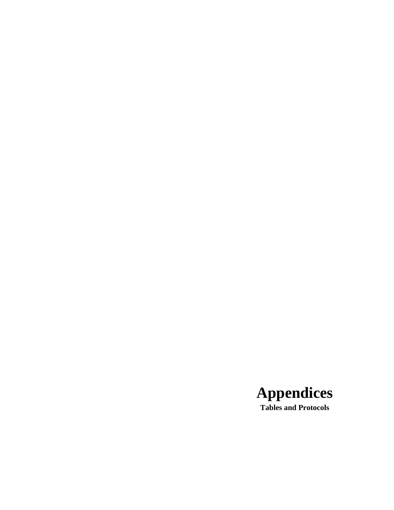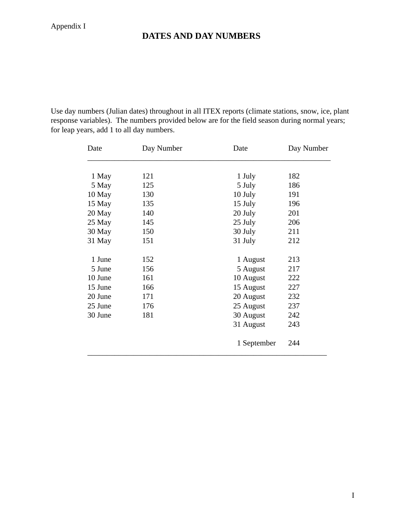# **DATES AND DAY NUMBERS**

Use day numbers (Julian dates) throughout in all ITEX reports (climate stations, snow, ice, plant response variables). The numbers provided below are for the field season during normal years; for leap years, add 1 to all day numbers.

| Date    | Day Number | Date        | Day Number |
|---------|------------|-------------|------------|
|         |            |             |            |
| 1 May   | 121        | 1 July      | 182        |
| 5 May   | 125        | 5 July      | 186        |
| 10 May  | 130        | 10 July     | 191        |
| 15 May  | 135        | 15 July     | 196        |
| 20 May  | 140        | 20 July     | 201        |
| 25 May  | 145        | 25 July     | 206        |
| 30 May  | 150        | 30 July     | 211        |
| 31 May  | 151        | 31 July     | 212        |
|         |            |             |            |
| 1 June  | 152        | 1 August    | 213        |
| 5 June  | 156        | 5 August    | 217        |
| 10 June | 161        | 10 August   | 222        |
| 15 June | 166        | 15 August   | 227        |
| 20 June | 171        | 20 August   | 232        |
| 25 June | 176        | 25 August   | 237        |
| 30 June | 181        | 30 August   | 242        |
|         |            | 31 August   | 243        |
|         |            | 1 September | 244        |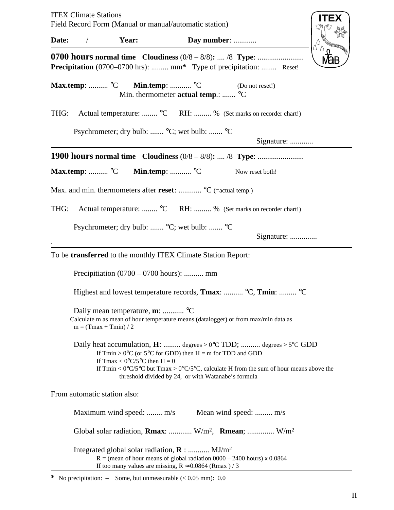|       | <b>ITEX Climate Stations</b>                             | Field Record Form (Manual or manual/automatic station)                                                                                                                                                         |  |                                                     |                                                                                                                                                                                                | <b>ITEX</b> |  |  |  |  |
|-------|----------------------------------------------------------|----------------------------------------------------------------------------------------------------------------------------------------------------------------------------------------------------------------|--|-----------------------------------------------------|------------------------------------------------------------------------------------------------------------------------------------------------------------------------------------------------|-------------|--|--|--|--|
| Date: | $\sqrt{2}$                                               | Year:                                                                                                                                                                                                          |  | Day number:                                         |                                                                                                                                                                                                |             |  |  |  |  |
|       |                                                          |                                                                                                                                                                                                                |  |                                                     | <b>Precipitation</b> (0700–0700 hrs):  mm* Type of precipitation:  Reset!                                                                                                                      |             |  |  |  |  |
|       |                                                          | Max.temp: $^{\circ}$ C Min.temp: $^{\circ}$ C                                                                                                                                                                  |  | Min. thermometer <b>actual temp</b> .:  °C          | (Do not reset!)                                                                                                                                                                                |             |  |  |  |  |
| THG:  |                                                          |                                                                                                                                                                                                                |  |                                                     | Actual temperature:  °C RH:  % (Set marks on recorder chart!)                                                                                                                                  |             |  |  |  |  |
|       | Psychrometer; dry bulb:  °C; wet bulb:  °C<br>Signature: |                                                                                                                                                                                                                |  |                                                     |                                                                                                                                                                                                |             |  |  |  |  |
|       |                                                          |                                                                                                                                                                                                                |  |                                                     |                                                                                                                                                                                                |             |  |  |  |  |
|       | Max.temp: $^{\circ}C$                                    | Min.temp:  °C                                                                                                                                                                                                  |  |                                                     | Now reset both!                                                                                                                                                                                |             |  |  |  |  |
|       |                                                          | Max. and min. thermometers after reset: $^{\circ}C$ (=actual temp.)                                                                                                                                            |  |                                                     |                                                                                                                                                                                                |             |  |  |  |  |
| THG:  |                                                          |                                                                                                                                                                                                                |  |                                                     | Actual temperature:  °C RH:  % (Set marks on recorder chart!)                                                                                                                                  |             |  |  |  |  |
|       |                                                          | Psychrometer; dry bulb:  °C; wet bulb:  °C                                                                                                                                                                     |  |                                                     | Signature:                                                                                                                                                                                     |             |  |  |  |  |
|       |                                                          | To be <b>transferred</b> to the monthly ITEX Climate Station Report:                                                                                                                                           |  |                                                     |                                                                                                                                                                                                |             |  |  |  |  |
|       |                                                          | Precipitiation $(0700 - 0700$ hours):  mm                                                                                                                                                                      |  |                                                     |                                                                                                                                                                                                |             |  |  |  |  |
|       |                                                          |                                                                                                                                                                                                                |  |                                                     | Highest and lowest temperature records, <b>Tmax</b> :  °C, <b>Tmin</b> :  °C                                                                                                                   |             |  |  |  |  |
|       | $m = (Tmax + Tmin) / 2$                                  | Daily mean temperature, m:  °C                                                                                                                                                                                 |  |                                                     | Calculate m as mean of hour temperature means (datalogger) or from max/min data as                                                                                                             |             |  |  |  |  |
|       |                                                          | If $Tmin > 0$ °C (or 5°C for GDD) then $H = m$ for TDD and GDD<br>If Tmax < $0^{\circ}C/5^{\circ}C$ then H = 0                                                                                                 |  | threshold divided by 24, or with Watanabe's formula | Daily heat accumulation, $H:$ degrees > 0°C TDD;  degrees > 5°C GDD<br>If Tmin < $0^{\circ}C/5^{\circ}C$ but Tmax > $0^{\circ}C/5^{\circ}C$ , calculate H from the sum of hour means above the |             |  |  |  |  |
|       |                                                          | From automatic station also:                                                                                                                                                                                   |  |                                                     |                                                                                                                                                                                                |             |  |  |  |  |
|       |                                                          | Maximum wind speed:  m/s                                                                                                                                                                                       |  |                                                     | Mean wind speed:  m/s                                                                                                                                                                          |             |  |  |  |  |
|       |                                                          |                                                                                                                                                                                                                |  |                                                     | Global solar radiation, <b>Rmax</b> : $W/m^2$ , <b>Rmean</b> ; $W/m^2$                                                                                                                         |             |  |  |  |  |
|       |                                                          | Integrated global solar radiation, $\bf{R}$ :  MJ/m <sup>2</sup><br>$R =$ (mean of hour means of global radiation 0000 – 2400 hours) x 0.0864<br>If too many values are missing, $R \approx 0.0864$ (Rmax) / 3 |  |                                                     |                                                                                                                                                                                                |             |  |  |  |  |

**\*** No precipitation: – Some, but unmeasurable (< 0.05 mm): 0.0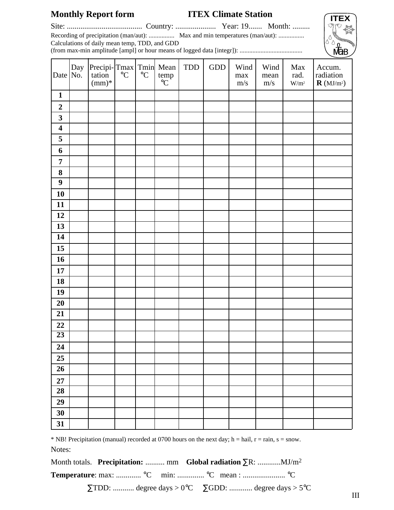# **Monthly Report form ITEX Climate Station**

Site: ....................................... Country: ..................... Year: 19....... Month: .........

Recording of precipitation (man/aut): ................ Max and min temperatures (man/aut): ................

Calculations of daily mean temp, TDD, and GDD (from max-min amplitude [ampl] or hour means of logged data [integr]): .......................................



| Date $No.$              | Day | Precipi-Tmax Tmin Mean<br>tation °C °C temp<br>tation<br>$(mm)*$ |  | temp<br>$^{\circ}\mathrm{C}$ | TDD | $\operatorname{GDD}$ | Wind<br>$\max$<br>$\mathrm{m}/\mathrm{s}$ | Wind<br>mean<br>$\mathrm{m/s}$ | Max<br>rad.<br>$\mathrm{W}/\mathrm{m}^2$ | Accum.<br>radiation<br>$\bm{R}\left(\text{MJ}/\text{m}^2\right)$ |
|-------------------------|-----|------------------------------------------------------------------|--|------------------------------|-----|----------------------|-------------------------------------------|--------------------------------|------------------------------------------|------------------------------------------------------------------|
| $\mathbf{1}$            |     |                                                                  |  |                              |     |                      |                                           |                                |                                          |                                                                  |
| $\boldsymbol{2}$        |     |                                                                  |  |                              |     |                      |                                           |                                |                                          |                                                                  |
| $\overline{\mathbf{3}}$ |     |                                                                  |  |                              |     |                      |                                           |                                |                                          |                                                                  |
| $\overline{\mathbf{4}}$ |     |                                                                  |  |                              |     |                      |                                           |                                |                                          |                                                                  |
| 5                       |     |                                                                  |  |                              |     |                      |                                           |                                |                                          |                                                                  |
| 6                       |     |                                                                  |  |                              |     |                      |                                           |                                |                                          |                                                                  |
| $\overline{7}$          |     |                                                                  |  |                              |     |                      |                                           |                                |                                          |                                                                  |
| 8                       |     |                                                                  |  |                              |     |                      |                                           |                                |                                          |                                                                  |
| $\overline{9}$          |     |                                                                  |  |                              |     |                      |                                           |                                |                                          |                                                                  |
| 10                      |     |                                                                  |  |                              |     |                      |                                           |                                |                                          |                                                                  |
| 11                      |     |                                                                  |  |                              |     |                      |                                           |                                |                                          |                                                                  |
| 12                      |     |                                                                  |  |                              |     |                      |                                           |                                |                                          |                                                                  |
| 13                      |     |                                                                  |  |                              |     |                      |                                           |                                |                                          |                                                                  |
| 14                      |     |                                                                  |  |                              |     |                      |                                           |                                |                                          |                                                                  |
| 15                      |     |                                                                  |  |                              |     |                      |                                           |                                |                                          |                                                                  |
| 16                      |     |                                                                  |  |                              |     |                      |                                           |                                |                                          |                                                                  |
| 17                      |     |                                                                  |  |                              |     |                      |                                           |                                |                                          |                                                                  |
| 18                      |     |                                                                  |  |                              |     |                      |                                           |                                |                                          |                                                                  |
| 19                      |     |                                                                  |  |                              |     |                      |                                           |                                |                                          |                                                                  |
| 20                      |     |                                                                  |  |                              |     |                      |                                           |                                |                                          |                                                                  |
| 21                      |     |                                                                  |  |                              |     |                      |                                           |                                |                                          |                                                                  |
| 22                      |     |                                                                  |  |                              |     |                      |                                           |                                |                                          |                                                                  |
| $\overline{23}$         |     |                                                                  |  |                              |     |                      |                                           |                                |                                          |                                                                  |
| $\overline{24}$         |     |                                                                  |  |                              |     |                      |                                           |                                |                                          |                                                                  |
| 25                      |     |                                                                  |  |                              |     |                      |                                           |                                |                                          |                                                                  |
| 26                      |     |                                                                  |  |                              |     |                      |                                           |                                |                                          |                                                                  |
| $27\,$                  |     |                                                                  |  |                              |     |                      |                                           |                                |                                          |                                                                  |
| 28                      |     |                                                                  |  |                              |     |                      |                                           |                                |                                          |                                                                  |
| 29                      |     |                                                                  |  |                              |     |                      |                                           |                                |                                          |                                                                  |
| 30                      |     |                                                                  |  |                              |     |                      |                                           |                                |                                          |                                                                  |
| 31                      |     |                                                                  |  |                              |     |                      |                                           |                                |                                          |                                                                  |

\* NB! Precipitation (manual) recorded at 0700 hours on the next day; h = hail, r = rain, s = snow.

Notes:

Month totals. **Precipitation:** .......... mm **Global radiation** ∑R: ............MJ/m2

**Temperature**: max: .............. °C min: ............... °C mean : ........................ °C

 $\Sigma TDD:$  ............ degree days > 0°C  $\Sigma GDD:$  ............. degree days > 5°C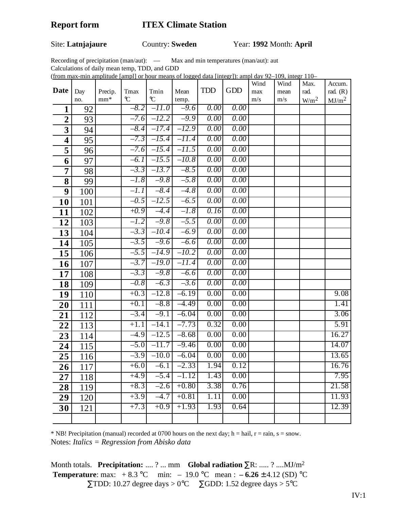# Site: **Latnjajaure** Country: **Sweden** Year: **1992** Month: **April**

Recording of precipitation (man/aut): — Max and min temperatures (man/aut): aut

Calculations of daily mean temp, TDD, and GDD

(from max-min amplitude [ampl] or hour means of logged data [integr]): ampl day 92–109, integr 110–

|                |            |                  |                       |                                |               |            |            | Wind       | Wind        | Max.             | Accum.            |
|----------------|------------|------------------|-----------------------|--------------------------------|---------------|------------|------------|------------|-------------|------------------|-------------------|
| Date           | Day<br>no. | Precip.<br>$mm*$ | Tmax<br>$\mathcal{C}$ | Tmin<br>$^\circ \! \! \! \! C$ | Mean<br>temp. | <b>TDD</b> | <b>GDD</b> | max<br>m/s | mean<br>m/s | rad.             | rad. $(R)$        |
| $\mathbf{1}$   | 92         |                  | $-8.2$                | $-11.0$                        | $-9.6$        | 0.00       | 0.00       |            |             | W/m <sup>2</sup> | MJ/m <sup>2</sup> |
| $\overline{2}$ | 93         |                  | $-7.6$                | $-12.2$                        | $-9.9$        | 0.00       | 0.00       |            |             |                  |                   |
|                |            |                  | $-8.4$                | $-17.4$                        | $-12.9$       | 0.00       | 0.00       |            |             |                  |                   |
| 3              | 94<br>95   |                  | $-7.3$                | $-15.4$                        | $-11.4$       | 0.00       | 0.00       |            |             |                  |                   |
| 4<br>5         | 96         |                  | $-7.6$                | $-15.4$                        | $-11.5$       | 0.00       | 0.00       |            |             |                  |                   |
| 6              | 97         |                  | $-6.1$                | $-15.5$                        | $-10.8$       | 0.00       | 0.00       |            |             |                  |                   |
| 7              | 98         |                  | $-3.3$                | $-13.7$                        | $-8.5$        | 0.00       | 0.00       |            |             |                  |                   |
| 8              | 99         |                  | $-l.8$                | $-9.8$                         | $-5.8$        | 0.00       | 0.00       |            |             |                  |                   |
| 9              | 100        |                  | $-l.l$                | $-8.4$                         | $-4.8$        | 0.00       | 0.00       |            |             |                  |                   |
| 10             | 101        |                  | $-0.5$                | $-12.5$                        | $-6.5$        | 0.00       | 0.00       |            |             |                  |                   |
| 11             | 102        |                  | $+0.9$                | $-4.4$                         | $-l.8$        | 0.16       | 0.00       |            |             |                  |                   |
| 12             | 103        |                  | $-l.2$                | $-9.8$                         | $-5.5$        | 0.00       | 0.00       |            |             |                  |                   |
| 13             | 104        |                  | $-3.3$                | $-l0.4$                        | $-6.9$        | 0.00       | 0.00       |            |             |                  |                   |
| 14             | 105        |                  | $-3.5$                | $-9.6$                         | $-6.6$        | 0.00       | 0.00       |            |             |                  |                   |
| 15             | 106        |                  | $-5.5$                | $-14.9$                        | $-l0.2$       | 0.00       | 0.00       |            |             |                  |                   |
| 16             | 107        |                  | $-3.7$                | $-19.0$                        | $-11.4$       | 0.00       | 0.00       |            |             |                  |                   |
| 17             | 108        |                  | $-3.3$                | $-9.8$                         | $-6.6$        | 0.00       | 0.00       |            |             |                  |                   |
| 18             | 109        |                  | $-0.8$                | $-6.3$                         | $-3.6$        | 0.00       | 0.00       |            |             |                  |                   |
| 19             | 110        |                  | $+0.3$                | $-12.8$                        | $-6.19$       | 0.00       | 0.00       |            |             |                  | 9.08              |
| 20             | 111        |                  | $+0.1$                | $-8.8$                         | $-4.49$       | 0.00       | 0.00       |            |             |                  | 1.41              |
| 21             | 112        |                  | $-3.4$                | $-9.1$                         | $-6.04$       | 0.00       | 0.00       |            |             |                  | 3.06              |
| 22             | 113        |                  | $+1.1$                | $-14.1$                        | $-7.73$       | 0.32       | 0.00       |            |             |                  | 5.91              |
| 23             | 114        |                  | $-4.9$                | $-12.5$                        | $-8.68$       | 0.00       | 0.00       |            |             |                  | 16.27             |
| 24             | 115        |                  | $-5.0$                | $-11.7$                        | $-9.46$       | 0.00       | 0.00       |            |             |                  | 14.07             |
| 25             | 116        |                  | $-3.9$                | $-10.0$                        | $-6.04$       | 0.00       | 0.00       |            |             |                  | 13.65             |
| 26             | 117        |                  | $+6.0$                | $-6.1$                         | $-2.33$       | 1.94       | 0.12       |            |             |                  | 16.76             |
| 27             | 118        |                  | $+4.9$                | $-5.4$                         | $-1.12$       | 1.43       | 0.00       |            |             |                  | 7.95              |
| 28             | 119        |                  | $+8.3$                | $-2.6$                         | $+0.80$       | 3.38       | 0.76       |            |             |                  | 21.58             |
| 29             | 120        |                  | $+3.9$                | $-4.7$                         | $+0.81$       | 1.11       | 0.00       |            |             |                  | 11.93             |
| 30             | 121        |                  | $+7.3$                | $+0.9$                         | $+1.93$       | 1.93       | 0.64       |            |             |                  | 12.39             |
|                |            |                  |                       |                                |               |            |            |            |             |                  |                   |

 $*$  NB! Precipitation (manual) recorded at 0700 hours on the next day; h = hail, r = rain, s = snow. Notes: *Italics = Regression from Abisko data*

Month totals. **Precipitation:** .... ? ... mm **Global radiation** ∑R: ..... ? ....MJ/m2 **Temperature**: max:  $+8.3 \text{ °C}$  min:  $-19.0 \text{ °C}$  mean :  $-6.26 \pm 4.12 \text{ (SD) °C}$  $\Sigma TDD: 10.27$  degree days > 0°C  $\Sigma GDD: 1.52$  degree days > 5°C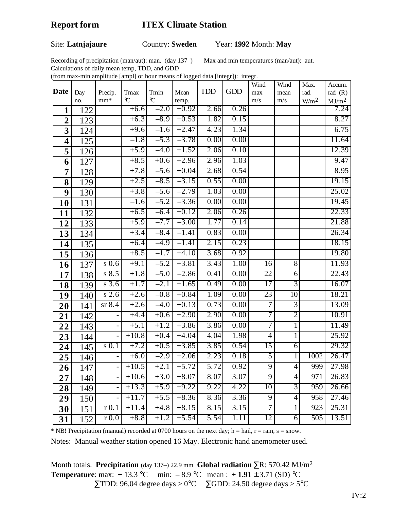### Site: **Latnjajaure** Country: **Sweden** Year: **1992** Month: **May**

Recording of precipitation (man/aut): man. (day 137–) Max and min temperatures (man/aut): aut.

Calculations of daily mean temp, TDD, and GDD (from max-min amplitude [ampl] or hour means of logged data [integr]): integr.

|                         |                  |                          |               |               |                    |            |                   | Wind            | Wind           | Max.             | Accum.            |
|-------------------------|------------------|--------------------------|---------------|---------------|--------------------|------------|-------------------|-----------------|----------------|------------------|-------------------|
| Date                    | Day              | Precip.                  | Tmax          | Tmin          | Mean               | <b>TDD</b> | GDD               | max             | mean           | rad.             | rad. $(R)$        |
|                         | no.              | $mm*$                    | $\mathcal{C}$ | $\mathcal{C}$ | temp.              |            |                   | m/s             | m/s            | W/m <sup>2</sup> | MJ/m <sup>2</sup> |
| 1                       | 122              |                          | $+6.6$        | $-2.0$        | $+0.92$            | 2.66       | 0.26              |                 |                |                  | 7.24              |
| $\overline{\mathbf{2}}$ | 123              |                          | $+6.3$        | $-8.9$        | $+0.53$            | 1.82       | 0.15              |                 |                |                  | 8.27              |
| 3                       | 124              |                          | $+9.6$        | $-1.6$        | $+2.47$            | 4.23       | 1.34              |                 |                |                  | 6.75              |
| 4                       | 125              |                          | $-1.8$        | $-5.3$        | $-3.78$            | 0.00       | 0.00              |                 |                |                  | 11.64             |
| 5                       | 126              |                          | $+5.9$        | $-4.0$        | $+1.52$            | 2.06       | 0.10              |                 |                |                  | 12.39             |
| 6                       | 127              |                          | $+8.5$        | $+0.6$        | $+2.96$            | 2.96       | 1.03              |                 |                |                  | 9.47              |
| $\overline{7}$          | 128              |                          | $+7.8$        | $-5.6$        | $+0.04$            | 2.68       | 0.54              |                 |                |                  | 8.95              |
| 8                       | 129              |                          | $+2.5$        | $-8.5$        | $-3.15$            | 0.55       | 0.00              |                 |                |                  | 19.15             |
| 9                       | 130              |                          | $+3.8$        | $-5.6$        | $-2.79$            | 1.03       | 0.00              |                 |                |                  | 25.02             |
| 10                      | 131              |                          | $-1.6$        | $-5.2$        | $-3.36$            | 0.00       | 0.00              |                 |                |                  | 19.45             |
| 11                      | 132              |                          | $+6.5$        | $-6.4$        | $+0.12$            | 2.06       | 0.26              |                 |                |                  | 22.33             |
| 12                      | 133              |                          | $+5.9$        | $-7.7$        | $-3.00$            | 1.77       | 0.14              |                 |                |                  | 21.88             |
| 13                      | 134              |                          | $+3.4$        | $-8.4$        | $-1.41$            | 0.83       | 0.00              |                 |                |                  | 26.34             |
| 14                      | 135              |                          | $+6.4$        | $-4.9$        | $-1.41$            | 2.15       | 0.23              |                 |                |                  | 18.15             |
| 15                      | 136              |                          | $+8.5$        | $-1.7$        | $+4.10$            | 3.68       | 0.92              |                 |                |                  | 19.80             |
| 16                      | 137              | $s$ 0.6                  | $+9.1$        | $-5.2$        | $+3.81$            | 3.43       | 1.00              | $\overline{16}$ | $\overline{8}$ |                  | 11.93             |
| 17                      | 138              | $s$ 8.5                  | $+1.8$        | $-5.0$        | $-2.86$            | 0.41       | 0.00              | 22              | $\overline{6}$ |                  | 22.43             |
| 18                      | 139              | $s\,3.6$                 | $+1.7$        | $-2.1$        | $+1.65$            | 0.49       | 0.00              | 17              | $\overline{3}$ |                  | 16.07             |
| 19                      | 140              | $s$ 2.6                  | $+2.6$        | $-0.8$        | $+0.84$            | 1.09       | 0.00              | 23              | 10             |                  | 18.21             |
| 20                      | 141              | $sr$ 8.4                 | $+2.6$        | $-4.0$        | $+0.13$            | 0.73       | 0.00              | 7               | $\overline{3}$ |                  | 13.09             |
| 21                      | 142              |                          | $+4.4$        | $+0.6$        | $+2.90$            | 2.90       | 0.00              | 7               | $\overline{2}$ |                  | 10.91             |
| 22                      | 143              |                          | $+5.1$        | $+1.2$        | $+3.86$            | 3.86       | 0.00              | 7               | 1              |                  | 11.49             |
| 23                      | 144              | $\overline{a}$           | $+10.8$       | $+0.4$        | $+4.04$            | 4.04       | 1.98              | $\overline{4}$  | 1              |                  | 25.92             |
| 24                      | 145              | $s$ 0.1                  | $+7.2$        | $+0.5$        | $+3.85$            | 3.85       | 0.54              | 15              | 6              |                  | 29.32             |
| 25                      | 146              |                          | $+6.0$        | $-2.9$        | $+2.06$            | 2.23       | 0.18              | 5               |                | 1002             | 26.47             |
| $\overline{26}$         | $\overline{147}$ |                          | $+10.5$       | $+2.1$        | $+5.72$            | 5.72       | 0.92              | $\overline{9}$  | $\overline{4}$ | 999              | 27.98             |
| 27                      | 148              |                          | $+10.6$       | $+3.0$        | $+8.07$            | 8.07       | 3.07              | $\overline{9}$  | 4              | 971              | 26.83             |
| 28                      | 149              | $\overline{\phantom{0}}$ | $+13.3$       | $+5.9$        | $+9.22$            | 9.22       | 4.22              | 10              | $\overline{3}$ | 959              | 26.66             |
| 29                      | 150              | $\overline{\phantom{0}}$ | $+11.7$       | $+5.5$        | $+8.36$            | 8.36       | 3.36              | $\overline{9}$  | $\overline{4}$ | 958              | 27.46             |
| 30                      | 151              | r <sub>0.1</sub>         | $+11.4$       | $+4.8$        | $+8.15$            | 8.15       | 3.15              | 7               | 1              | 923              | 25.31             |
| 31                      | 152              | r(0.0)                   | $+8.8$        | $+1.2$        | $+\overline{5.54}$ | 5.54       | $\overline{1}.11$ | 12              | 6              | 505              | 13.51             |

 $*$  NB! Precipitation (manual) recorded at 0700 hours on the next day; h = hail, r = rain, s = snow.

Notes: Manual weather station opened 16 May. Electronic hand anemometer used.

Month totals. **Precipitation** (day 137–) 22.9 mm **Global radiation** ∑R: 570.42 MJ/m2 **Temperature**: max:  $+13.3$  °C min:  $-8.9$  °C mean :  $+1.91 \pm 3.71$  (SD) °C  $\Sigma$ TDD: 96.04 degree days > 0°C  $\Sigma$ GDD: 24.50 degree days > 5°C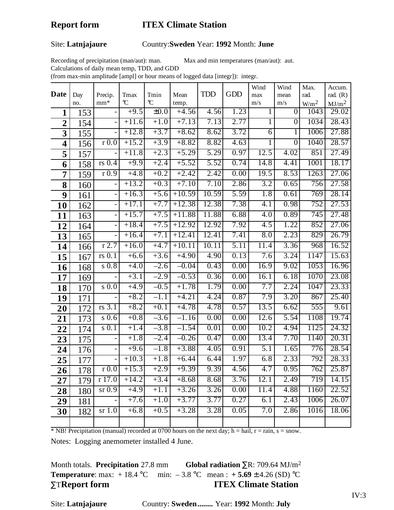#### Site: **Latnjajaure** Country:**Sweden** Year: **1992** Month: **June**

Recording of precipitation (man/aut): man. Max and min temperatures (man/aut): aut.

Calculations of daily mean temp, TDD, and GDD

(from max-min amplitude [ampl] or hour means of logged data [integr]): integr.

| <b>Date</b>             | Day | Precip.                  | Tmax    | Tmin          | Mean     | <b>TDD</b> | <b>GDD</b> | Wind<br>max      | Wind<br>mean   | Max.<br>rad.     | Accum.<br>rad. $(R)$ |
|-------------------------|-----|--------------------------|---------|---------------|----------|------------|------------|------------------|----------------|------------------|----------------------|
|                         | no. | $mm*$                    | C       | $\mathcal{C}$ | temp.    |            |            | m/s              | m/s            | W/m <sup>2</sup> | MJ/m <sup>2</sup>    |
| $\mathbf{1}$            | 153 |                          | $+9.5$  | $\pm 0.0$     | $+4.56$  | 4.56       | 1.23       | 1                | $\overline{0}$ | 1043             | 29.02                |
| $\overline{2}$          | 154 |                          | $+11.6$ | $+1.0$        | $+7.13$  | 7.13       | 2.77       | 1                | $\overline{0}$ | 1034             | 28.43                |
| 3                       | 155 |                          | $+12.8$ | $+3.7$        | $+8.62$  | 8.62       | 3.72       | 6                |                | 1006             | 27.88                |
| $\overline{\mathbf{4}}$ | 156 | r <sub>0.0</sub>         | $+15.2$ | $+3.9$        | $+8.82$  | 8.82       | 4.63       | 1                | $\overline{0}$ | 1040             | 28.57                |
| $\overline{\mathbf{5}}$ | 157 |                          | $+11.8$ | $+2.3$        | $+5.29$  | 5.29       | 0.97       | 12.5             | 4.02           | 851              | 27.49                |
| 6                       | 158 | $rs$ 0.4                 | $+9.9$  | $+2.4$        | $+5.52$  | 5.52       | 0.74       | 14.8             | 4.41           | 1001             | 18.17                |
| $\overline{7}$          | 159 | r(0.9)                   | $+4.8$  | $+0.2$        | $+2.42$  | 2.42       | 0.00       | 19.5             | 8.53           | 1263             | 27.06                |
| 8                       | 160 |                          | $+13.2$ | $+0.3$        | $+7.10$  | 7.10       | 2.86       | 3.2              | 0.65           | 756              | 27.58                |
| 9                       | 161 | $\overline{\phantom{0}}$ | $+16.3$ | $+5.6$        | $+10.59$ | 10.59      | 5.59       | 1.8              | 0.61           | 769              | 28.14                |
| 10                      | 162 |                          | $+17.1$ | $+7.7$        | $+12.38$ | 12.38      | 7.38       | 4.1              | 0.98           | 752              | 27.53                |
| 11                      | 163 | $\overline{a}$           | $+15.7$ | $+7.5$        | $+11.88$ | 11.88      | 6.88       | 4.0              | 0.89           | 745              | 27.48                |
| 12                      | 164 |                          | $+18.4$ | $+7.5$        | $+12.92$ | 12.92      | 7.92       | 4.5              | 1.22           | 852              | 27.06                |
| 13                      | 165 |                          | $+16.4$ | $+7.1$        | $+12.41$ | 12.41      | 7.41       | 8.0              | 2.23           | 829              | 26.79                |
| 14                      | 166 | $r$ 2.7                  | $+16.0$ | $+4.7$        | $+10.11$ | 10.11      | 5.11       | 11.4             | 3.36           | 968              | 16.52                |
| 15                      | 167 | $rs$ 0.1                 | $+6.6$  | $+3.6$        | $+4.90$  | 4.90       | 0.13       | 7.6              | 3.24           | 1147             | 15.63                |
| 16                      | 168 | $s$ 0.8                  | $+4.0$  | $-2.6$        | $-0.04$  | 0.43       | 0.00       | 16.9             | 9.02           | 1053             | 16.96                |
| 17                      | 169 |                          | $+3.1$  | $-2.9$        | $-0.53$  | 0.36       | 0.00       | 16.1             | 6.18           | 1070             | 23.08                |
| 18                      | 170 | $s$ 0.0                  | $+4.9$  | $-0.5$        | $+1.78$  | 1.79       | 0.00       | 7.7              | 2.24           | 1047             | 23.33                |
| 19                      | 171 |                          | $+8.2$  | $-1.1$        | $+4.21$  | 4.24       | 0.87       | 7.9              | 3.20           | 867              | 25.40                |
| 20                      | 172 | rs 3.1                   | $+8.2$  | $+0.1$        | $+4.78$  | 4.78       | 0.57       | 13.5             | 6.62           | 555              | 9.61                 |
| 21                      | 173 | $s$ 0.6                  | $+0.8$  | $-3.6$        | $-1.16$  | 0.00       | 0.00       | 12.6             | 5.54           | 1108             | 19.74                |
| 22                      | 174 | $s$ 0.1                  | $+1.4$  | $-3.8$        | $-1.54$  | 0.01       | 0.00       | 10.2             | 4.94           | 1125             | 24.32                |
| 23                      | 175 |                          | $+1.8$  | $-2.4$        | $-0.26$  | 0.47       | 0.00       | 13.4             | 7.70           | 1140             | 20.31                |
| 24                      | 176 |                          | $+9.6$  | $-1.8$        | $+3.88$  | 4.05       | 0.91       | $\overline{5.1}$ | 1.65           | 776              | 28.54                |
| 25                      | 177 |                          | $+10.3$ | $+1.8$        | $+6.44$  | 6.44       | 1.97       | 6.8              | 2.33           | 792              | 28.33                |
| 26                      | 178 | r(0.0)                   | $+15.3$ | $+2.9$        | $+9.39$  | 9.39       | 4.56       | 4.7              | 0.95           | 762              | 25.87                |
| 27                      | 179 | r17.0                    | $+14.2$ | $+3.4$        | $+8.68$  | 8.68       | 3.76       | 12.1             | 2.49           | 719              | 14.15                |
| 28                      | 180 | sr <sub>0.9</sub>        | $+4.9$  | $+1.1$        | $+3.26$  | 3.26       | 0.00       | 11.4             | 4.88           | 1160             | 22.52                |
| 29                      | 181 | $\blacksquare$           | $+7.6$  | $+1.0$        | $+3.77$  | 3.77       | 0.27       | 6.1              | 2.43           | 1006             | 26.07                |
| 30                      | 182 | sr <sub>1.0</sub>        | $+6.8$  | $+0.5$        | $+3.28$  | 3.28       | 0.05       | 7.0              | 2.86           | 1016             | 18.06                |
|                         |     |                          |         |               |          |            |            |                  |                |                  |                      |

\* NB! Precipitation (manual) recorded at 0700 hours on the next day; h = hail, r = rain, s = snow.

Notes: Logging anemometer installed 4 June.

Month totals. **Precipitation** 27.8 mm **Global radiation** ∑R: 709.64 MJ/m2 **Temperature**: max:  $+18.4$  °C min:  $-3.8$  °C mean :  $+5.69 \pm 4.26$  (SD) °C ∑T**Report form ITEX Climate Station**

Site: **Latnjajaure** Country: **Sweden........** Year: **1992** Month: **July**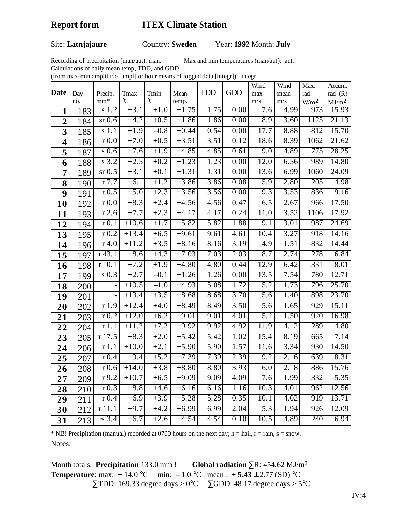### Site: **Latnjajaure** Country: **Sweden** Year: **1992** Month: **July**

Recording of precipitation (man/aut): man. Max and min temperatures (man/aut): aut.

Calculations of daily mean temp, TDD, and GDD

(from max-min amplitude [ampl] or hour means of logged data [integr]): integr.

|                         |     |                           |                       |           |                  |            |            | Wind              | Wind                 | Max.                    | Accum.                     |
|-------------------------|-----|---------------------------|-----------------------|-----------|------------------|------------|------------|-------------------|----------------------|-------------------------|----------------------------|
| <b>Date</b>             | Day | Precip.                   | Tmax<br>$\mathcal{C}$ | Tmin<br>C | Mean             | <b>TDD</b> | <b>GDD</b> | max               | mean                 | rad.                    | rad. $(R)$                 |
|                         | no. | $mm*$<br>s <sub>1.2</sub> | $+3.1$                | $+1.0$    | temp.<br>$+1.75$ | 1.75       | 0.00       | m/s<br>7.6        | m/s<br>4.99          | W/m <sup>2</sup><br>973 | MJ/m <sup>2</sup><br>15.93 |
| $\mathbf{1}$            | 183 |                           |                       |           |                  |            |            |                   |                      |                         |                            |
| $\overline{2}$          | 184 | $sr$ 0.6                  | $+4.2$                | $+0.5$    | $+1.86$          | 1.86       | 0.00       | 8.9               | 3.60                 | 1125                    | 21.13                      |
| $\overline{\mathbf{3}}$ | 185 | s <sub>1.1</sub>          | $+1.9$                | $-0.8$    | $+0.44$          | 0.54       | 0.00       | 17.7              | 8.88                 | 812                     | 15.70                      |
| $\overline{\mathbf{4}}$ | 186 | r(0.0)                    | $+7.0$                | $+0.5$    | $+3.51$          | 3.51       | 0.12       | 18.6              | 8.39                 | 1062                    | 21.62                      |
| 5                       | 187 | $s$ 0.6                   | $+7.6$                | $+1.9$    | $+4.85$          | 4.85       | 0.61       | 9.0               | 4.89                 | 775                     | 28.25                      |
| 6                       | 188 | s <sub>3.2</sub>          | $+2.5$                | $+0.2$    | $+1.23$          | 1.23       | 0.00       | 12.0              | 6.56                 | 989                     | 14.80                      |
| $\overline{7}$          | 189 | $sr$ 0.5                  | $+3.1$                | $+0.1$    | $+1.31$          | 1.31       | 0.00       | 13.6              | 6.99                 | 1060                    | 24.09                      |
| 8                       | 190 | $r$ 7.7                   | $+6.1$                | $+1.2$    | $+3.86$          | 3.86       | 0.08       | $\overline{5.9}$  | 2.80                 | 205                     | 4.98                       |
| 9                       | 191 | r(0.5)                    | $+5.0$                | $+2.3$    | $+3.56$          | 3.56       | 0.00       | 9.3               | 3.53                 | 836                     | 9.16                       |
| 10                      | 192 | r(0.0)                    | $+8.3$                | $+2.4$    | $+4.56$          | 4.56       | 0.47       | 6.5               | 2.67                 | 966                     | 17.50                      |
| 11                      | 193 | $r$ 2.6                   | $+7.7$                | $+2.3$    | $+4.17$          | 4.17       | 0.24       | 11.0              | 3.52                 | 1106                    | 17.92                      |
| 12                      | 194 | r(0.1)                    | $+10.6$               | $+1.7$    | $+5.82$          | 5.82       | 1.88       | 9.1               | 3.01                 | 987                     | 24.69                      |
| 13                      | 195 | r <sub>0.2</sub>          | $+13.4$               | $+6.5$    | $+9.61$          | 9.61       | 4.61       | 10.4              | 3.27                 | 918                     | 14.16                      |
| 14                      | 196 | $r$ 4.0                   | $+11.2$               | $+3.5$    | $+8.16$          | 8.16       | 3.19       | 4.9               | 1.51                 | 832                     | 14.44                      |
| 15                      | 197 | $r$ 43.1                  | $+8.6$                | $+4.3$    | $+7.03$          | 7.03       | 2.03       | 8.7               | 2.74                 | 278                     | 6.84                       |
| 16                      | 198 | r10.1                     | $+7.2$                | $+1.9$    | $+4.80$          | 4.80       | 0.44       | 12.9              | 6.42                 | 331                     | 8.01                       |
| 17                      | 199 | $s$ 0.3                   | $+2.7$                | $-0.1$    | $+1.26$          | 1.26       | 0.00       | 13.5              | 7.54                 | 780                     | 12.71                      |
| 18                      | 200 |                           | $+10.5$               | $-1.0$    | $+4.93$          | 5.08       | 1.72       | 5.2               | 1.73                 | 796                     | 25.70                      |
| 19                      | 201 | $\overline{a}$            | $+13.4$               | $+3.5$    | $+8.68$          | 8.68       | 3.70       | 5.6               | 1.40                 | 898                     | 23.70                      |
| 20                      | 202 | r1.9                      | $+12.4$               | $+4.0$    | $+8.49$          | 8.49       | 3.50       | 5.6               | 1.65                 | 929                     | 15.11                      |
| 21                      | 203 | r <sub>0.2</sub>          | $+12.0$               | $+6.2$    | $+9.01$          | 9.01       | 4.01       | 5.2               | 1.50                 | 920                     | 16.98                      |
| 22                      | 204 | r1.1                      | $+11.2$               | $+7.2$    | $+9.92$          | 9.92       | 4.92       | 11.9              | 4.12                 | 289                     | 4.80                       |
| 23                      | 205 | r17.5                     | $+8.3$                | $+2.0$    | $+5.42$          | 5.42       | 1.02       | 15.4              | 8.19                 | 665                     | 7.14                       |
| 24                      | 206 | r1.1                      | $+10.0$               | $+2.1$    | $+5.90$          | 5.90       | 1.57       | 11.6              | 3.34                 | 930                     | 14.50                      |
| 25                      | 207 | r(0.4)                    | $+9.4$                | $+5.2$    | $+7.39$          | 7.39       | 2.39       | 9.2               | 2.16                 | 639                     | 8.31                       |
| 26                      | 208 | r(0.6)                    | $+14.0$               | $+3.8$    | $+8.80$          | 8.80       | 3.93       | 6.0               | $\overline{2}$<br>18 | 886                     | 15.76                      |
| 27                      | 209 | $r$ 9.2                   | $+10.7$               | $+6.5$    | $+9.09$          | 9.09       | 4.09       | 7.6               | 1.99                 | 332                     | 5.35                       |
| 28                      | 210 | r <sub>0.3</sub>          | $+8.8$                | $+4.6$    | $+6.16$          | 6.16       | 1.16       | 10.3              | 4.01                 | 962                     | 12.56                      |
| 29                      | 211 | r(0.4)                    | $+6.9$                | $+3.9$    | $+5.28$          | 5.28       | 0.35       | 10.1              | 4.02                 | 919                     | 13.71                      |
| 30                      | 212 | r11.1                     | $+9.7$                | $+4.2$    | $+6.99$          | 6.99       | 2.04       | 5.3               | 1.94                 | $\overline{926}$        | 12.09                      |
| 31                      | 213 | $rs$ 3.4                  | $+6.7$                | $+2.6$    | $+4.54$          | 4.54       | 0.10       | $1\overline{0.5}$ | 4.89                 | 240                     | 6.94                       |

 $*$  NB! Precipitation (manual) recorded at 0700 hours on the next day; h = hail, r = rain, s = snow. Notes:

Month totals. **Precipitation** 133.0 mm ! **Global radiation** ∑R: 454.62 MJ/m2 **Temperature**: max:  $+14.0$  °C min:  $-1.0$  °C mean :  $+5.43 \pm 2.77$  (SD) °C  $\Sigma$ TDD: 169.33 degree days > 0°C  $\Sigma$ GDD: 48.17 degree days > 5°C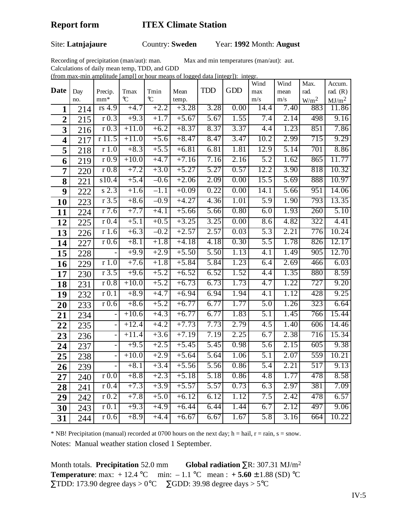# Site: **Latnjajaure** Country: **Sweden** Year: **1992** Month: **August**

Recording of precipitation (man/aut): man. Max and min temperatures (man/aut): aut.

Calculations of daily mean temp, TDD, and GDD

(from max-min amplitude [ampl] or hour means of logged data [integr]): integr.

| <b>Date</b>    |            |                          |           |                       |               | <b>TDD</b> | <b>GDD</b> | Wind             | Wind        | Max.                     | Accum.                          |
|----------------|------------|--------------------------|-----------|-----------------------|---------------|------------|------------|------------------|-------------|--------------------------|---------------------------------|
|                | Day<br>no. | Precip.<br>$mm*$         | Tmax<br>C | Tmin<br>$\mathcal{C}$ | Mean<br>temp. |            |            | max<br>m/s       | mean<br>m/s | rad.<br>W/m <sup>2</sup> | rad. $(R)$<br>MJ/m <sup>2</sup> |
| $\mathbf{1}$   | 214        | $rs\overline{4.9}$       | $+4.7$    | $+2.2$                | $+3.28$       | 3.28       | 0.00       | 14.4             | 7.40        | 883                      | 11.86                           |
| $\overline{2}$ | 215        | r(0.3)                   | $+9.3$    | $+1.7$                | $+5.67$       | 5.67       | 1.55       | 7.4              | 2.14        | 498                      | 9.16                            |
| 3              | 216        | r <sub>0.3</sub>         | $+11.0$   | $+6.2$                | $+8.37$       | 8.37       | 3.37       | 4.4              | 1.23        | 851                      | 7.86                            |
| 4              | 217        | r11.5                    | $+11.0$   | $+5.6$                | $+8.47$       | 8.47       | 3.47       | 10.2             | 2.99        | 715                      | 9.29                            |
| 5              | 218        | r1.0                     | $+8.3$    | $+5.5$                | $+6.81$       | 6.81       | 1.81       | 12.9             | 5.14        | 701                      | 8.86                            |
| 6              | 219        | r(0.9)                   | $+10.0$   | $+4.7$                | $+7.16$       | 7.16       | 2.16       | 5.2              | 1.62        | 865                      | 11.77                           |
| $\overline{7}$ | 220        | r(0.8)                   | $+7.2$    | $+3.0$                | $+5.27$       | 5.27       | 0.57       | 12.2             | 3.90        | 818                      | 10.32                           |
| 8              | 221        | s10.4                    | $+5.4$    | $-0.6$                | $+2.06$       | 2.09       | 0.00       | 15.5             | 5.69        | 888                      | 10.97                           |
| 9              | 222        | $s$ 2.3                  | $+1.6$    | $\overline{-1.1}$     | $+0.09$       | 0.22       | 0.00       | 14.1             | 5.66        | 951                      | 14.06                           |
| 10             | 223        | r3.5                     | $+8.6$    | $-0.9$                | $+4.27$       | 4.36       | 1.01       | 5.9              | 1.90        | 793                      | 13.35                           |
| 11             | 224        | $r$ 7.6                  | $+7.7$    | $+4.1$                | $+5.66$       | 5.66       | 0.80       | 6.0              | 1.93        | 260                      | 5.10                            |
| 12             | 225        | r(0.4)                   | $+5.1$    | $+0.5$                | $+3.25$       | 3.25       | 0.00       | 8.6              | 4.82        | 322                      | 4.41                            |
| 13             | 226        | r1.6                     | $+6.3$    | $-0.2$                | $+2.57$       | 2.57       | 0.03       | 5.3              | 2.21        | 776                      | 10.24                           |
| 14             | 227        | r(0.6)                   | $+8.1$    | $+1.8$                | $+4.18$       | 4.18       | 0.30       | 5.5              | 1.78        | 826                      | 12.17                           |
| 15             | 228        |                          | $+9.9$    | $+2.9$                | $+5.50$       | 5.50       | 1.13       | 4.1              | 1.49        | 905                      | 12.70                           |
| 16             | 229        | r1.0                     | $+7.6$    | $+1.8$                | $+5.84$       | 5.84       | 1.23       | 6.4              | 2.69        | 466                      | 6.03                            |
| 17             | 230        | r3.5                     | $+9.6$    | $+5.2$                | $+6.52$       | 6.52       | 1.52       | 4.4              | 1.35        | 880                      | 8.59                            |
| 18             | 231        | r(0.8)                   | $+10.0$   | $+5.2$                | $+6.73$       | 6.73       | 1.73       | 4.7              | 1.22        | 727                      | 9.20                            |
| 19             | 232        | r(0.1)                   | $+8.9$    | $+4.7$                | $+6.94$       | 6.94       | 1.94       | $\overline{4.1}$ | 1.12        | 428                      | 9.25                            |
| 20             | 233        | r(0.6)                   | $+8.6$    | $+5.2$                | $+6.77$       | 6.77       | 1.77       | 5.0              | 1.26        | 323                      | 6.64                            |
| 21             | 234        |                          | $+10.6$   | $+4.3$                | $+6.77$       | 6.77       | 1.83       | 5.1              | 1.45        | 766                      | 15.44                           |
| 22             | 235        | $\overline{\phantom{0}}$ | $+12.4$   | $+4.2$                | $+7.73$       | 7.73       | 2.79       | 4.5              | 1.40        | 606                      | 14.46                           |
| 23             | 236        | $\blacksquare$           | $+11.4$   | $+3.6$                | $+7.19$       | 7.19       | 2.25       | 6.7              | 2.38        | 716                      | 15.34                           |
| 24             | 237        | $\overline{\phantom{a}}$ | $+9.5$    | $+2.5$                | $+5.45$       | 5.45       | 0.98       | 5.6              | 2.15        | 605                      | 9.38                            |
| 25             | 238        |                          | $+10.0$   | $+2.9$                | $+5.64$       | 5.64       | 1.06       | 5.1              | 2.07        | 559                      | 10.21                           |
| 26             | 239        | $\overline{\phantom{0}}$ | $+8.1$    | $+3.4$                | $+5.56$       | 5.56       | 0.86       | 5.4              | 2.21        | 517                      | 9.13                            |
| 27             | 240        | $r\sqrt{0.0}$            | $+8.8$    | $+2.3$                | $+5.18$       | 5.18       | 0.86       | 4.8              | 1.77        | 478                      | 8.58                            |
| 28             | 241        | r(0.4)                   | $+7.3$    | $+3.9$                | $+5.57$       | 5.57       | 0.73       | 6.3              | 2.97        | 381                      | 7.09                            |
| 29             | 242        | r <sub>0.2</sub>         | $+7.8$    | $+5.0$                | $+6.12$       | 6.12       | 1.12       | 7.5              | 2.42        | 478                      | 6.57                            |
| 30             | 243        | r(0.1)                   | $+9.3$    | $+4.9$                | $+6.44$       | 6.44       | 1.44       | 6.7              | 2.12        | 497                      | 9.06                            |
| 31             | 244        | r <sub>0.6</sub>         | $+8.9$    | $+4.4$                | $+6.67$       | 6.67       | 1.67       | $\overline{5.8}$ | 3.16        | 664                      | 10.22                           |

 $*$  NB! Precipitation (manual) recorded at 0700 hours on the next day; h = hail, r = rain, s = snow. Notes: Manual weather station closed 1 September.

Month totals. **Precipitation** 52.0 mm **Global radiation** ∑R: 307.31 MJ/m2 **Temperature**: max:  $+12.4$  °C min:  $-1.1$  °C mean :  $+5.60 \pm 1.88$  (SD) °C  $\Sigma$ TDD: 173.90 degree days > 0°C  $\Sigma$ GDD: 39.98 degree days > 5°C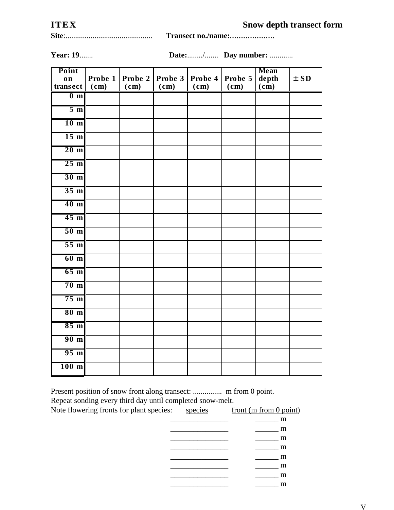| ITEX | <b>Snow depth transect form</b> |
|------|---------------------------------|
|      |                                 |

|  | Transect no./name: |
|--|--------------------|
|--|--------------------|

**Year: 19....... Date:......../........ Day number: ............** 

| Point           |           |         |         |         |         | <b>Mean</b>         |          |
|-----------------|-----------|---------|---------|---------|---------|---------------------|----------|
| on              | Probe $1$ | Probe 2 | Probe 3 | Probe 4 | Probe 5 | depth               | $\pm$ SD |
| transect        | (cm)      | (cm)    | (cm)    | (cm)    | (cm)    | $\bar{(\text{cm})}$ |          |
| 0 <sub>m</sub>  |           |         |         |         |         |                     |          |
| $5 \text{ m}$   |           |         |         |         |         |                     |          |
| 10 <sub>m</sub> |           |         |         |         |         |                     |          |
| 15 <sub>m</sub> |           |         |         |         |         |                     |          |
| $20 \text{ m}$  |           |         |         |         |         |                     |          |
| $25 \text{ m}$  |           |         |         |         |         |                     |          |
| 30 <sub>m</sub> |           |         |         |         |         |                     |          |
| 35 <sub>m</sub> |           |         |         |         |         |                     |          |
| 40 <sub>m</sub> |           |         |         |         |         |                     |          |
| 45 <sub>m</sub> |           |         |         |         |         |                     |          |
| 50 <sub>m</sub> |           |         |         |         |         |                     |          |
| 55 <sub>m</sub> |           |         |         |         |         |                     |          |
| 60 <sub>m</sub> |           |         |         |         |         |                     |          |
| 65 <sub>m</sub> |           |         |         |         |         |                     |          |
| 70 <sub>m</sub> |           |         |         |         |         |                     |          |
| $75 \text{ m}$  |           |         |         |         |         |                     |          |
| 80 <sub>m</sub> |           |         |         |         |         |                     |          |
| 85 m            |           |         |         |         |         |                     |          |
| 90 <sub>m</sub> |           |         |         |         |         |                     |          |
| $95 \text{ m}$  |           |         |         |         |         |                     |          |
| $100$ m         |           |         |         |         |         |                     |          |

Present position of snow front along transect: ............... m from 0 point.

Repeat sonding every third day

| Repeat sonding every third day until completed snow-melt. |         |                          |
|-----------------------------------------------------------|---------|--------------------------|
| Note flowering fronts for plant species:                  | species | front (m from $0$ point) |
|                                                           |         | m                        |
|                                                           |         | m                        |
|                                                           |         | m                        |
|                                                           |         | m                        |
|                                                           |         | m                        |
|                                                           |         | m                        |
|                                                           |         | m                        |
|                                                           |         | m                        |
|                                                           |         |                          |

V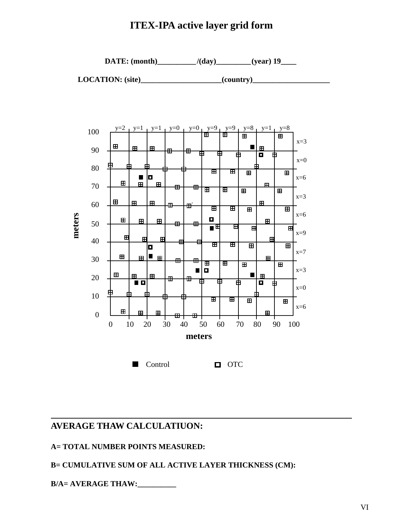# **ITEX-IPA active layer grid form**



 **LOCATION: (site)\_\_\_\_\_\_\_\_\_\_\_\_\_\_\_\_\_\_\_\_\_(country)\_\_\_\_\_\_\_\_\_\_\_\_\_\_\_\_\_\_\_\_**



# **AVERAGE THAW CALCULATIUON:**

# **A= TOTAL NUMBER POINTS MEASURED:**

# **B= CUMULATIVE SUM OF ALL ACTIVE LAYER THICKNESS (CM):**

**B/A= AVERAGE THAW:\_\_\_\_\_\_\_\_\_\_**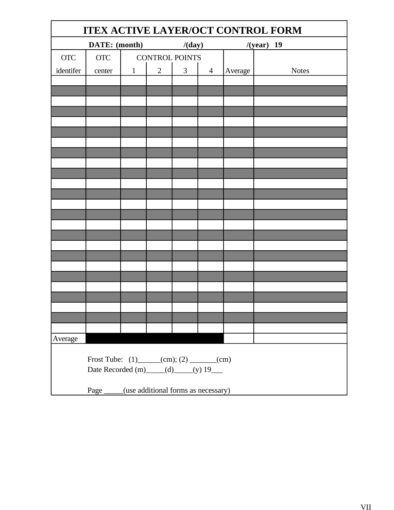| <b>ITEX ACTIVE LAYER/OCT CONTROL FORM</b> |                                               |              |                       |   |                |              |              |
|-------------------------------------------|-----------------------------------------------|--------------|-----------------------|---|----------------|--------------|--------------|
| DATE: (month)                             |                                               |              | /(day)                |   |                | $/(year)$ 19 |              |
| <b>OTC</b>                                | <b>OTC</b>                                    |              | <b>CONTROL POINTS</b> |   |                |              |              |
| identifer                                 | center                                        | $\mathbf{1}$ | $\overline{2}$        | 3 | $\overline{4}$ | Average      | <b>Notes</b> |
|                                           |                                               |              |                       |   |                |              |              |
|                                           |                                               |              |                       |   |                |              |              |
|                                           |                                               |              |                       |   |                |              |              |
|                                           |                                               |              |                       |   |                |              |              |
|                                           |                                               |              |                       |   |                |              |              |
|                                           |                                               |              |                       |   |                |              |              |
|                                           |                                               |              |                       |   |                |              |              |
|                                           |                                               |              |                       |   |                |              |              |
|                                           |                                               |              |                       |   |                |              |              |
|                                           |                                               |              |                       |   |                |              |              |
|                                           |                                               |              |                       |   |                |              |              |
|                                           |                                               |              |                       |   |                |              |              |
|                                           |                                               |              |                       |   |                |              |              |
|                                           |                                               |              |                       |   |                |              |              |
|                                           |                                               |              |                       |   |                |              |              |
|                                           |                                               |              |                       |   |                |              |              |
|                                           |                                               |              |                       |   |                |              |              |
|                                           |                                               |              |                       |   |                |              |              |
|                                           |                                               |              |                       |   |                |              |              |
|                                           |                                               |              |                       |   |                |              |              |
|                                           |                                               |              |                       |   |                |              |              |
| Average                                   |                                               |              |                       |   |                |              |              |
|                                           |                                               |              |                       |   |                |              |              |
| Frost Tube: $(1)$ (cm); $(2)$ (cm)        |                                               |              |                       |   |                |              |              |
| Date Recorded (m) $(d)$ (y) 19            |                                               |              |                       |   |                |              |              |
|                                           | Page _____(use additional forms as necessary) |              |                       |   |                |              |              |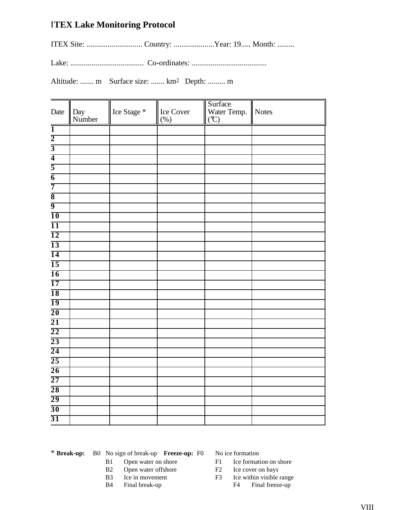# Ι**TEX Lake Monitoring Protocol**

ITEX Site: ............................. Country: .....................Year: 19..... Month: .........

Lake: ...................................... Co-ordinates: .......................................

Altitude: ....... m Surface size: ....... km2 Depth: ......... m

| Date                    | Day<br>Number | Ice Stage $^\ast$ | Ice Cover<br>$(\% )$ | Surface<br>Water Temp.<br>(°C) | Notes |
|-------------------------|---------------|-------------------|----------------------|--------------------------------|-------|
| $\overline{1}$          |               |                   |                      |                                |       |
| $\overline{2}$          |               |                   |                      |                                |       |
| $\overline{3}$          |               |                   |                      |                                |       |
| $\overline{4}$          |               |                   |                      |                                |       |
| $\overline{5}$          |               |                   |                      |                                |       |
| $\overline{6}$          |               |                   |                      |                                |       |
| $\overline{7}$          |               |                   |                      |                                |       |
| $\overline{\mathbf{8}}$ |               |                   |                      |                                |       |
| $\overline{9}$          |               |                   |                      |                                |       |
| $\overline{10}$         |               |                   |                      |                                |       |
| $\overline{11}$         |               |                   |                      |                                |       |
| $\overline{12}$         |               |                   |                      |                                |       |
| $\overline{13}$         |               |                   |                      |                                |       |
| $\overline{14}$         |               |                   |                      |                                |       |
| $\overline{15}$         |               |                   |                      |                                |       |
| $\overline{16}$         |               |                   |                      |                                |       |
| $\overline{17}$         |               |                   |                      |                                |       |
| <b>18</b>               |               |                   |                      |                                |       |
| $\overline{19}$         |               |                   |                      |                                |       |
| $\overline{20}$         |               |                   |                      |                                |       |
| $\overline{21}$         |               |                   |                      |                                |       |
| $\overline{22}$         |               |                   |                      |                                |       |
| $\overline{23}$         |               |                   |                      |                                |       |
| $\overline{24}$         |               |                   |                      |                                |       |
| $\overline{25}$         |               |                   |                      |                                |       |
| $\overline{26}$         |               |                   |                      |                                |       |
| $\overline{27}$         |               |                   |                      |                                |       |
| $\overline{28}$         |               |                   |                      |                                |       |
| 29                      |               |                   |                      |                                |       |
| $\overline{30}$         |               |                   |                      |                                |       |
| $\overline{31}$         |               |                   |                      |                                |       |

- \* **Break-up:** B0 No sign of break-up **Freeze-up:** F0 No ice formation
	-
	-
	-
	-

- B1 Open water on shore F1 Ice formation on shore
- B2 Open water offshore F2 Ice cover on bays
- B3 Ice in movement F3 Ice within visible range B4 Final break-up F4 Final freeze-up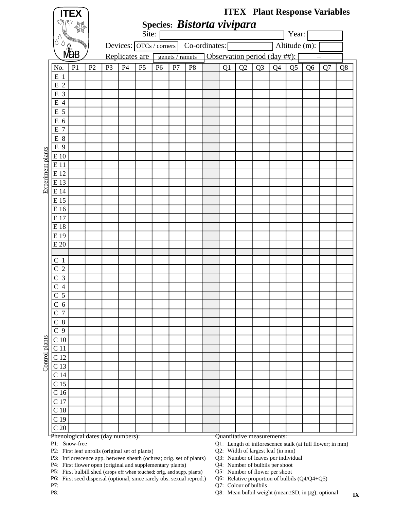|                   |                                    | <b>ITEX</b>                                               |                |                |    |                         |                |                 | Species: Bistorta vivipara |    |                                                               | <b>ITEX</b> Plant Response Variables |                |                |                |    |    |
|-------------------|------------------------------------|-----------------------------------------------------------|----------------|----------------|----|-------------------------|----------------|-----------------|----------------------------|----|---------------------------------------------------------------|--------------------------------------|----------------|----------------|----------------|----|----|
|                   |                                    |                                                           |                |                |    | Site:                   |                |                 |                            |    |                                                               |                                      |                | Year:          |                |    |    |
|                   | U<br>♦                             |                                                           |                |                |    | Devices: OTCs / corners |                |                 | Co-ordinates:              |    |                                                               |                                      |                | Altitude (m):  |                |    |    |
|                   |                                    |                                                           |                |                |    | Replicates are          |                | genets / ramets |                            |    |                                                               | Observation period (day ##):         |                |                |                |    |    |
|                   | No.                                | P <sub>1</sub>                                            | P <sub>2</sub> | P <sub>3</sub> | P4 | P <sub>5</sub>          | P <sub>6</sub> | P7              | P <sub>8</sub>             | Q1 | Q2                                                            | Q <sub>3</sub>                       | Q <sub>4</sub> | Q <sub>5</sub> | Q <sub>6</sub> | Q7 | Q8 |
|                   | $E_1$                              |                                                           |                |                |    |                         |                |                 |                            |    |                                                               |                                      |                |                |                |    |    |
|                   | $\overline{2}$<br>E                |                                                           |                |                |    |                         |                |                 |                            |    |                                                               |                                      |                |                |                |    |    |
|                   | E 3                                |                                                           |                |                |    |                         |                |                 |                            |    |                                                               |                                      |                |                |                |    |    |
|                   | E 4                                |                                                           |                |                |    |                         |                |                 |                            |    |                                                               |                                      |                |                |                |    |    |
|                   | E 5                                |                                                           |                |                |    |                         |                |                 |                            |    |                                                               |                                      |                |                |                |    |    |
|                   | E 6                                |                                                           |                |                |    |                         |                |                 |                            |    |                                                               |                                      |                |                |                |    |    |
|                   | $\overline{7}$<br>E                |                                                           |                |                |    |                         |                |                 |                            |    |                                                               |                                      |                |                |                |    |    |
|                   | E 8<br>E 9                         |                                                           |                |                |    |                         |                |                 |                            |    |                                                               |                                      |                |                |                |    |    |
|                   | E 10                               |                                                           |                |                |    |                         |                |                 |                            |    |                                                               |                                      |                |                |                |    |    |
|                   | E 11                               |                                                           |                |                |    |                         |                |                 |                            |    |                                                               |                                      |                |                |                |    |    |
|                   | E 12                               |                                                           |                |                |    |                         |                |                 |                            |    |                                                               |                                      |                |                |                |    |    |
| Experiment plants | E 13                               |                                                           |                |                |    |                         |                |                 |                            |    |                                                               |                                      |                |                |                |    |    |
|                   | E 14                               |                                                           |                |                |    |                         |                |                 |                            |    |                                                               |                                      |                |                |                |    |    |
|                   | E 15                               |                                                           |                |                |    |                         |                |                 |                            |    |                                                               |                                      |                |                |                |    |    |
|                   | E 16                               |                                                           |                |                |    |                         |                |                 |                            |    |                                                               |                                      |                |                |                |    |    |
|                   | E 17                               |                                                           |                |                |    |                         |                |                 |                            |    |                                                               |                                      |                |                |                |    |    |
|                   | E 18                               |                                                           |                |                |    |                         |                |                 |                            |    |                                                               |                                      |                |                |                |    |    |
|                   | E 19                               |                                                           |                |                |    |                         |                |                 |                            |    |                                                               |                                      |                |                |                |    |    |
|                   | E 20                               |                                                           |                |                |    |                         |                |                 |                            |    |                                                               |                                      |                |                |                |    |    |
|                   | C <sub>1</sub>                     |                                                           |                |                |    |                         |                |                 |                            |    |                                                               |                                      |                |                |                |    |    |
|                   | $\overline{2}$<br>$\mathsf{C}$     |                                                           |                |                |    |                         |                |                 |                            |    |                                                               |                                      |                |                |                |    |    |
|                   | $\mathfrak{Z}$<br>С                |                                                           |                |                |    |                         |                |                 |                            |    |                                                               |                                      |                |                |                |    |    |
|                   | C<br>$\overline{4}$                |                                                           |                |                |    |                         |                |                 |                            |    |                                                               |                                      |                |                |                |    |    |
|                   | $\overline{5}$<br>◡                |                                                           |                |                |    |                         |                |                 |                            |    |                                                               |                                      |                |                |                |    |    |
|                   | C <sub>6</sub>                     |                                                           |                |                |    |                         |                |                 |                            |    |                                                               |                                      |                |                |                |    |    |
|                   | $\overline{7}$<br>$\mathcal{C}$    |                                                           |                |                |    |                         |                |                 |                            |    |                                                               |                                      |                |                |                |    |    |
|                   | $C_8$                              |                                                           |                |                |    |                         |                |                 |                            |    |                                                               |                                      |                |                |                |    |    |
|                   | C <sub>9</sub>                     |                                                           |                |                |    |                         |                |                 |                            |    |                                                               |                                      |                |                |                |    |    |
|                   | C <sub>10</sub><br>C <sub>11</sub> |                                                           |                |                |    |                         |                |                 |                            |    |                                                               |                                      |                |                |                |    |    |
|                   | C <sub>12</sub>                    |                                                           |                |                |    |                         |                |                 |                            |    |                                                               |                                      |                |                |                |    |    |
| Control plants    | C <sub>13</sub>                    |                                                           |                |                |    |                         |                |                 |                            |    |                                                               |                                      |                |                |                |    |    |
|                   | C <sub>14</sub>                    |                                                           |                |                |    |                         |                |                 |                            |    |                                                               |                                      |                |                |                |    |    |
|                   | C <sub>15</sub>                    |                                                           |                |                |    |                         |                |                 |                            |    |                                                               |                                      |                |                |                |    |    |
|                   | C <sub>16</sub>                    |                                                           |                |                |    |                         |                |                 |                            |    |                                                               |                                      |                |                |                |    |    |
|                   | C 17                               |                                                           |                |                |    |                         |                |                 |                            |    |                                                               |                                      |                |                |                |    |    |
|                   | C <sub>18</sub>                    |                                                           |                |                |    |                         |                |                 |                            |    |                                                               |                                      |                |                |                |    |    |
|                   | C <sub>19</sub>                    |                                                           |                |                |    |                         |                |                 |                            |    |                                                               |                                      |                |                |                |    |    |
|                   | C <sub>20</sub>                    |                                                           |                |                |    |                         |                |                 |                            |    |                                                               |                                      |                |                |                |    |    |
|                   |                                    | Phenological dates (day numbers):<br>$P1 \cdot$ Snow-free |                |                |    |                         |                |                 |                            |    | $Q_1$ . Length of inflorescence stalk (at full flower: in mm) | Quantitative measurements:           |                |                |                |    |    |

P1: Snow-free

P2: First leaf unrolls (original set of plants) Q2:

P3: Inflorescence app. between sheath (ochrea; orig. set of plants) Q3:

P4: First flower open (original and supplementary plants) Q4:

P5: First bulbill shed (drops off when touched; orig. and supp. plants) Q5:

P6: First seed dispersal (optional, since rarely obs. sexual reprod.) Q6:

P7: Q7:

- ngth of inflorescence stalk (at full flower; in mm)
- Q2: Width of largest leaf (in mm)
- Q3: Number of leaves per individual
- Q4: Number of bulbils per shoot
- Q5: Number of flower per shoot
- Q6: Relative proportion of bulbils  $(Q4/Q4+Q5)$
- Q7: Colour of bulbils
- P8:  $Q8:$ **IX** Q8: Mean bulbil weight (mean±SD, in µg); optional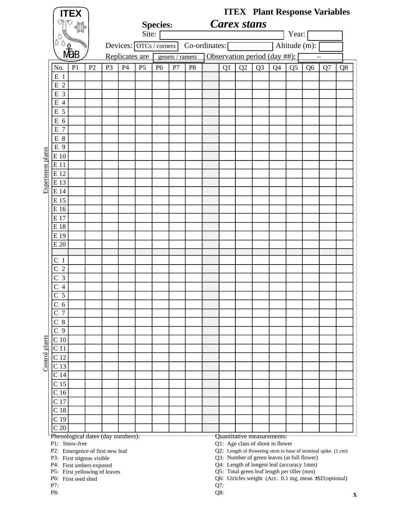|                   |                                     | <b>ITEX</b>                                                  |                |                |    |                         |                 |                 |                |               |                    |                |                                             |                |                |                | <b>ITEX</b> Plant Response Variables                          |    |
|-------------------|-------------------------------------|--------------------------------------------------------------|----------------|----------------|----|-------------------------|-----------------|-----------------|----------------|---------------|--------------------|----------------|---------------------------------------------|----------------|----------------|----------------|---------------------------------------------------------------|----|
|                   |                                     |                                                              |                |                |    |                         | <b>Species:</b> |                 |                |               | <b>Carex stans</b> |                |                                             |                |                |                |                                                               |    |
|                   |                                     |                                                              |                |                |    | Site:                   |                 |                 |                |               |                    |                |                                             |                | Year:          |                |                                                               |    |
|                   | Δ                                   |                                                              |                |                |    | Devices: OTCs / corners |                 |                 |                | Co-ordinates: |                    |                |                                             |                | Altitude (m):  |                |                                                               |    |
|                   |                                     |                                                              |                |                |    | Replicates are          |                 |                 |                |               |                    |                |                                             |                |                |                |                                                               |    |
|                   |                                     |                                                              |                |                |    |                         |                 | genets / ramets |                |               |                    |                | Observation period (day ##):                |                |                |                |                                                               |    |
|                   | No.                                 | P <sub>1</sub>                                               | P <sub>2</sub> | P <sub>3</sub> | P4 | P <sub>5</sub>          | P <sub>6</sub>  | P7              | P <sub>8</sub> |               | Q1                 | Q <sub>2</sub> | Q <sub>3</sub>                              | Q <sub>4</sub> | Q <sub>5</sub> | Q <sub>6</sub> | Q7                                                            | Q8 |
|                   | $E_1$                               |                                                              |                |                |    |                         |                 |                 |                |               |                    |                |                                             |                |                |                |                                                               |    |
|                   | E 2<br>E 3                          |                                                              |                |                |    |                         |                 |                 |                |               |                    |                |                                             |                |                |                |                                                               |    |
|                   | E 4                                 |                                                              |                |                |    |                         |                 |                 |                |               |                    |                |                                             |                |                |                |                                                               |    |
|                   | E 5                                 |                                                              |                |                |    |                         |                 |                 |                |               |                    |                |                                             |                |                |                |                                                               |    |
|                   | E 6                                 |                                                              |                |                |    |                         |                 |                 |                |               |                    |                |                                             |                |                |                |                                                               |    |
|                   | $\overline{7}$<br>Ε                 |                                                              |                |                |    |                         |                 |                 |                |               |                    |                |                                             |                |                |                |                                                               |    |
|                   | E 8                                 |                                                              |                |                |    |                         |                 |                 |                |               |                    |                |                                             |                |                |                |                                                               |    |
|                   | E 9                                 |                                                              |                |                |    |                         |                 |                 |                |               |                    |                |                                             |                |                |                |                                                               |    |
|                   | E 10                                |                                                              |                |                |    |                         |                 |                 |                |               |                    |                |                                             |                |                |                |                                                               |    |
|                   | E 11                                |                                                              |                |                |    |                         |                 |                 |                |               |                    |                |                                             |                |                |                |                                                               |    |
|                   | E 12                                |                                                              |                |                |    |                         |                 |                 |                |               |                    |                |                                             |                |                |                |                                                               |    |
| Experiment plants | E 13                                |                                                              |                |                |    |                         |                 |                 |                |               |                    |                |                                             |                |                |                |                                                               |    |
|                   | E 14                                |                                                              |                |                |    |                         |                 |                 |                |               |                    |                |                                             |                |                |                |                                                               |    |
|                   | E 15<br>E 16                        |                                                              |                |                |    |                         |                 |                 |                |               |                    |                |                                             |                |                |                |                                                               |    |
|                   | E 17                                |                                                              |                |                |    |                         |                 |                 |                |               |                    |                |                                             |                |                |                |                                                               |    |
|                   | E 18                                |                                                              |                |                |    |                         |                 |                 |                |               |                    |                |                                             |                |                |                |                                                               |    |
|                   | E 19                                |                                                              |                |                |    |                         |                 |                 |                |               |                    |                |                                             |                |                |                |                                                               |    |
|                   | E 20                                |                                                              |                |                |    |                         |                 |                 |                |               |                    |                |                                             |                |                |                |                                                               |    |
|                   |                                     |                                                              |                |                |    |                         |                 |                 |                |               |                    |                |                                             |                |                |                |                                                               |    |
|                   | C <sub>1</sub>                      |                                                              |                |                |    |                         |                 |                 |                |               |                    |                |                                             |                |                |                |                                                               |    |
|                   | $\overline{2}$<br>С                 |                                                              |                |                |    |                         |                 |                 |                |               |                    |                |                                             |                |                |                |                                                               |    |
|                   | 3<br>C                              |                                                              |                |                |    |                         |                 |                 |                |               |                    |                |                                             |                |                |                |                                                               |    |
|                   | 4<br>$\overline{5}$<br>$\mathsf{C}$ |                                                              |                |                |    |                         |                 |                 |                |               |                    |                |                                             |                |                |                |                                                               |    |
|                   | C <sub>6</sub>                      |                                                              |                |                |    |                         |                 |                 |                |               |                    |                |                                             |                |                |                |                                                               |    |
|                   | $\overline{7}$<br>C                 |                                                              |                |                |    |                         |                 |                 |                |               |                    |                |                                             |                |                |                |                                                               |    |
|                   | 8<br>С                              |                                                              |                |                |    |                         |                 |                 |                |               |                    |                |                                             |                |                |                |                                                               |    |
|                   | C <sub>9</sub>                      |                                                              |                |                |    |                         |                 |                 |                |               |                    |                |                                             |                |                |                |                                                               |    |
| Control plants    | C <sub>10</sub>                     |                                                              |                |                |    |                         |                 |                 |                |               |                    |                |                                             |                |                |                |                                                               |    |
|                   | C <sub>11</sub>                     |                                                              |                |                |    |                         |                 |                 |                |               |                    |                |                                             |                |                |                |                                                               |    |
|                   | C <sub>12</sub>                     |                                                              |                |                |    |                         |                 |                 |                |               |                    |                |                                             |                |                |                |                                                               |    |
|                   | C <sub>13</sub>                     |                                                              |                |                |    |                         |                 |                 |                |               |                    |                |                                             |                |                |                |                                                               |    |
|                   | C <sub>14</sub>                     |                                                              |                |                |    |                         |                 |                 |                |               |                    |                |                                             |                |                |                |                                                               |    |
|                   | C <sub>15</sub><br>C <sub>16</sub>  |                                                              |                |                |    |                         |                 |                 |                |               |                    |                |                                             |                |                |                |                                                               |    |
|                   | C <sub>17</sub>                     |                                                              |                |                |    |                         |                 |                 |                |               |                    |                |                                             |                |                |                |                                                               |    |
|                   | C <sub>18</sub>                     |                                                              |                |                |    |                         |                 |                 |                |               |                    |                |                                             |                |                |                |                                                               |    |
|                   | C <sub>19</sub>                     |                                                              |                |                |    |                         |                 |                 |                |               |                    |                |                                             |                |                |                |                                                               |    |
|                   | C <sub>20</sub>                     |                                                              |                |                |    |                         |                 |                 |                |               |                    |                |                                             |                |                |                |                                                               |    |
|                   |                                     | Phenological dates (day numbers):                            |                |                |    |                         |                 |                 |                |               |                    |                | Quantitative measurements:                  |                |                |                |                                                               |    |
|                   |                                     | P1: Snow-free                                                |                |                |    |                         |                 |                 |                |               |                    |                | Q1: Age class of shoot in flower            |                |                |                |                                                               |    |
|                   |                                     | P2: Emergence of first new leaf<br>P3: First stigmas visible |                |                |    |                         |                 |                 |                |               |                    |                | Q3: Number of green leaves (at full flower) |                |                |                | Q2: Length of flowering stem to base of terminal spike (1 cm) |    |
|                   |                                     | P4: First anthers exposed                                    |                |                |    |                         |                 |                 |                |               |                    |                | Q4: Length of longest leaf (accuracy 1mm)   |                |                |                |                                                               |    |
|                   |                                     | P5: First yellowing of leaves                                |                |                |    |                         |                 |                 |                |               |                    |                | Q5: Total green leaf length per tiller (mm) |                |                |                |                                                               |    |

P6: Q6: First seed shed

P8:  $Q8:$ 

Utricles weight (Acc. 0.1 mg, mean ±SD;optional)

P7: Q7: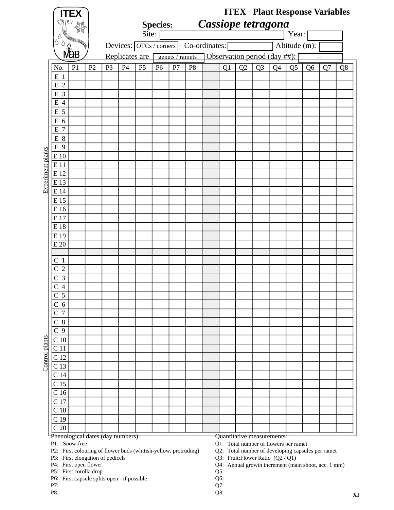|                   |                                    | <b>ITEX</b>                                                                                                                                   |                |                |    | Site:                   | <b>Species:</b> |                 |                | Cassiope tetragona |    |    |                                                                            |    | Year:          |                | <b>ITEX</b> Plant Response Variables                                                                     |    |
|-------------------|------------------------------------|-----------------------------------------------------------------------------------------------------------------------------------------------|----------------|----------------|----|-------------------------|-----------------|-----------------|----------------|--------------------|----|----|----------------------------------------------------------------------------|----|----------------|----------------|----------------------------------------------------------------------------------------------------------|----|
|                   | ٥<br>Ò                             |                                                                                                                                               |                |                |    | Devices: OTCs / corners |                 |                 | Co-ordinates:  |                    |    |    |                                                                            |    | Altitude (m):  |                |                                                                                                          |    |
|                   |                                    | <b>MaB</b>                                                                                                                                    |                |                |    | Replicates are          |                 | genets / ramets |                |                    |    |    | Observation period (day ##):                                               |    |                |                |                                                                                                          |    |
|                   | No.                                | P <sub>1</sub>                                                                                                                                | P <sub>2</sub> | P <sub>3</sub> | P4 | P <sub>5</sub>          | P <sub>6</sub>  | P7              | P <sub>8</sub> |                    | Q1 | Q2 | Q <sub>3</sub>                                                             | Q4 | Q <sub>5</sub> | Q <sub>6</sub> | Q7                                                                                                       | Q8 |
|                   | $E_1$                              |                                                                                                                                               |                |                |    |                         |                 |                 |                |                    |    |    |                                                                            |    |                |                |                                                                                                          |    |
|                   | $\overline{2}$<br>E                |                                                                                                                                               |                |                |    |                         |                 |                 |                |                    |    |    |                                                                            |    |                |                |                                                                                                          |    |
|                   | E 3                                |                                                                                                                                               |                |                |    |                         |                 |                 |                |                    |    |    |                                                                            |    |                |                |                                                                                                          |    |
|                   | E<br>$\overline{4}$                |                                                                                                                                               |                |                |    |                         |                 |                 |                |                    |    |    |                                                                            |    |                |                |                                                                                                          |    |
|                   | E 5                                |                                                                                                                                               |                |                |    |                         |                 |                 |                |                    |    |    |                                                                            |    |                |                |                                                                                                          |    |
|                   | E 6                                |                                                                                                                                               |                |                |    |                         |                 |                 |                |                    |    |    |                                                                            |    |                |                |                                                                                                          |    |
|                   | $\overline{7}$<br>E                |                                                                                                                                               |                |                |    |                         |                 |                 |                |                    |    |    |                                                                            |    |                |                |                                                                                                          |    |
|                   | E 8                                |                                                                                                                                               |                |                |    |                         |                 |                 |                |                    |    |    |                                                                            |    |                |                |                                                                                                          |    |
|                   | E 9                                |                                                                                                                                               |                |                |    |                         |                 |                 |                |                    |    |    |                                                                            |    |                |                |                                                                                                          |    |
|                   | E 10                               |                                                                                                                                               |                |                |    |                         |                 |                 |                |                    |    |    |                                                                            |    |                |                |                                                                                                          |    |
|                   | E 11                               |                                                                                                                                               |                |                |    |                         |                 |                 |                |                    |    |    |                                                                            |    |                |                |                                                                                                          |    |
| Experiment plants | E 12<br>E 13                       |                                                                                                                                               |                |                |    |                         |                 |                 |                |                    |    |    |                                                                            |    |                |                |                                                                                                          |    |
|                   | E 14                               |                                                                                                                                               |                |                |    |                         |                 |                 |                |                    |    |    |                                                                            |    |                |                |                                                                                                          |    |
|                   | E 15                               |                                                                                                                                               |                |                |    |                         |                 |                 |                |                    |    |    |                                                                            |    |                |                |                                                                                                          |    |
|                   | E 16                               |                                                                                                                                               |                |                |    |                         |                 |                 |                |                    |    |    |                                                                            |    |                |                |                                                                                                          |    |
|                   | E 17                               |                                                                                                                                               |                |                |    |                         |                 |                 |                |                    |    |    |                                                                            |    |                |                |                                                                                                          |    |
|                   | E 18                               |                                                                                                                                               |                |                |    |                         |                 |                 |                |                    |    |    |                                                                            |    |                |                |                                                                                                          |    |
|                   | E 19                               |                                                                                                                                               |                |                |    |                         |                 |                 |                |                    |    |    |                                                                            |    |                |                |                                                                                                          |    |
|                   | E 20                               |                                                                                                                                               |                |                |    |                         |                 |                 |                |                    |    |    |                                                                            |    |                |                |                                                                                                          |    |
|                   |                                    |                                                                                                                                               |                |                |    |                         |                 |                 |                |                    |    |    |                                                                            |    |                |                |                                                                                                          |    |
|                   | C <sub>1</sub>                     |                                                                                                                                               |                |                |    |                         |                 |                 |                |                    |    |    |                                                                            |    |                |                |                                                                                                          |    |
|                   | $\overline{2}$<br>C                |                                                                                                                                               |                |                |    |                         |                 |                 |                |                    |    |    |                                                                            |    |                |                |                                                                                                          |    |
|                   | 3<br>C                             |                                                                                                                                               |                |                |    |                         |                 |                 |                |                    |    |    |                                                                            |    |                |                |                                                                                                          |    |
|                   | $\overline{4}$                     |                                                                                                                                               |                |                |    |                         |                 |                 |                |                    |    |    |                                                                            |    |                |                |                                                                                                          |    |
|                   | $\overline{\mathbf{5}}$            |                                                                                                                                               |                |                |    |                         |                 |                 |                |                    |    |    |                                                                            |    |                |                |                                                                                                          |    |
|                   | C <sub>6</sub>                     |                                                                                                                                               |                |                |    |                         |                 |                 |                |                    |    |    |                                                                            |    |                |                |                                                                                                          |    |
|                   | $7\phantom{.0}$<br>C               |                                                                                                                                               |                |                |    |                         |                 |                 |                |                    |    |    |                                                                            |    |                |                |                                                                                                          |    |
|                   | $C_8$                              |                                                                                                                                               |                |                |    |                         |                 |                 |                |                    |    |    |                                                                            |    |                |                |                                                                                                          |    |
|                   | 9<br>$\mathsf C$                   |                                                                                                                                               |                |                |    |                         |                 |                 |                |                    |    |    |                                                                            |    |                |                |                                                                                                          |    |
| Control plants    | C <sub>10</sub>                    |                                                                                                                                               |                |                |    |                         |                 |                 |                |                    |    |    |                                                                            |    |                |                |                                                                                                          |    |
|                   | C 11                               |                                                                                                                                               |                |                |    |                         |                 |                 |                |                    |    |    |                                                                            |    |                |                |                                                                                                          |    |
|                   | C <sub>12</sub>                    |                                                                                                                                               |                |                |    |                         |                 |                 |                |                    |    |    |                                                                            |    |                |                |                                                                                                          |    |
|                   | C <sub>13</sub>                    |                                                                                                                                               |                |                |    |                         |                 |                 |                |                    |    |    |                                                                            |    |                |                |                                                                                                          |    |
|                   | C <sub>14</sub>                    |                                                                                                                                               |                |                |    |                         |                 |                 |                |                    |    |    |                                                                            |    |                |                |                                                                                                          |    |
|                   | C <sub>15</sub><br>C <sub>16</sub> |                                                                                                                                               |                |                |    |                         |                 |                 |                |                    |    |    |                                                                            |    |                |                |                                                                                                          |    |
|                   | C <sub>17</sub>                    |                                                                                                                                               |                |                |    |                         |                 |                 |                |                    |    |    |                                                                            |    |                |                |                                                                                                          |    |
|                   | C <sub>18</sub>                    |                                                                                                                                               |                |                |    |                         |                 |                 |                |                    |    |    |                                                                            |    |                |                |                                                                                                          |    |
|                   | C <sub>19</sub>                    |                                                                                                                                               |                |                |    |                         |                 |                 |                |                    |    |    |                                                                            |    |                |                |                                                                                                          |    |
|                   | C <sub>20</sub>                    |                                                                                                                                               |                |                |    |                         |                 |                 |                |                    |    |    |                                                                            |    |                |                |                                                                                                          |    |
|                   |                                    | Phenological dates (day numbers):                                                                                                             |                |                |    |                         |                 |                 |                |                    |    |    | Quantitative measurements:                                                 |    |                |                |                                                                                                          |    |
|                   |                                    | P1: Snow-free<br>P2: First colouring of flower buds (whitish-yellow, protruding)<br>P3: First elongation of pedicels<br>P4: First open flower |                |                |    |                         |                 |                 |                |                    |    |    | Q1: Total number of flowers per ramet<br>Q3: Fruit: Flower Ratio (Q2 / Q1) |    |                |                | Q2: Total number of developing capsules per ramet<br>Q4: Annual growth increment (main shoot, acc. 1 mm) |    |

P5: Q5: First corolla drop

P6: Q6: First capsule splits open - if possible

P7: Q7:

P8:  $Q8:$ 

Annual growth increment (main shoot, acc. 1 mm)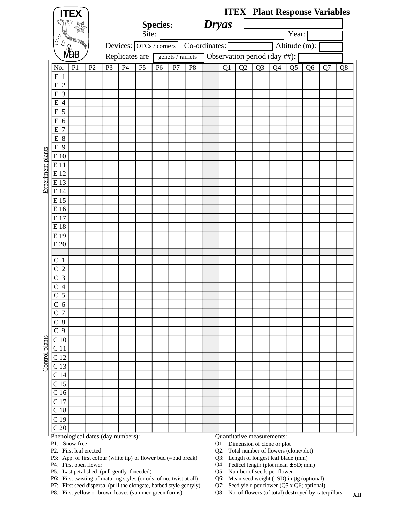|                   |                                                      | <b>ITEX</b>                       |                |                |    |                         |                 |                 |                |              |    |    | <b>ITEX</b> Plant Response Variables |    |                |                |    |    |
|-------------------|------------------------------------------------------|-----------------------------------|----------------|----------------|----|-------------------------|-----------------|-----------------|----------------|--------------|----|----|--------------------------------------|----|----------------|----------------|----|----|
|                   | M                                                    | ্ষ্যি                             |                |                |    |                         | <b>Species:</b> |                 |                | <b>Dryas</b> |    |    |                                      |    |                |                |    |    |
|                   |                                                      |                                   |                |                |    | Site:                   |                 |                 |                |              |    |    |                                      |    | Year:          |                |    |    |
|                   | δ<br>U                                               | RECEIVED !                        |                |                |    | Devices: OTCs / corners |                 |                 | Co-ordinates:  |              |    |    |                                      |    | Altitude (m):  |                |    |    |
|                   |                                                      | √a<br>Mab                         |                |                |    | Replicates are          |                 | genets / ramets |                |              |    |    | Observation period (day ##):         |    |                |                |    |    |
|                   | No.                                                  | P <sub>1</sub>                    | P <sub>2</sub> | P <sub>3</sub> | P4 | P <sub>5</sub>          | P <sub>6</sub>  | P7              | P <sub>8</sub> |              | Q1 | Q2 | Q <sub>3</sub>                       | Q4 | Q <sub>5</sub> | Q <sub>6</sub> | Q7 | Q8 |
|                   | E 1                                                  |                                   |                |                |    |                         |                 |                 |                |              |    |    |                                      |    |                |                |    |    |
|                   | E <sub>2</sub>                                       |                                   |                |                |    |                         |                 |                 |                |              |    |    |                                      |    |                |                |    |    |
|                   | E 3                                                  |                                   |                |                |    |                         |                 |                 |                |              |    |    |                                      |    |                |                |    |    |
|                   | E 4                                                  |                                   |                |                |    |                         |                 |                 |                |              |    |    |                                      |    |                |                |    |    |
|                   | E 5                                                  |                                   |                |                |    |                         |                 |                 |                |              |    |    |                                      |    |                |                |    |    |
|                   | E 6<br>$\overline{7}$<br>E                           |                                   |                |                |    |                         |                 |                 |                |              |    |    |                                      |    |                |                |    |    |
|                   | $\,\mathrm{E}$ 8                                     |                                   |                |                |    |                         |                 |                 |                |              |    |    |                                      |    |                |                |    |    |
|                   | E 9                                                  |                                   |                |                |    |                         |                 |                 |                |              |    |    |                                      |    |                |                |    |    |
|                   | E 10                                                 |                                   |                |                |    |                         |                 |                 |                |              |    |    |                                      |    |                |                |    |    |
|                   | E11                                                  |                                   |                |                |    |                         |                 |                 |                |              |    |    |                                      |    |                |                |    |    |
|                   | E 12                                                 |                                   |                |                |    |                         |                 |                 |                |              |    |    |                                      |    |                |                |    |    |
| Experiment plants | E 13                                                 |                                   |                |                |    |                         |                 |                 |                |              |    |    |                                      |    |                |                |    |    |
|                   | E 14                                                 |                                   |                |                |    |                         |                 |                 |                |              |    |    |                                      |    |                |                |    |    |
|                   | E 15                                                 |                                   |                |                |    |                         |                 |                 |                |              |    |    |                                      |    |                |                |    |    |
|                   | E 16<br>E 17                                         |                                   |                |                |    |                         |                 |                 |                |              |    |    |                                      |    |                |                |    |    |
|                   | E18                                                  |                                   |                |                |    |                         |                 |                 |                |              |    |    |                                      |    |                |                |    |    |
|                   | E 19                                                 |                                   |                |                |    |                         |                 |                 |                |              |    |    |                                      |    |                |                |    |    |
|                   | E 20                                                 |                                   |                |                |    |                         |                 |                 |                |              |    |    |                                      |    |                |                |    |    |
|                   |                                                      |                                   |                |                |    |                         |                 |                 |                |              |    |    |                                      |    |                |                |    |    |
|                   | C <sub>1</sub>                                       |                                   |                |                |    |                         |                 |                 |                |              |    |    |                                      |    |                |                |    |    |
|                   | $\overline{2}$<br>$\mathsf C$<br>$\mathfrak{Z}$<br>C |                                   |                |                |    |                         |                 |                 |                |              |    |    |                                      |    |                |                |    |    |
|                   | $\overline{4}$<br>С                                  |                                   |                |                |    |                         |                 |                 |                |              |    |    |                                      |    |                |                |    |    |
|                   | $\overline{5}$<br>$\mathsf{C}$                       |                                   |                |                |    |                         |                 |                 |                |              |    |    |                                      |    |                |                |    |    |
|                   | C <sub>6</sub>                                       |                                   |                |                |    |                         |                 |                 |                |              |    |    |                                      |    |                |                |    |    |
|                   | $\overline{7}$<br>$\mathsf{C}$                       |                                   |                |                |    |                         |                 |                 |                |              |    |    |                                      |    |                |                |    |    |
|                   | $8\phantom{.0}$<br>С                                 |                                   |                |                |    |                         |                 |                 |                |              |    |    |                                      |    |                |                |    |    |
|                   | C <sub>9</sub>                                       |                                   |                |                |    |                         |                 |                 |                |              |    |    |                                      |    |                |                |    |    |
|                   | C <sub>10</sub>                                      |                                   |                |                |    |                         |                 |                 |                |              |    |    |                                      |    |                |                |    |    |
|                   | C <sub>11</sub>                                      |                                   |                |                |    |                         |                 |                 |                |              |    |    |                                      |    |                |                |    |    |
| Control plants    | C <sub>12</sub><br>C <sub>13</sub>                   |                                   |                |                |    |                         |                 |                 |                |              |    |    |                                      |    |                |                |    |    |
|                   | C <sub>14</sub>                                      |                                   |                |                |    |                         |                 |                 |                |              |    |    |                                      |    |                |                |    |    |
|                   | C <sub>15</sub>                                      |                                   |                |                |    |                         |                 |                 |                |              |    |    |                                      |    |                |                |    |    |
|                   | $\overline{C}$ 16                                    |                                   |                |                |    |                         |                 |                 |                |              |    |    |                                      |    |                |                |    |    |
|                   | C <sub>17</sub>                                      |                                   |                |                |    |                         |                 |                 |                |              |    |    |                                      |    |                |                |    |    |
|                   | C <sub>18</sub>                                      |                                   |                |                |    |                         |                 |                 |                |              |    |    |                                      |    |                |                |    |    |
|                   | C <sub>19</sub>                                      |                                   |                |                |    |                         |                 |                 |                |              |    |    |                                      |    |                |                |    |    |
|                   | C <sub>20</sub>                                      | Phenological dates (day numbers): |                |                |    |                         |                 |                 |                |              |    |    | Quantitative measurements:           |    |                |                |    |    |
|                   |                                                      | P1: Snow-free                     |                |                |    |                         |                 |                 |                |              |    |    | Q1: Dimension of clone or plot       |    |                |                |    |    |

P2: Q2: First leaf erected

P3: App. of first colour (white tip) of flower bud (=bud break) Q3:

P4: Q4: First open flower

P5: Last petal shed (pull gently if needed)  $Q5$ :

P6: First twisting of maturing styles (or ods. of no. twist at all) Q6:

P7: First seed dispersal (pull the elongate, barbed style gentyly) Q7:

P8: First yellow or brown leaves (summer-green forms) Q8:

Q2: Total number of flowers (clone/plot)

Q3: Length of longest leaf blade (mm)

Q4: Pedicel length (plot mean  $\pm$  SD; mm)

Q5: Number of seeds per flower

Q6: Mean seed weight  $(\pm SD)$  in  $\mu$ g (optional)

Q7: Seed yield per flower (Q5 x Q6; optional)

**XII** Q8: No. of flowers (of total) destroyed by caterpillars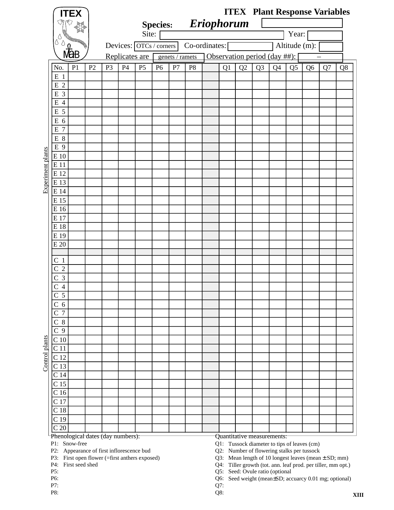|                   |                                  | <b>ITEX</b>                                                   |    |                |                |                         |                |                 |                |                     |     |                                 |                                                                           |    |                |                                                                                                                          | <b>ITEX</b> Plant Response Variables                  |    |
|-------------------|----------------------------------|---------------------------------------------------------------|----|----------------|----------------|-------------------------|----------------|-----------------|----------------|---------------------|-----|---------------------------------|---------------------------------------------------------------------------|----|----------------|--------------------------------------------------------------------------------------------------------------------------|-------------------------------------------------------|----|
|                   |                                  |                                                               |    |                |                |                         |                |                 |                | Species: Eriophorum |     |                                 |                                                                           |    |                |                                                                                                                          |                                                       |    |
|                   |                                  |                                                               |    |                |                | Site:                   |                |                 |                |                     |     |                                 |                                                                           |    | Year:          |                                                                                                                          |                                                       |    |
|                   | ٥<br>↻                           |                                                               |    |                |                | Devices: OTCs / corners |                |                 |                | Co-ordinates:       |     |                                 |                                                                           |    | Altitude (m):  |                                                                                                                          |                                                       |    |
|                   |                                  |                                                               |    |                |                |                         |                |                 |                |                     |     |                                 |                                                                           |    |                |                                                                                                                          |                                                       |    |
|                   |                                  |                                                               |    |                | Replicates are |                         |                | genets / ramets |                |                     |     |                                 | Observation period (day ##):                                              |    |                |                                                                                                                          |                                                       |    |
|                   | No.                              | P <sub>1</sub>                                                | P2 | P <sub>3</sub> | P4             | P <sub>5</sub>          | P <sub>6</sub> | P7              | P <sub>8</sub> |                     | Q1  | Q2                              | Q <sub>3</sub>                                                            | Q4 | Q <sub>5</sub> | Q <sub>6</sub>                                                                                                           | Q7                                                    | Q8 |
|                   | E <sub>1</sub>                   |                                                               |    |                |                |                         |                |                 |                |                     |     |                                 |                                                                           |    |                |                                                                                                                          |                                                       |    |
|                   | $\overline{2}$<br>E<br>E 3       |                                                               |    |                |                |                         |                |                 |                |                     |     |                                 |                                                                           |    |                |                                                                                                                          |                                                       |    |
|                   | $\overline{4}$<br>E              |                                                               |    |                |                |                         |                |                 |                |                     |     |                                 |                                                                           |    |                |                                                                                                                          |                                                       |    |
|                   | 5<br>E                           |                                                               |    |                |                |                         |                |                 |                |                     |     |                                 |                                                                           |    |                |                                                                                                                          |                                                       |    |
|                   | Ε<br>6                           |                                                               |    |                |                |                         |                |                 |                |                     |     |                                 |                                                                           |    |                |                                                                                                                          |                                                       |    |
|                   | 7<br>E                           |                                                               |    |                |                |                         |                |                 |                |                     |     |                                 |                                                                           |    |                |                                                                                                                          |                                                       |    |
|                   | E 8                              |                                                               |    |                |                |                         |                |                 |                |                     |     |                                 |                                                                           |    |                |                                                                                                                          |                                                       |    |
|                   | E 9                              |                                                               |    |                |                |                         |                |                 |                |                     |     |                                 |                                                                           |    |                |                                                                                                                          |                                                       |    |
|                   | E 10                             |                                                               |    |                |                |                         |                |                 |                |                     |     |                                 |                                                                           |    |                |                                                                                                                          |                                                       |    |
|                   | E 11                             |                                                               |    |                |                |                         |                |                 |                |                     |     |                                 |                                                                           |    |                |                                                                                                                          |                                                       |    |
|                   | E 12                             |                                                               |    |                |                |                         |                |                 |                |                     |     |                                 |                                                                           |    |                |                                                                                                                          |                                                       |    |
| Experiment plants | E 13                             |                                                               |    |                |                |                         |                |                 |                |                     |     |                                 |                                                                           |    |                |                                                                                                                          |                                                       |    |
|                   | E 14                             |                                                               |    |                |                |                         |                |                 |                |                     |     |                                 |                                                                           |    |                |                                                                                                                          |                                                       |    |
|                   | E 15                             |                                                               |    |                |                |                         |                |                 |                |                     |     |                                 |                                                                           |    |                |                                                                                                                          |                                                       |    |
|                   | E 16                             |                                                               |    |                |                |                         |                |                 |                |                     |     |                                 |                                                                           |    |                |                                                                                                                          |                                                       |    |
|                   | E 17<br>E 18                     |                                                               |    |                |                |                         |                |                 |                |                     |     |                                 |                                                                           |    |                |                                                                                                                          |                                                       |    |
|                   | E 19                             |                                                               |    |                |                |                         |                |                 |                |                     |     |                                 |                                                                           |    |                |                                                                                                                          |                                                       |    |
|                   | E 20                             |                                                               |    |                |                |                         |                |                 |                |                     |     |                                 |                                                                           |    |                |                                                                                                                          |                                                       |    |
|                   |                                  |                                                               |    |                |                |                         |                |                 |                |                     |     |                                 |                                                                           |    |                |                                                                                                                          |                                                       |    |
|                   | C <sub>1</sub>                   |                                                               |    |                |                |                         |                |                 |                |                     |     |                                 |                                                                           |    |                |                                                                                                                          |                                                       |    |
|                   | $\overline{2}$                   |                                                               |    |                |                |                         |                |                 |                |                     |     |                                 |                                                                           |    |                |                                                                                                                          |                                                       |    |
|                   | 3<br>С                           |                                                               |    |                |                |                         |                |                 |                |                     |     |                                 |                                                                           |    |                |                                                                                                                          |                                                       |    |
|                   | $\overline{4}$                   |                                                               |    |                |                |                         |                |                 |                |                     |     |                                 |                                                                           |    |                |                                                                                                                          |                                                       |    |
|                   | $\overline{5}$                   |                                                               |    |                |                |                         |                |                 |                |                     |     |                                 |                                                                           |    |                |                                                                                                                          |                                                       |    |
|                   | C <sub>6</sub><br>$\overline{7}$ |                                                               |    |                |                |                         |                |                 |                |                     |     |                                 |                                                                           |    |                |                                                                                                                          |                                                       |    |
|                   | С<br>$C_8$                       |                                                               |    |                |                |                         |                |                 |                |                     |     |                                 |                                                                           |    |                |                                                                                                                          |                                                       |    |
|                   | 9<br>$\overline{C}$              |                                                               |    |                |                |                         |                |                 |                |                     |     |                                 |                                                                           |    |                |                                                                                                                          |                                                       |    |
|                   | $\mathcal{C}$ 10                 |                                                               |    |                |                |                         |                |                 |                |                     |     |                                 |                                                                           |    |                |                                                                                                                          |                                                       |    |
| Control plants    | C 11                             |                                                               |    |                |                |                         |                |                 |                |                     |     |                                 |                                                                           |    |                |                                                                                                                          |                                                       |    |
|                   | C <sub>12</sub>                  |                                                               |    |                |                |                         |                |                 |                |                     |     |                                 |                                                                           |    |                |                                                                                                                          |                                                       |    |
|                   | C <sub>13</sub>                  |                                                               |    |                |                |                         |                |                 |                |                     |     |                                 |                                                                           |    |                |                                                                                                                          |                                                       |    |
|                   | C 14                             |                                                               |    |                |                |                         |                |                 |                |                     |     |                                 |                                                                           |    |                |                                                                                                                          |                                                       |    |
|                   | C <sub>15</sub>                  |                                                               |    |                |                |                         |                |                 |                |                     |     |                                 |                                                                           |    |                |                                                                                                                          |                                                       |    |
|                   | C <sub>16</sub>                  |                                                               |    |                |                |                         |                |                 |                |                     |     |                                 |                                                                           |    |                |                                                                                                                          |                                                       |    |
|                   | C <sub>17</sub>                  |                                                               |    |                |                |                         |                |                 |                |                     |     |                                 |                                                                           |    |                |                                                                                                                          |                                                       |    |
|                   | C <sub>18</sub>                  |                                                               |    |                |                |                         |                |                 |                |                     |     |                                 |                                                                           |    |                |                                                                                                                          |                                                       |    |
|                   | C <sub>19</sub>                  |                                                               |    |                |                |                         |                |                 |                |                     |     |                                 |                                                                           |    |                |                                                                                                                          |                                                       |    |
|                   | C <sub>20</sub>                  | Phenological dates (day numbers):                             |    |                |                |                         |                |                 |                |                     |     |                                 |                                                                           |    |                |                                                                                                                          |                                                       |    |
|                   |                                  | P1: Snow-free                                                 |    |                |                |                         |                |                 |                |                     |     |                                 | Quantitative measurements:<br>Q1: Tussock diameter to tips of leaves (cm) |    |                |                                                                                                                          |                                                       |    |
|                   | P2:                              | Appearance of first inflorescence bud                         |    |                |                |                         |                |                 |                |                     |     |                                 | Q2: Number of flowering stalks per tussock                                |    |                |                                                                                                                          |                                                       |    |
|                   | P3:<br>P4:                       | First open flower (=first anthers exposed)<br>First seed shed |    |                |                |                         |                |                 |                |                     |     |                                 |                                                                           |    |                | Q3: Mean length of 10 longest leaves (mean $\pm$ SD; mm)<br>Q4: Tiller growth (tot. ann. leaf prod. per tiller, mm opt.) |                                                       |    |
|                   | P5:                              |                                                               |    |                |                |                         |                |                 |                |                     |     | Q5: Seed: Ovule ratio (optional |                                                                           |    |                |                                                                                                                          |                                                       |    |
|                   | P6:                              |                                                               |    |                |                |                         |                |                 |                |                     |     |                                 |                                                                           |    |                |                                                                                                                          | Q6: Seed weight (mean±SD; accuarcy 0.01 mg; optional) |    |
|                   | P7:                              |                                                               |    |                |                |                         |                |                 |                |                     | Q7: |                                 |                                                                           |    |                |                                                                                                                          |                                                       |    |

P8:  $Q8:$ 

**XIII**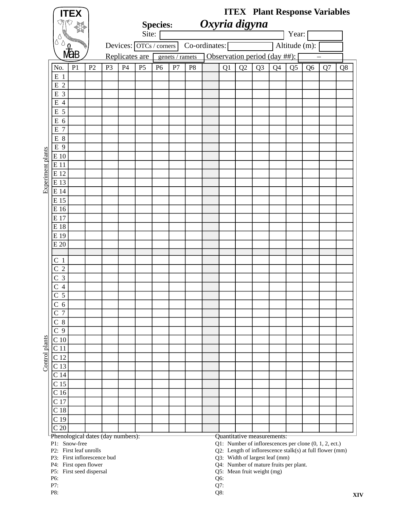|                   | <b>ITEX</b>                             |                |                         |                |                 |                 |                |               |     |    |                                        |                                |                |                | <b>ITEX</b> Plant Response Variables                                                                               |    |  |
|-------------------|-----------------------------------------|----------------|-------------------------|----------------|-----------------|-----------------|----------------|---------------|-----|----|----------------------------------------|--------------------------------|----------------|----------------|--------------------------------------------------------------------------------------------------------------------|----|--|
|                   | প্টে                                    |                |                         |                | <b>Species:</b> |                 |                | Oxyria digyna |     |    |                                        |                                |                |                |                                                                                                                    |    |  |
|                   |                                         |                |                         | Site:          |                 |                 |                |               |     |    |                                        |                                | Year:          |                |                                                                                                                    |    |  |
|                   |                                         |                | Devices: OTCs / corners |                |                 |                 |                | Co-ordinates: |     |    |                                        |                                | Altitude (m):  |                |                                                                                                                    |    |  |
|                   | <b>NaB</b>                              |                | Replicates are          |                |                 | genets / ramets |                |               |     |    |                                        | Observation period (day ##):   |                |                |                                                                                                                    |    |  |
|                   | P <sub>1</sub><br>P <sub>2</sub><br>No. | P <sub>3</sub> | P4                      | P <sub>5</sub> | P <sub>6</sub>  | P7              | P <sub>8</sub> |               | Q1  | Q2 | Q <sub>3</sub>                         | Q <sub>4</sub>                 | Q <sub>5</sub> | Q <sub>6</sub> | Q7                                                                                                                 | Q8 |  |
|                   | $E_1$                                   |                |                         |                |                 |                 |                |               |     |    |                                        |                                |                |                |                                                                                                                    |    |  |
|                   | E 2                                     |                |                         |                |                 |                 |                |               |     |    |                                        |                                |                |                |                                                                                                                    |    |  |
|                   | E 3                                     |                |                         |                |                 |                 |                |               |     |    |                                        |                                |                |                |                                                                                                                    |    |  |
|                   | $\overline{4}$<br>Ε                     |                |                         |                |                 |                 |                |               |     |    |                                        |                                |                |                |                                                                                                                    |    |  |
|                   | E 5                                     |                |                         |                |                 |                 |                |               |     |    |                                        |                                |                |                |                                                                                                                    |    |  |
|                   | E <sub>6</sub><br>E 7                   |                |                         |                |                 |                 |                |               |     |    |                                        |                                |                |                |                                                                                                                    |    |  |
|                   | E 8                                     |                |                         |                |                 |                 |                |               |     |    |                                        |                                |                |                |                                                                                                                    |    |  |
|                   | E 9                                     |                |                         |                |                 |                 |                |               |     |    |                                        |                                |                |                |                                                                                                                    |    |  |
|                   | E 10                                    |                |                         |                |                 |                 |                |               |     |    |                                        |                                |                |                |                                                                                                                    |    |  |
|                   | E 11                                    |                |                         |                |                 |                 |                |               |     |    |                                        |                                |                |                |                                                                                                                    |    |  |
| Experiment plants | E 12                                    |                |                         |                |                 |                 |                |               |     |    |                                        |                                |                |                |                                                                                                                    |    |  |
|                   | E 13                                    |                |                         |                |                 |                 |                |               |     |    |                                        |                                |                |                |                                                                                                                    |    |  |
|                   | E 14                                    |                |                         |                |                 |                 |                |               |     |    |                                        |                                |                |                |                                                                                                                    |    |  |
|                   | E 15                                    |                |                         |                |                 |                 |                |               |     |    |                                        |                                |                |                |                                                                                                                    |    |  |
|                   | E 16                                    |                |                         |                |                 |                 |                |               |     |    |                                        |                                |                |                |                                                                                                                    |    |  |
|                   | E 17<br>E 18                            |                |                         |                |                 |                 |                |               |     |    |                                        |                                |                |                |                                                                                                                    |    |  |
|                   | E 19                                    |                |                         |                |                 |                 |                |               |     |    |                                        |                                |                |                |                                                                                                                    |    |  |
|                   | E 20                                    |                |                         |                |                 |                 |                |               |     |    |                                        |                                |                |                |                                                                                                                    |    |  |
|                   |                                         |                |                         |                |                 |                 |                |               |     |    |                                        |                                |                |                |                                                                                                                    |    |  |
|                   | C <sub>1</sub>                          |                |                         |                |                 |                 |                |               |     |    |                                        |                                |                |                |                                                                                                                    |    |  |
|                   | $\overline{2}$<br>C                     |                |                         |                |                 |                 |                |               |     |    |                                        |                                |                |                |                                                                                                                    |    |  |
|                   | 3<br>С                                  |                |                         |                |                 |                 |                |               |     |    |                                        |                                |                |                |                                                                                                                    |    |  |
|                   | $\overline{4}$<br>C<br>◠                |                |                         |                |                 |                 |                |               |     |    |                                        |                                |                |                |                                                                                                                    |    |  |
|                   | $\overline{5}$<br>$\mathsf{C}$          |                |                         |                |                 |                 |                |               |     |    |                                        |                                |                |                |                                                                                                                    |    |  |
|                   | 6<br>$\overline{7}$<br>C                |                |                         |                |                 |                 |                |               |     |    |                                        |                                |                |                |                                                                                                                    |    |  |
|                   | 8<br>C                                  |                |                         |                |                 |                 |                |               |     |    |                                        |                                |                |                |                                                                                                                    |    |  |
|                   | C <sub>9</sub>                          |                |                         |                |                 |                 |                |               |     |    |                                        |                                |                |                |                                                                                                                    |    |  |
|                   | C <sub>10</sub>                         |                |                         |                |                 |                 |                |               |     |    |                                        |                                |                |                |                                                                                                                    |    |  |
| Control plants    | C <sub>11</sub>                         |                |                         |                |                 |                 |                |               |     |    |                                        |                                |                |                |                                                                                                                    |    |  |
|                   | C <sub>12</sub>                         |                |                         |                |                 |                 |                |               |     |    |                                        |                                |                |                |                                                                                                                    |    |  |
|                   | C <sub>13</sub>                         |                |                         |                |                 |                 |                |               |     |    |                                        |                                |                |                |                                                                                                                    |    |  |
|                   | C <sub>14</sub>                         |                |                         |                |                 |                 |                |               |     |    |                                        |                                |                |                |                                                                                                                    |    |  |
|                   | C <sub>15</sub>                         |                |                         |                |                 |                 |                |               |     |    |                                        |                                |                |                |                                                                                                                    |    |  |
|                   | C <sub>16</sub><br>C <sub>17</sub>      |                |                         |                |                 |                 |                |               |     |    |                                        |                                |                |                |                                                                                                                    |    |  |
|                   | C <sub>18</sub>                         |                |                         |                |                 |                 |                |               |     |    |                                        |                                |                |                |                                                                                                                    |    |  |
|                   | C <sub>19</sub>                         |                |                         |                |                 |                 |                |               |     |    |                                        |                                |                |                |                                                                                                                    |    |  |
|                   | C <sub>20</sub>                         |                |                         |                |                 |                 |                |               |     |    |                                        |                                |                |                |                                                                                                                    |    |  |
|                   | Phenological dates (day numbers):       |                |                         |                |                 |                 |                |               |     |    |                                        | Quantitative measurements:     |                |                |                                                                                                                    |    |  |
|                   | P1: Snow-free<br>P2: First leaf unrolls |                |                         |                |                 |                 |                |               |     |    |                                        |                                |                |                | Q1: Number of inflorescences per clone (0, 1, 2, ect.)<br>Q2: Length of inflorescence stalk(s) at full flower (mm) |    |  |
|                   | P3: First inflorescence bud             |                |                         |                |                 |                 |                |               |     |    |                                        | Q3: Width of largest leaf (mm) |                |                |                                                                                                                    |    |  |
|                   | P4: First open flower                   |                |                         |                |                 |                 |                |               |     |    | Q4: Number of mature fruits per plant. |                                |                |                |                                                                                                                    |    |  |
|                   | P5: First seed dispersal<br>P6:         |                |                         |                |                 |                 |                |               | Q6: |    | Q5: Mean fruit weight (mg)             |                                |                |                |                                                                                                                    |    |  |
|                   | P7:                                     |                |                         |                |                 |                 |                |               | Q7: |    |                                        |                                |                |                |                                                                                                                    |    |  |

P8:  $Q8:$ 

**XIV**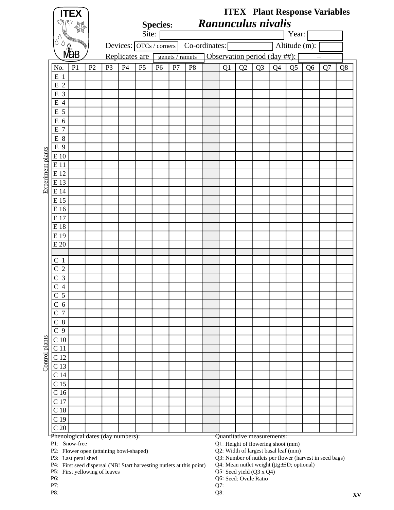| Δ                                                                                                                    |                |                |    | Site:                   | <b>Species:</b> |                 |                |    |    | Ranunculus nivalis                                                                                                                                                                                              |                | Year:          |                |    |    |
|----------------------------------------------------------------------------------------------------------------------|----------------|----------------|----|-------------------------|-----------------|-----------------|----------------|----|----|-----------------------------------------------------------------------------------------------------------------------------------------------------------------------------------------------------------------|----------------|----------------|----------------|----|----|
|                                                                                                                      |                |                |    | Devices: OTCs / corners |                 |                 | Co-ordinates:  |    |    |                                                                                                                                                                                                                 |                | Altitude (m):  |                |    |    |
|                                                                                                                      |                |                |    | Replicates are          |                 | genets / ramets |                |    |    | Observation period (day ##):                                                                                                                                                                                    |                |                |                |    |    |
| No.<br>P <sub>1</sub>                                                                                                | P <sub>2</sub> | P <sub>3</sub> | P4 | P <sub>5</sub>          | P <sub>6</sub>  | P7              | P <sub>8</sub> | Q1 | Q2 | Q <sub>3</sub>                                                                                                                                                                                                  | Q <sub>4</sub> | Q <sub>5</sub> | Q <sub>6</sub> | Q7 | Q8 |
| $E_1$                                                                                                                |                |                |    |                         |                 |                 |                |    |    |                                                                                                                                                                                                                 |                |                |                |    |    |
| $\overline{2}$<br>E                                                                                                  |                |                |    |                         |                 |                 |                |    |    |                                                                                                                                                                                                                 |                |                |                |    |    |
| E 3                                                                                                                  |                |                |    |                         |                 |                 |                |    |    |                                                                                                                                                                                                                 |                |                |                |    |    |
| $\overline{4}$<br>E                                                                                                  |                |                |    |                         |                 |                 |                |    |    |                                                                                                                                                                                                                 |                |                |                |    |    |
| E 5                                                                                                                  |                |                |    |                         |                 |                 |                |    |    |                                                                                                                                                                                                                 |                |                |                |    |    |
| E 6                                                                                                                  |                |                |    |                         |                 |                 |                |    |    |                                                                                                                                                                                                                 |                |                |                |    |    |
| E<br>$\overline{7}$                                                                                                  |                |                |    |                         |                 |                 |                |    |    |                                                                                                                                                                                                                 |                |                |                |    |    |
| E 8<br>E 9                                                                                                           |                |                |    |                         |                 |                 |                |    |    |                                                                                                                                                                                                                 |                |                |                |    |    |
| E 10                                                                                                                 |                |                |    |                         |                 |                 |                |    |    |                                                                                                                                                                                                                 |                |                |                |    |    |
| E 11                                                                                                                 |                |                |    |                         |                 |                 |                |    |    |                                                                                                                                                                                                                 |                |                |                |    |    |
| E 12                                                                                                                 |                |                |    |                         |                 |                 |                |    |    |                                                                                                                                                                                                                 |                |                |                |    |    |
| E 13                                                                                                                 |                |                |    |                         |                 |                 |                |    |    |                                                                                                                                                                                                                 |                |                |                |    |    |
| E 14                                                                                                                 |                |                |    |                         |                 |                 |                |    |    |                                                                                                                                                                                                                 |                |                |                |    |    |
| E 15                                                                                                                 |                |                |    |                         |                 |                 |                |    |    |                                                                                                                                                                                                                 |                |                |                |    |    |
| E 16                                                                                                                 |                |                |    |                         |                 |                 |                |    |    |                                                                                                                                                                                                                 |                |                |                |    |    |
| E 17                                                                                                                 |                |                |    |                         |                 |                 |                |    |    |                                                                                                                                                                                                                 |                |                |                |    |    |
| E 18                                                                                                                 |                |                |    |                         |                 |                 |                |    |    |                                                                                                                                                                                                                 |                |                |                |    |    |
| E 19                                                                                                                 |                |                |    |                         |                 |                 |                |    |    |                                                                                                                                                                                                                 |                |                |                |    |    |
| E 20                                                                                                                 |                |                |    |                         |                 |                 |                |    |    |                                                                                                                                                                                                                 |                |                |                |    |    |
|                                                                                                                      |                |                |    |                         |                 |                 |                |    |    |                                                                                                                                                                                                                 |                |                |                |    |    |
| C <sub>1</sub>                                                                                                       |                |                |    |                         |                 |                 |                |    |    |                                                                                                                                                                                                                 |                |                |                |    |    |
| $\overline{2}$<br>С<br>3                                                                                             |                |                |    |                         |                 |                 |                |    |    |                                                                                                                                                                                                                 |                |                |                |    |    |
| С                                                                                                                    |                |                |    |                         |                 |                 |                |    |    |                                                                                                                                                                                                                 |                |                |                |    |    |
| 4<br>$\overline{5}$<br>⌒                                                                                             |                |                |    |                         |                 |                 |                |    |    |                                                                                                                                                                                                                 |                |                |                |    |    |
| 6<br>$\mathsf C$                                                                                                     |                |                |    |                         |                 |                 |                |    |    |                                                                                                                                                                                                                 |                |                |                |    |    |
| $\overline{7}$<br>C                                                                                                  |                |                |    |                         |                 |                 |                |    |    |                                                                                                                                                                                                                 |                |                |                |    |    |
| $C_8$                                                                                                                |                |                |    |                         |                 |                 |                |    |    |                                                                                                                                                                                                                 |                |                |                |    |    |
| $\overline{C}$ 9                                                                                                     |                |                |    |                         |                 |                 |                |    |    |                                                                                                                                                                                                                 |                |                |                |    |    |
| C <sub>10</sub>                                                                                                      |                |                |    |                         |                 |                 |                |    |    |                                                                                                                                                                                                                 |                |                |                |    |    |
| C <sub>11</sub>                                                                                                      |                |                |    |                         |                 |                 |                |    |    |                                                                                                                                                                                                                 |                |                |                |    |    |
| C <sub>12</sub>                                                                                                      |                |                |    |                         |                 |                 |                |    |    |                                                                                                                                                                                                                 |                |                |                |    |    |
| C <sub>13</sub>                                                                                                      |                |                |    |                         |                 |                 |                |    |    |                                                                                                                                                                                                                 |                |                |                |    |    |
| C <sub>14</sub>                                                                                                      |                |                |    |                         |                 |                 |                |    |    |                                                                                                                                                                                                                 |                |                |                |    |    |
| C <sub>15</sub>                                                                                                      |                |                |    |                         |                 |                 |                |    |    |                                                                                                                                                                                                                 |                |                |                |    |    |
| C <sub>16</sub>                                                                                                      |                |                |    |                         |                 |                 |                |    |    |                                                                                                                                                                                                                 |                |                |                |    |    |
| C <sub>17</sub>                                                                                                      |                |                |    |                         |                 |                 |                |    |    |                                                                                                                                                                                                                 |                |                |                |    |    |
| C <sub>18</sub>                                                                                                      |                |                |    |                         |                 |                 |                |    |    |                                                                                                                                                                                                                 |                |                |                |    |    |
| C <sub>19</sub>                                                                                                      |                |                |    |                         |                 |                 |                |    |    |                                                                                                                                                                                                                 |                |                |                |    |    |
| C <sub>20</sub>                                                                                                      |                |                |    |                         |                 |                 |                |    |    |                                                                                                                                                                                                                 |                |                |                |    |    |
| Phenological dates (day numbers):<br>P1: Snow-free<br>P2: Flower open (attaining bowl-shaped)<br>P3: Last petal shed |                |                |    |                         |                 |                 |                |    |    | Quantitative measurements:<br>Q1: Height of flowering shoot (mm)<br>Q2: Width of largest basal leaf (mm)<br>Q3: Number of nutlets per flower (harvest in seed bags)<br>Q4: Mean nutlet weight (µg±SD; optional) |                |                |                |    |    |

First seed dispersal (NB! Start harvesting nutlets at this point)

P5: First yellowing of leaves  $Q5$ : P6:  $Q6:$ First yellowing of leaves

- 
- 

Seed yield (Q3 x Q4)

Seed: Ovule Ratio

- 
- P7: Q7: P8:  $Q8:$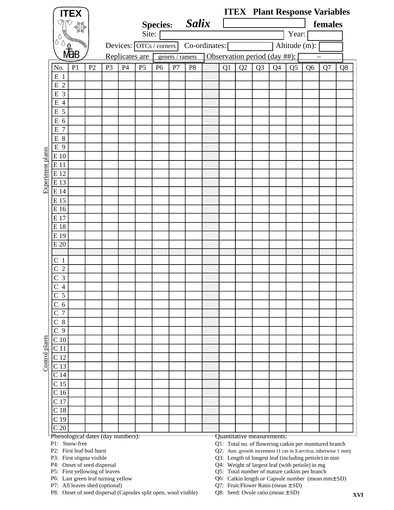|                   |                                            | <b>ITEX</b>                               |                |                               |                |                         |                 |                 |                |    |                                                                                                                         |                |    |                |                | <b>ITEX</b> Plant Response Variables |    |
|-------------------|--------------------------------------------|-------------------------------------------|----------------|-------------------------------|----------------|-------------------------|-----------------|-----------------|----------------|----|-------------------------------------------------------------------------------------------------------------------------|----------------|----|----------------|----------------|--------------------------------------|----|
|                   |                                            |                                           |                |                               |                |                         | <b>Species:</b> |                 | <b>Salix</b>   |    |                                                                                                                         |                |    |                |                | females                              |    |
|                   |                                            |                                           |                |                               |                | Site:                   |                 |                 |                |    |                                                                                                                         |                |    | Year:          |                |                                      |    |
|                   | Δ<br>U                                     |                                           |                |                               |                | Devices: OTCs / corners |                 |                 | Co-ordinates:  |    |                                                                                                                         |                |    | Altitude (m):  |                |                                      |    |
|                   |                                            |                                           |                |                               |                |                         |                 |                 |                |    |                                                                                                                         |                |    |                |                |                                      |    |
|                   |                                            |                                           |                |                               | Replicates are |                         |                 | genets / ramets |                |    | Observation period (day ##):                                                                                            |                |    |                |                |                                      |    |
|                   | No.                                        | P <sub>1</sub>                            | P <sub>2</sub> | P <sub>3</sub>                | P4             | P <sub>5</sub>          | P <sub>6</sub>  | P7              | P <sub>8</sub> | Q1 | Q2                                                                                                                      | Q <sub>3</sub> | Q4 | Q <sub>5</sub> | Q <sub>6</sub> | Q7                                   | Q8 |
|                   | $E_1$                                      |                                           |                |                               |                |                         |                 |                 |                |    |                                                                                                                         |                |    |                |                |                                      |    |
|                   | E 2                                        |                                           |                |                               |                |                         |                 |                 |                |    |                                                                                                                         |                |    |                |                |                                      |    |
|                   | E 3                                        |                                           |                |                               |                |                         |                 |                 |                |    |                                                                                                                         |                |    |                |                |                                      |    |
|                   | E<br>$\overline{4}$                        |                                           |                |                               |                |                         |                 |                 |                |    |                                                                                                                         |                |    |                |                |                                      |    |
|                   | E 5                                        |                                           |                |                               |                |                         |                 |                 |                |    |                                                                                                                         |                |    |                |                |                                      |    |
|                   | E 6<br>E 7                                 |                                           |                |                               |                |                         |                 |                 |                |    |                                                                                                                         |                |    |                |                |                                      |    |
|                   | $E_8$                                      |                                           |                |                               |                |                         |                 |                 |                |    |                                                                                                                         |                |    |                |                |                                      |    |
|                   | E 9                                        |                                           |                |                               |                |                         |                 |                 |                |    |                                                                                                                         |                |    |                |                |                                      |    |
|                   | E 10                                       |                                           |                |                               |                |                         |                 |                 |                |    |                                                                                                                         |                |    |                |                |                                      |    |
|                   | E 11                                       |                                           |                |                               |                |                         |                 |                 |                |    |                                                                                                                         |                |    |                |                |                                      |    |
| Experiment plants | E 12                                       |                                           |                |                               |                |                         |                 |                 |                |    |                                                                                                                         |                |    |                |                |                                      |    |
|                   | E 13                                       |                                           |                |                               |                |                         |                 |                 |                |    |                                                                                                                         |                |    |                |                |                                      |    |
|                   | E 14                                       |                                           |                |                               |                |                         |                 |                 |                |    |                                                                                                                         |                |    |                |                |                                      |    |
|                   | E 15                                       |                                           |                |                               |                |                         |                 |                 |                |    |                                                                                                                         |                |    |                |                |                                      |    |
|                   | E 16                                       |                                           |                |                               |                |                         |                 |                 |                |    |                                                                                                                         |                |    |                |                |                                      |    |
|                   | E 17                                       |                                           |                |                               |                |                         |                 |                 |                |    |                                                                                                                         |                |    |                |                |                                      |    |
|                   | E 18                                       |                                           |                |                               |                |                         |                 |                 |                |    |                                                                                                                         |                |    |                |                |                                      |    |
|                   | E 19<br>E 20                               |                                           |                |                               |                |                         |                 |                 |                |    |                                                                                                                         |                |    |                |                |                                      |    |
|                   |                                            |                                           |                |                               |                |                         |                 |                 |                |    |                                                                                                                         |                |    |                |                |                                      |    |
|                   | C<br>$\mathbf{1}$                          |                                           |                |                               |                |                         |                 |                 |                |    |                                                                                                                         |                |    |                |                |                                      |    |
|                   | $\overline{2}$<br>С                        |                                           |                |                               |                |                         |                 |                 |                |    |                                                                                                                         |                |    |                |                |                                      |    |
|                   | 3<br>C                                     |                                           |                |                               |                |                         |                 |                 |                |    |                                                                                                                         |                |    |                |                |                                      |    |
|                   | 4                                          |                                           |                |                               |                |                         |                 |                 |                |    |                                                                                                                         |                |    |                |                |                                      |    |
|                   | $\overline{5}$<br>$\overline{\phantom{0}}$ |                                           |                |                               |                |                         |                 |                 |                |    |                                                                                                                         |                |    |                |                |                                      |    |
|                   | $\mathbf C$<br>6                           |                                           |                |                               |                |                         |                 |                 |                |    |                                                                                                                         |                |    |                |                |                                      |    |
|                   | $\overline{7}$<br>С                        |                                           |                |                               |                |                         |                 |                 |                |    |                                                                                                                         |                |    |                |                |                                      |    |
|                   | 8<br>С                                     |                                           |                |                               |                |                         |                 |                 |                |    |                                                                                                                         |                |    |                |                |                                      |    |
|                   | $\overline{\rm c}$<br>9                    |                                           |                |                               |                |                         |                 |                 |                |    |                                                                                                                         |                |    |                |                |                                      |    |
| Control plants    | C <sub>10</sub><br>C <sub>11</sub>         |                                           |                |                               |                |                         |                 |                 |                |    |                                                                                                                         |                |    |                |                |                                      |    |
|                   | C <sub>12</sub>                            |                                           |                |                               |                |                         |                 |                 |                |    |                                                                                                                         |                |    |                |                |                                      |    |
|                   | C <sub>13</sub>                            |                                           |                |                               |                |                         |                 |                 |                |    |                                                                                                                         |                |    |                |                |                                      |    |
|                   | C <sub>14</sub>                            |                                           |                |                               |                |                         |                 |                 |                |    |                                                                                                                         |                |    |                |                |                                      |    |
|                   | C <sub>15</sub>                            |                                           |                |                               |                |                         |                 |                 |                |    |                                                                                                                         |                |    |                |                |                                      |    |
|                   | C <sub>16</sub>                            |                                           |                |                               |                |                         |                 |                 |                |    |                                                                                                                         |                |    |                |                |                                      |    |
|                   | C <sub>17</sub>                            |                                           |                |                               |                |                         |                 |                 |                |    |                                                                                                                         |                |    |                |                |                                      |    |
|                   | C <sub>18</sub>                            |                                           |                |                               |                |                         |                 |                 |                |    |                                                                                                                         |                |    |                |                |                                      |    |
|                   | C <sub>19</sub>                            |                                           |                |                               |                |                         |                 |                 |                |    |                                                                                                                         |                |    |                |                |                                      |    |
|                   | C <sub>20</sub>                            |                                           |                |                               |                |                         |                 |                 |                |    |                                                                                                                         |                |    |                |                |                                      |    |
|                   |                                            | Phenological dates (day numbers):         |                |                               |                |                         |                 |                 |                |    | Quantitative measurements:                                                                                              |                |    |                |                |                                      |    |
|                   |                                            | P1: Snow-free<br>P2: First leaf bud burst |                |                               |                |                         |                 |                 |                |    | Q1: Total no. of flowering catkin per monitured branch<br>Q2: Ann. growth increment (1 cm in S.arctica, otherwise 1 mm) |                |    |                |                |                                      |    |
|                   |                                            | P3: First stigma visible                  |                |                               |                |                         |                 |                 |                |    | Q3: Length of longest leaf (including petiole) in mm                                                                    |                |    |                |                |                                      |    |
|                   |                                            | P4: Onset of seed dispersal               |                | P5: First yellowing of leaves |                |                         |                 |                 |                |    | Q4: Weight of largest leaf (with petiole) in mg<br>Q5: Total number of mature catkins per branch                        |                |    |                |                |                                      |    |

P6: Last green leaf turning yellow Q6: Last green leaf turning yellow

P7: All leaves shed (optional) Q7:

P8: Onset of seed dispersal (Capsules split open, wool visible) Q8:

Catkin length *or* Capsule number (mean mm± SD)

Q7: Fruit:Flower Ratio (mean  $\pm$  SD)

Q8: Seed: Ovule ratio (mean  $\pm$  SD)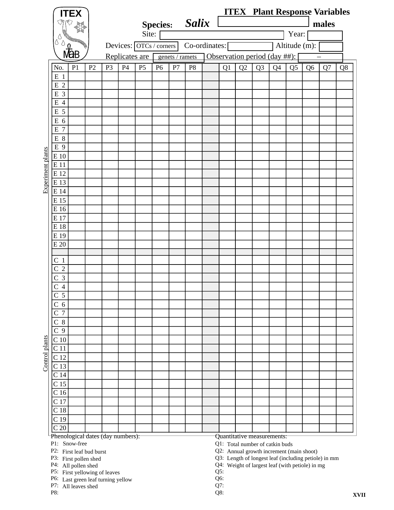|                                       | <b>ITEX</b>                                                         |                |                |    |                                   |                 |                 |                |                                                                                                  |    |                |                |                |                | <b>ITEX Plant Response Variables</b> |             |
|---------------------------------------|---------------------------------------------------------------------|----------------|----------------|----|-----------------------------------|-----------------|-----------------|----------------|--------------------------------------------------------------------------------------------------|----|----------------|----------------|----------------|----------------|--------------------------------------|-------------|
|                                       |                                                                     |                |                |    |                                   | <b>Species:</b> |                 | <b>Salix</b>   |                                                                                                  |    |                |                |                |                | males                                |             |
|                                       |                                                                     |                |                |    | Site:                             |                 |                 |                |                                                                                                  |    |                |                | Year:          |                |                                      |             |
| Δ<br>Ò                                |                                                                     |                |                |    | Devices: $\boxed{OTCs / corners}$ |                 |                 | Co-ordinates:  |                                                                                                  |    |                |                | Altitude (m):  |                |                                      |             |
|                                       | 。<br>Mab                                                            |                |                |    | Replicates are                    |                 | genets / ramets |                | Observation period (day ##):                                                                     |    |                |                |                |                |                                      |             |
| No.                                   | P <sub>1</sub>                                                      | P <sub>2</sub> | P <sub>3</sub> | P4 | P <sub>5</sub>                    | P <sub>6</sub>  | P7              | P <sub>8</sub> | Q1                                                                                               | Q2 | Q <sub>3</sub> | Q <sub>4</sub> | Q <sub>5</sub> | Q <sub>6</sub> | Q7                                   | Q8          |
| $E_1$                                 |                                                                     |                |                |    |                                   |                 |                 |                |                                                                                                  |    |                |                |                |                |                                      |             |
| E 2                                   |                                                                     |                |                |    |                                   |                 |                 |                |                                                                                                  |    |                |                |                |                |                                      |             |
| E 3                                   |                                                                     |                |                |    |                                   |                 |                 |                |                                                                                                  |    |                |                |                |                |                                      |             |
| E 4                                   |                                                                     |                |                |    |                                   |                 |                 |                |                                                                                                  |    |                |                |                |                |                                      |             |
| E 5                                   |                                                                     |                |                |    |                                   |                 |                 |                |                                                                                                  |    |                |                |                |                |                                      |             |
| E 6                                   |                                                                     |                |                |    |                                   |                 |                 |                |                                                                                                  |    |                |                |                |                |                                      |             |
| E 7<br>$E_8$                          |                                                                     |                |                |    |                                   |                 |                 |                |                                                                                                  |    |                |                |                |                |                                      |             |
| E 9                                   |                                                                     |                |                |    |                                   |                 |                 |                |                                                                                                  |    |                |                |                |                |                                      |             |
| E 10                                  |                                                                     |                |                |    |                                   |                 |                 |                |                                                                                                  |    |                |                |                |                |                                      |             |
| E 11                                  |                                                                     |                |                |    |                                   |                 |                 |                |                                                                                                  |    |                |                |                |                |                                      |             |
| E 12                                  |                                                                     |                |                |    |                                   |                 |                 |                |                                                                                                  |    |                |                |                |                |                                      |             |
| E 13                                  |                                                                     |                |                |    |                                   |                 |                 |                |                                                                                                  |    |                |                |                |                |                                      |             |
| E 14                                  |                                                                     |                |                |    |                                   |                 |                 |                |                                                                                                  |    |                |                |                |                |                                      |             |
| E 15<br>E 16                          |                                                                     |                |                |    |                                   |                 |                 |                |                                                                                                  |    |                |                |                |                |                                      |             |
| E 17                                  |                                                                     |                |                |    |                                   |                 |                 |                |                                                                                                  |    |                |                |                |                |                                      |             |
| E18                                   |                                                                     |                |                |    |                                   |                 |                 |                |                                                                                                  |    |                |                |                |                |                                      |             |
| E 19                                  |                                                                     |                |                |    |                                   |                 |                 |                |                                                                                                  |    |                |                |                |                |                                      |             |
| E 20                                  |                                                                     |                |                |    |                                   |                 |                 |                |                                                                                                  |    |                |                |                |                |                                      |             |
|                                       |                                                                     |                |                |    |                                   |                 |                 |                |                                                                                                  |    |                |                |                |                |                                      |             |
| C <sub>1</sub><br>$\overline{2}$<br>C |                                                                     |                |                |    |                                   |                 |                 |                |                                                                                                  |    |                |                |                |                |                                      |             |
| $\overline{3}$<br>C                   |                                                                     |                |                |    |                                   |                 |                 |                |                                                                                                  |    |                |                |                |                |                                      |             |
| $\overline{4}$                        |                                                                     |                |                |    |                                   |                 |                 |                |                                                                                                  |    |                |                |                |                |                                      |             |
| $\overline{5}$<br>$\overline{C}$      |                                                                     |                |                |    |                                   |                 |                 |                |                                                                                                  |    |                |                |                |                |                                      |             |
| C <sub>6</sub>                        |                                                                     |                |                |    |                                   |                 |                 |                |                                                                                                  |    |                |                |                |                |                                      |             |
| $\overline{C}$<br>$\overline{7}$      |                                                                     |                |                |    |                                   |                 |                 |                |                                                                                                  |    |                |                |                |                |                                      |             |
| 8<br>C                                |                                                                     |                |                |    |                                   |                 |                 |                |                                                                                                  |    |                |                |                |                |                                      |             |
| $\overline{C}$ 9                      |                                                                     |                |                |    |                                   |                 |                 |                |                                                                                                  |    |                |                |                |                |                                      |             |
| C <sub>10</sub><br>C <sub>11</sub>    |                                                                     |                |                |    |                                   |                 |                 |                |                                                                                                  |    |                |                |                |                |                                      |             |
| C <sub>12</sub>                       |                                                                     |                |                |    |                                   |                 |                 |                |                                                                                                  |    |                |                |                |                |                                      |             |
| C <sub>13</sub>                       |                                                                     |                |                |    |                                   |                 |                 |                |                                                                                                  |    |                |                |                |                |                                      |             |
| C <sub>14</sub>                       |                                                                     |                |                |    |                                   |                 |                 |                |                                                                                                  |    |                |                |                |                |                                      |             |
| C <sub>15</sub>                       |                                                                     |                |                |    |                                   |                 |                 |                |                                                                                                  |    |                |                |                |                |                                      |             |
| $\overline{C}$ 16                     |                                                                     |                |                |    |                                   |                 |                 |                |                                                                                                  |    |                |                |                |                |                                      |             |
| C 17                                  |                                                                     |                |                |    |                                   |                 |                 |                |                                                                                                  |    |                |                |                |                |                                      |             |
| C <sub>18</sub><br>C <sub>19</sub>    |                                                                     |                |                |    |                                   |                 |                 |                |                                                                                                  |    |                |                |                |                |                                      |             |
| $\mbox{C}$ 20                         |                                                                     |                |                |    |                                   |                 |                 |                |                                                                                                  |    |                |                |                |                |                                      |             |
|                                       | Phenological dates (day numbers):                                   |                |                |    |                                   |                 |                 |                | Quantitative measurements:                                                                       |    |                |                |                |                |                                      |             |
|                                       | P1: Snow-free                                                       |                |                |    |                                   |                 |                 |                | Q1: Total number of catkin buds                                                                  |    |                |                |                |                |                                      |             |
|                                       | P2: First leaf bud burst<br>P3: First pollen shed                   |                |                |    |                                   |                 |                 |                | Q2: Annual growth increment (main shoot)<br>Q3: Length of longest leaf (including petiole) in mm |    |                |                |                |                |                                      |             |
|                                       | P4: All pollen shed                                                 |                |                |    |                                   |                 |                 |                | Q4: Weight of largest leaf (with petiole) in mg                                                  |    |                |                |                |                |                                      |             |
|                                       | P5: First yellowing of leaves<br>P6: Last green leaf turning yellow |                |                |    |                                   |                 |                 |                | $Q5$ :<br>Q6:                                                                                    |    |                |                |                |                |                                      |             |
|                                       | P7: All leaves shed                                                 |                |                |    |                                   |                 |                 |                | Q7:                                                                                              |    |                |                |                |                |                                      |             |
| P8:                                   |                                                                     |                |                |    |                                   |                 |                 |                | Q8:                                                                                              |    |                |                |                |                |                                      | <b>XVII</b> |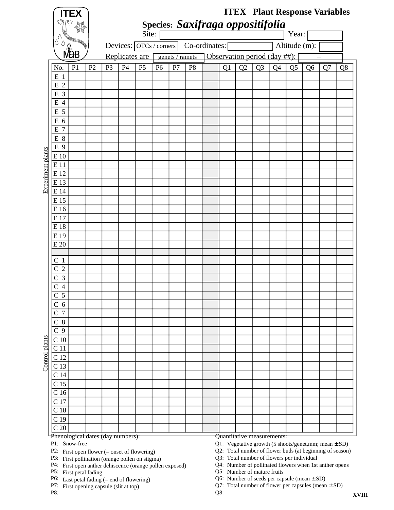|                   |                                            | <b>ITEX</b>                       |                |                |    |                                   |                |                 |                |                                  |    |                              |                |    |                |                | <b>ITEX</b> Plant Response Variables                 |    |
|-------------------|--------------------------------------------|-----------------------------------|----------------|----------------|----|-----------------------------------|----------------|-----------------|----------------|----------------------------------|----|------------------------------|----------------|----|----------------|----------------|------------------------------------------------------|----|
|                   |                                            | الأحجما                           |                |                |    |                                   |                |                 |                | Species: Saxifraga oppositifolia |    |                              |                |    |                |                |                                                      |    |
|                   |                                            |                                   |                |                |    | Site:                             |                |                 |                |                                  |    |                              |                |    | Year:          |                |                                                      |    |
|                   | Δ<br>$\Diamond$                            |                                   |                |                |    | Devices: $\boxed{OTCs / corners}$ |                |                 |                | Co-ordinates:                    |    |                              |                |    | Altitude (m):  |                |                                                      |    |
|                   |                                            | NaB                               |                |                |    | Replicates are [                  |                | genets / ramets |                |                                  |    | Observation period (day ##): |                |    |                |                |                                                      |    |
|                   | No.                                        | P <sub>1</sub>                    | P <sub>2</sub> | P <sub>3</sub> | P4 | P <sub>5</sub>                    | P <sub>6</sub> | P7              | P <sub>8</sub> |                                  | Q1 | Q2                           | Q <sub>3</sub> | Q4 | Q <sub>5</sub> | Q <sub>6</sub> | Q7                                                   | Q8 |
|                   | $E_1$                                      |                                   |                |                |    |                                   |                |                 |                |                                  |    |                              |                |    |                |                |                                                      |    |
|                   | $\overline{2}$<br>${\bf E}$                |                                   |                |                |    |                                   |                |                 |                |                                  |    |                              |                |    |                |                |                                                      |    |
|                   | 3<br>${\bf E}$                             |                                   |                |                |    |                                   |                |                 |                |                                  |    |                              |                |    |                |                |                                                      |    |
|                   | $\overline{4}$<br>E                        |                                   |                |                |    |                                   |                |                 |                |                                  |    |                              |                |    |                |                |                                                      |    |
|                   | 5<br>E                                     |                                   |                |                |    |                                   |                |                 |                |                                  |    |                              |                |    |                |                |                                                      |    |
|                   | 6<br>E<br>E<br>7                           |                                   |                |                |    |                                   |                |                 |                |                                  |    |                              |                |    |                |                |                                                      |    |
|                   | E 8                                        |                                   |                |                |    |                                   |                |                 |                |                                  |    |                              |                |    |                |                |                                                      |    |
|                   | E 9                                        |                                   |                |                |    |                                   |                |                 |                |                                  |    |                              |                |    |                |                |                                                      |    |
|                   | E 10                                       |                                   |                |                |    |                                   |                |                 |                |                                  |    |                              |                |    |                |                |                                                      |    |
|                   | E 11                                       |                                   |                |                |    |                                   |                |                 |                |                                  |    |                              |                |    |                |                |                                                      |    |
|                   | E 12                                       |                                   |                |                |    |                                   |                |                 |                |                                  |    |                              |                |    |                |                |                                                      |    |
| Experiment plants | E 13                                       |                                   |                |                |    |                                   |                |                 |                |                                  |    |                              |                |    |                |                |                                                      |    |
|                   | E 14                                       |                                   |                |                |    |                                   |                |                 |                |                                  |    |                              |                |    |                |                |                                                      |    |
|                   | E 15                                       |                                   |                |                |    |                                   |                |                 |                |                                  |    |                              |                |    |                |                |                                                      |    |
|                   | E 16                                       |                                   |                |                |    |                                   |                |                 |                |                                  |    |                              |                |    |                |                |                                                      |    |
|                   | E 17<br>E 18                               |                                   |                |                |    |                                   |                |                 |                |                                  |    |                              |                |    |                |                |                                                      |    |
|                   | E 19                                       |                                   |                |                |    |                                   |                |                 |                |                                  |    |                              |                |    |                |                |                                                      |    |
|                   | E 20                                       |                                   |                |                |    |                                   |                |                 |                |                                  |    |                              |                |    |                |                |                                                      |    |
|                   |                                            |                                   |                |                |    |                                   |                |                 |                |                                  |    |                              |                |    |                |                |                                                      |    |
|                   | C <sub>1</sub>                             |                                   |                |                |    |                                   |                |                 |                |                                  |    |                              |                |    |                |                |                                                      |    |
|                   | $\overline{2}$<br>С                        |                                   |                |                |    |                                   |                |                 |                |                                  |    |                              |                |    |                |                |                                                      |    |
|                   | 3<br>С                                     |                                   |                |                |    |                                   |                |                 |                |                                  |    |                              |                |    |                |                |                                                      |    |
|                   | 4<br>C<br>$\overline{5}$<br>$\overline{C}$ |                                   |                |                |    |                                   |                |                 |                |                                  |    |                              |                |    |                |                |                                                      |    |
|                   | C <sub>6</sub>                             |                                   |                |                |    |                                   |                |                 |                |                                  |    |                              |                |    |                |                |                                                      |    |
|                   | $\overline{7}$<br>C                        |                                   |                |                |    |                                   |                |                 |                |                                  |    |                              |                |    |                |                |                                                      |    |
|                   | 8<br>$\mathsf C$                           |                                   |                |                |    |                                   |                |                 |                |                                  |    |                              |                |    |                |                |                                                      |    |
|                   | C <sub>9</sub>                             |                                   |                |                |    |                                   |                |                 |                |                                  |    |                              |                |    |                |                |                                                      |    |
|                   | C <sub>10</sub>                            |                                   |                |                |    |                                   |                |                 |                |                                  |    |                              |                |    |                |                |                                                      |    |
| Control plants    | C 11                                       |                                   |                |                |    |                                   |                |                 |                |                                  |    |                              |                |    |                |                |                                                      |    |
|                   | C <sub>12</sub>                            |                                   |                |                |    |                                   |                |                 |                |                                  |    |                              |                |    |                |                |                                                      |    |
|                   | C <sub>13</sub>                            |                                   |                |                |    |                                   |                |                 |                |                                  |    |                              |                |    |                |                |                                                      |    |
|                   | C <sub>14</sub>                            |                                   |                |                |    |                                   |                |                 |                |                                  |    |                              |                |    |                |                |                                                      |    |
|                   | C <sub>15</sub>                            |                                   |                |                |    |                                   |                |                 |                |                                  |    |                              |                |    |                |                |                                                      |    |
|                   | C <sub>16</sub>                            |                                   |                |                |    |                                   |                |                 |                |                                  |    |                              |                |    |                |                |                                                      |    |
|                   | C <sub>17</sub><br>C <sub>18</sub>         |                                   |                |                |    |                                   |                |                 |                |                                  |    |                              |                |    |                |                |                                                      |    |
|                   | C <sub>19</sub>                            |                                   |                |                |    |                                   |                |                 |                |                                  |    |                              |                |    |                |                |                                                      |    |
|                   | C <sub>20</sub>                            |                                   |                |                |    |                                   |                |                 |                |                                  |    |                              |                |    |                |                |                                                      |    |
|                   |                                            | Phenological dates (day numbers): |                |                |    |                                   |                |                 |                |                                  |    | Quantitative measurements:   |                |    |                |                |                                                      |    |
|                   |                                            | P1: Snow-free                     |                |                |    |                                   |                |                 |                |                                  |    |                              |                |    |                |                | Q1: Vegetative growth (5 shoots/genet,mm; mean ± SD) |    |

P2: First open flower (= onset of flowering) Q2: Q2: Total number of flower buds (at beginning of season)

P3: First pollination (orange pollen on stigma) Q3: Q3: Total number of flowers per individual

 $P4:$  First open anther dehiscence (orange pollen exposed)  $Q4:$ Q4: Number of pollinated flowers when 1st anther opens

P5: First petal fading Q5: Q5: Number of mature fruits

P6: Last petal fading  $(=$  end of flowering)  $Q6$ : Q6: Number of seeds per capsule (mean  $\pm$  SD)

 $P7:$  First opening capsule (slit at top)  $Q7:$ Q7: Total number of flower per capsules (mean  $\pm$  SD)

P8:  $Q8:$ 

First petal fading

First open anther dehiscence (orange pollen exposed)

Last petal fading (= end of flowering) First opening capsule (slit at top)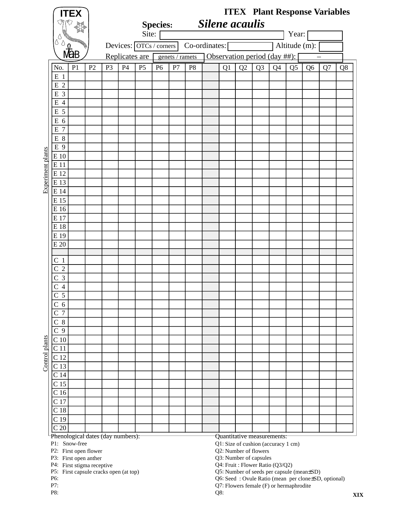|                   |                                    | <b>ITEX</b><br>್ಸೌ                     |    |                |    |                         | <b>Species:</b> |                 |                | <b>Silene</b> acaulis |    |    |                                                              |    |                |                | <b>ITEX</b> Plant Response Variables |    |
|-------------------|------------------------------------|----------------------------------------|----|----------------|----|-------------------------|-----------------|-----------------|----------------|-----------------------|----|----|--------------------------------------------------------------|----|----------------|----------------|--------------------------------------|----|
|                   | Δ<br>δ                             |                                        |    |                |    | Site:                   |                 |                 |                |                       |    |    |                                                              |    | Year:          |                |                                      |    |
|                   |                                    | <b>MaB</b>                             |    |                |    | Devices: OTCs / corners |                 |                 | Co-ordinates:  |                       |    |    |                                                              |    | Altitude (m):  |                |                                      |    |
|                   |                                    |                                        |    |                |    | Replicates are          |                 | genets / ramets |                |                       |    |    | Observation period (day ##):                                 |    |                |                |                                      |    |
|                   | No.                                | P <sub>1</sub>                         | P2 | P <sub>3</sub> | P4 | P <sub>5</sub>          | P <sub>6</sub>  | P7              | P <sub>8</sub> |                       | Q1 | Q2 | Q <sub>3</sub>                                               | Q4 | Q <sub>5</sub> | Q <sub>6</sub> | Q7                                   | Q8 |
|                   | $E_1$<br>E <sub>2</sub>            |                                        |    |                |    |                         |                 |                 |                |                       |    |    |                                                              |    |                |                |                                      |    |
|                   | E 3                                |                                        |    |                |    |                         |                 |                 |                |                       |    |    |                                                              |    |                |                |                                      |    |
|                   | $\overline{4}$<br>E                |                                        |    |                |    |                         |                 |                 |                |                       |    |    |                                                              |    |                |                |                                      |    |
|                   | E 5                                |                                        |    |                |    |                         |                 |                 |                |                       |    |    |                                                              |    |                |                |                                      |    |
|                   | E 6                                |                                        |    |                |    |                         |                 |                 |                |                       |    |    |                                                              |    |                |                |                                      |    |
|                   | E 7                                |                                        |    |                |    |                         |                 |                 |                |                       |    |    |                                                              |    |                |                |                                      |    |
|                   | E 8                                |                                        |    |                |    |                         |                 |                 |                |                       |    |    |                                                              |    |                |                |                                      |    |
|                   | E 9                                |                                        |    |                |    |                         |                 |                 |                |                       |    |    |                                                              |    |                |                |                                      |    |
|                   | E 10                               |                                        |    |                |    |                         |                 |                 |                |                       |    |    |                                                              |    |                |                |                                      |    |
|                   | E 11                               |                                        |    |                |    |                         |                 |                 |                |                       |    |    |                                                              |    |                |                |                                      |    |
| Experiment plants | E 12                               |                                        |    |                |    |                         |                 |                 |                |                       |    |    |                                                              |    |                |                |                                      |    |
|                   | E 13                               |                                        |    |                |    |                         |                 |                 |                |                       |    |    |                                                              |    |                |                |                                      |    |
|                   | E 14                               |                                        |    |                |    |                         |                 |                 |                |                       |    |    |                                                              |    |                |                |                                      |    |
|                   | E 15                               |                                        |    |                |    |                         |                 |                 |                |                       |    |    |                                                              |    |                |                |                                      |    |
|                   | E 16<br>E 17                       |                                        |    |                |    |                         |                 |                 |                |                       |    |    |                                                              |    |                |                |                                      |    |
|                   | E 18                               |                                        |    |                |    |                         |                 |                 |                |                       |    |    |                                                              |    |                |                |                                      |    |
|                   | E 19                               |                                        |    |                |    |                         |                 |                 |                |                       |    |    |                                                              |    |                |                |                                      |    |
|                   | E 20                               |                                        |    |                |    |                         |                 |                 |                |                       |    |    |                                                              |    |                |                |                                      |    |
|                   |                                    |                                        |    |                |    |                         |                 |                 |                |                       |    |    |                                                              |    |                |                |                                      |    |
|                   | C <sub>1</sub>                     |                                        |    |                |    |                         |                 |                 |                |                       |    |    |                                                              |    |                |                |                                      |    |
|                   | C <sub>2</sub>                     |                                        |    |                |    |                         |                 |                 |                |                       |    |    |                                                              |    |                |                |                                      |    |
|                   | $\overline{3}$<br>C                |                                        |    |                |    |                         |                 |                 |                |                       |    |    |                                                              |    |                |                |                                      |    |
|                   | $\overline{4}$                     |                                        |    |                |    |                         |                 |                 |                |                       |    |    |                                                              |    |                |                |                                      |    |
|                   | $\overline{5}$<br>$\overline{C}$   |                                        |    |                |    |                         |                 |                 |                |                       |    |    |                                                              |    |                |                |                                      |    |
|                   | C <sub>6</sub>                     |                                        |    |                |    |                         |                 |                 |                |                       |    |    |                                                              |    |                |                |                                      |    |
|                   | C <sub>7</sub>                     |                                        |    |                |    |                         |                 |                 |                |                       |    |    |                                                              |    |                |                |                                      |    |
|                   | $C_8$                              |                                        |    |                |    |                         |                 |                 |                |                       |    |    |                                                              |    |                |                |                                      |    |
|                   | C <sub>9</sub>                     |                                        |    |                |    |                         |                 |                 |                |                       |    |    |                                                              |    |                |                |                                      |    |
| Control plants    | C <sub>10</sub><br>C <sub>11</sub> |                                        |    |                |    |                         |                 |                 |                |                       |    |    |                                                              |    |                |                |                                      |    |
|                   | C <sub>12</sub>                    |                                        |    |                |    |                         |                 |                 |                |                       |    |    |                                                              |    |                |                |                                      |    |
|                   | C <sub>13</sub>                    |                                        |    |                |    |                         |                 |                 |                |                       |    |    |                                                              |    |                |                |                                      |    |
|                   | C <sub>14</sub>                    |                                        |    |                |    |                         |                 |                 |                |                       |    |    |                                                              |    |                |                |                                      |    |
|                   | C <sub>15</sub>                    |                                        |    |                |    |                         |                 |                 |                |                       |    |    |                                                              |    |                |                |                                      |    |
|                   | C <sub>16</sub>                    |                                        |    |                |    |                         |                 |                 |                |                       |    |    |                                                              |    |                |                |                                      |    |
|                   | C 17                               |                                        |    |                |    |                         |                 |                 |                |                       |    |    |                                                              |    |                |                |                                      |    |
|                   | C <sub>18</sub>                    |                                        |    |                |    |                         |                 |                 |                |                       |    |    |                                                              |    |                |                |                                      |    |
|                   | C <sub>19</sub>                    |                                        |    |                |    |                         |                 |                 |                |                       |    |    |                                                              |    |                |                |                                      |    |
|                   | C <sub>20</sub>                    |                                        |    |                |    |                         |                 |                 |                |                       |    |    |                                                              |    |                |                |                                      |    |
|                   |                                    | Phenological dates (day numbers):      |    |                |    |                         |                 |                 |                |                       |    |    | Quantitative measurements:                                   |    |                |                |                                      |    |
|                   |                                    | P1: Snow-free<br>P2: First open flower |    |                |    |                         |                 |                 |                |                       |    |    | Q1: Size of cushion (accuracy 1 cm)<br>Q2: Number of flowers |    |                |                |                                      |    |
|                   |                                    | P3: First open anther                  |    |                |    |                         |                 |                 |                |                       |    |    | Q3: Number of capsules                                       |    |                |                |                                      |    |

P4: First stigma receptive Q4: First stigma receptive

P5: First capsule cracks open (at top) Q5: First capsule cracks open (at top)

Fruit : Flower Ratio (Q3/Q2)

Number of seeds per capsule (mean±SD)

P6:  $Q6:$ Seed : Ovule Ratio (mean per clone±SD, optional)

P7: Q7: Flowers female (F) or hermaphrodite

P8:  $Q8:$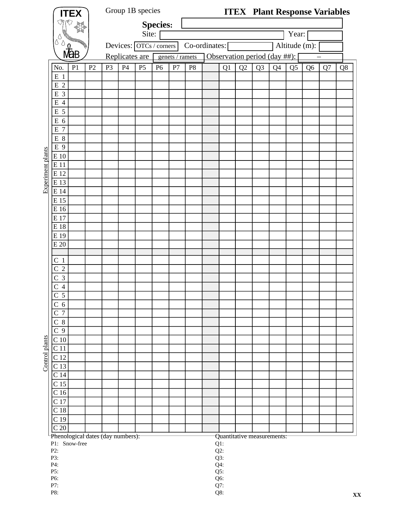|                          |                                    | <b>ITEX</b>    |                |                | Group 1B species                  |                |                 |                 |                |               |                  |    |                | <b>ITEX</b> Plant Response Variables |                |                |    |    |
|--------------------------|------------------------------------|----------------|----------------|----------------|-----------------------------------|----------------|-----------------|-----------------|----------------|---------------|------------------|----|----------------|--------------------------------------|----------------|----------------|----|----|
|                          | $\mathbb{Z}$                       | 19             |                |                |                                   |                | <b>Species:</b> |                 |                |               |                  |    |                |                                      |                |                |    |    |
|                          |                                    |                |                |                |                                   | Site:          |                 |                 |                |               |                  |    |                |                                      | Year:          |                |    |    |
|                          | Ő<br>Δ<br>δ                        |                |                |                | Devices: $\boxed{OTCs / corners}$ |                |                 |                 |                | Co-ordinates: |                  |    |                |                                      | Altitude (m):  |                |    |    |
|                          |                                    | <b>M</b> aB    |                |                |                                   |                |                 |                 |                |               |                  |    |                |                                      |                |                |    |    |
|                          |                                    |                |                |                | Replicates are                    |                |                 | genets / ramets |                |               |                  |    |                | Observation period (day ##):         |                |                |    |    |
|                          | No.                                | P <sub>1</sub> | P <sub>2</sub> | P <sub>3</sub> | P4                                | P <sub>5</sub> | P <sub>6</sub>  | P7              | P <sub>8</sub> |               | Q1               | Q2 | Q <sub>3</sub> | Q4                                   | Q <sub>5</sub> | Q <sub>6</sub> | Q7 | Q8 |
|                          | $E_1$                              |                |                |                |                                   |                |                 |                 |                |               |                  |    |                |                                      |                |                |    |    |
|                          | $\overline{2}$<br>${\bf E}$        |                |                |                |                                   |                |                 |                 |                |               |                  |    |                |                                      |                |                |    |    |
|                          | 3<br>E<br>$\overline{4}$<br>E      |                |                |                |                                   |                |                 |                 |                |               |                  |    |                |                                      |                |                |    |    |
|                          | E 5                                |                |                |                |                                   |                |                 |                 |                |               |                  |    |                |                                      |                |                |    |    |
|                          | 6<br>Е                             |                |                |                |                                   |                |                 |                 |                |               |                  |    |                |                                      |                |                |    |    |
|                          | $\overline{7}$<br>E                |                |                |                |                                   |                |                 |                 |                |               |                  |    |                |                                      |                |                |    |    |
|                          | $E_8$                              |                |                |                |                                   |                |                 |                 |                |               |                  |    |                |                                      |                |                |    |    |
|                          | E 9                                |                |                |                |                                   |                |                 |                 |                |               |                  |    |                |                                      |                |                |    |    |
|                          | E 10                               |                |                |                |                                   |                |                 |                 |                |               |                  |    |                |                                      |                |                |    |    |
|                          | E 11                               |                |                |                |                                   |                |                 |                 |                |               |                  |    |                |                                      |                |                |    |    |
| <b>Experiment plants</b> | E 12                               |                |                |                |                                   |                |                 |                 |                |               |                  |    |                |                                      |                |                |    |    |
|                          | E 13                               |                |                |                |                                   |                |                 |                 |                |               |                  |    |                |                                      |                |                |    |    |
|                          | E 14                               |                |                |                |                                   |                |                 |                 |                |               |                  |    |                |                                      |                |                |    |    |
|                          | E 15                               |                |                |                |                                   |                |                 |                 |                |               |                  |    |                |                                      |                |                |    |    |
|                          | E 16                               |                |                |                |                                   |                |                 |                 |                |               |                  |    |                |                                      |                |                |    |    |
|                          | E 17                               |                |                |                |                                   |                |                 |                 |                |               |                  |    |                |                                      |                |                |    |    |
|                          | E 18                               |                |                |                |                                   |                |                 |                 |                |               |                  |    |                |                                      |                |                |    |    |
|                          | E 19<br>E 20                       |                |                |                |                                   |                |                 |                 |                |               |                  |    |                |                                      |                |                |    |    |
|                          |                                    |                |                |                |                                   |                |                 |                 |                |               |                  |    |                |                                      |                |                |    |    |
|                          | C <sub>1</sub>                     |                |                |                |                                   |                |                 |                 |                |               |                  |    |                |                                      |                |                |    |    |
|                          | $\overline{2}$<br>$\mathsf{C}$     |                |                |                |                                   |                |                 |                 |                |               |                  |    |                |                                      |                |                |    |    |
|                          | 3<br>$\mathsf{C}$                  |                |                |                |                                   |                |                 |                 |                |               |                  |    |                |                                      |                |                |    |    |
|                          | $\overline{4}$<br>C                |                |                |                |                                   |                |                 |                 |                |               |                  |    |                |                                      |                |                |    |    |
|                          | $\overline{5}$<br>$\overline{C}$   |                |                |                |                                   |                |                 |                 |                |               |                  |    |                |                                      |                |                |    |    |
|                          | C <sub>6</sub>                     |                |                |                |                                   |                |                 |                 |                |               |                  |    |                |                                      |                |                |    |    |
|                          | $\overline{C}$ 7                   |                |                |                |                                   |                |                 |                 |                |               |                  |    |                |                                      |                |                |    |    |
|                          | $C_8$                              |                |                |                |                                   |                |                 |                 |                |               |                  |    |                |                                      |                |                |    |    |
|                          | $\overline{C}$ 9                   |                |                |                |                                   |                |                 |                 |                |               |                  |    |                |                                      |                |                |    |    |
|                          | C <sub>10</sub><br>C <sub>11</sub> |                |                |                |                                   |                |                 |                 |                |               |                  |    |                |                                      |                |                |    |    |
| <b>Control</b> plants    | C <sub>12</sub>                    |                |                |                |                                   |                |                 |                 |                |               |                  |    |                |                                      |                |                |    |    |
|                          | C <sub>13</sub>                    |                |                |                |                                   |                |                 |                 |                |               |                  |    |                |                                      |                |                |    |    |
|                          | C <sub>14</sub>                    |                |                |                |                                   |                |                 |                 |                |               |                  |    |                |                                      |                |                |    |    |
|                          | C <sub>15</sub>                    |                |                |                |                                   |                |                 |                 |                |               |                  |    |                |                                      |                |                |    |    |
|                          | C <sub>16</sub>                    |                |                |                |                                   |                |                 |                 |                |               |                  |    |                |                                      |                |                |    |    |
|                          | C <sub>17</sub>                    |                |                |                |                                   |                |                 |                 |                |               |                  |    |                |                                      |                |                |    |    |
|                          | C <sub>18</sub>                    |                |                |                |                                   |                |                 |                 |                |               |                  |    |                |                                      |                |                |    |    |
|                          | C <sub>19</sub>                    |                |                |                |                                   |                |                 |                 |                |               |                  |    |                |                                      |                |                |    |    |
|                          | $\overline{C}$ 20                  |                |                |                |                                   |                |                 |                 |                |               |                  |    |                |                                      |                |                |    |    |
|                          | Phenological dates (day numbers):  |                |                |                |                                   |                |                 |                 |                |               |                  |    |                | Quantitative measurements:           |                |                |    |    |
|                          | P1: Snow-free<br>P2:               |                |                |                |                                   |                |                 |                 |                |               | $Q1$ :<br>$Q2$ : |    |                |                                      |                |                |    |    |
|                          | P3:                                |                |                |                |                                   |                |                 |                 | Q3:            |               |                  |    |                |                                      |                |                |    |    |
|                          | $Q4$ :<br>P4:                      |                |                |                |                                   |                |                 |                 |                |               |                  |    |                |                                      |                |                |    |    |
|                          | Q5:<br>P5:<br>Q6:<br>P6:           |                |                |                |                                   |                |                 |                 |                |               |                  |    |                |                                      |                |                |    |    |
|                          | P7:                                |                |                |                |                                   |                |                 |                 |                |               | Q7:              |    |                |                                      |                |                |    |    |
|                          | P8:                                |                |                |                |                                   |                |                 |                 |                |               | Q8:              |    |                |                                      |                |                |    |    |